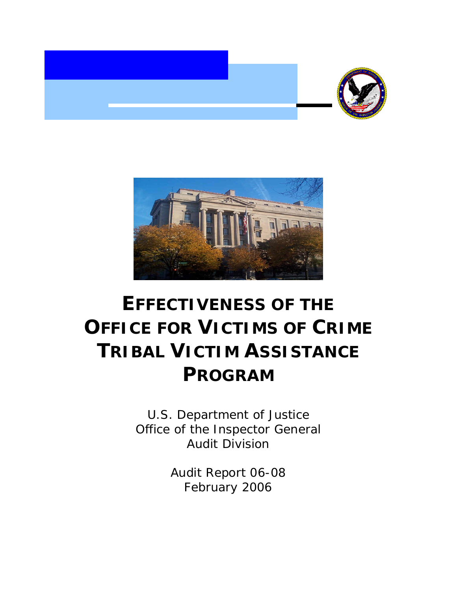



# **EFFECTIVENESS OF THE OFFICE FOR VICTIMS OF CRIME TRIBAL VICTIM ASSISTANCE PROGRAM**

U.S. Department of Justice Office of the Inspector General Audit Division

> Audit Report 06-08 February 2006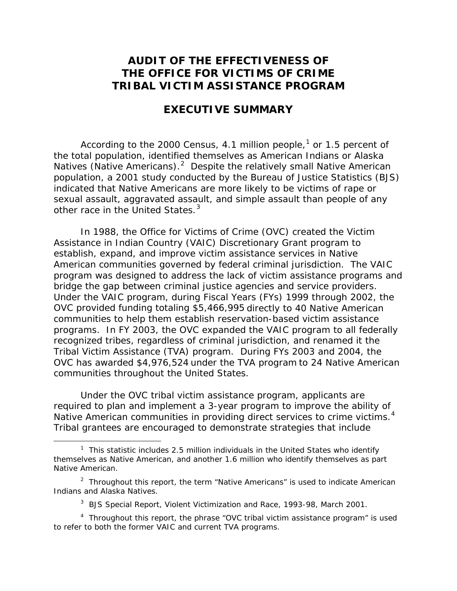# **AUDIT OF THE EFFECTIVENESS OF THE OFFICE FOR VICTIMS OF CRIME TRIBAL VICTIM ASSISTANCE PROGRAM**

# **EXECUTIVE SUMMARY**

According to the 2000 Census, 4.[1](#page-1-0) million people, $^1$  or 1.5 percent of the total population, identified themselves as American Indians or Alaska Natives (Native Americans).<sup>[2](#page-1-1)</sup> Despite the relatively small Native American population, a 2001 study conducted by the Bureau of Justice Statistics (BJS) indicated that Native Americans are more likely to be victims of rape or sexual assault, aggravated assault, and simple assault than people of any other race in the United States.<sup>[3](#page-1-2)</sup>

In 1988, the Office for Victims of Crime (OVC) created the Victim Assistance in Indian Country (VAIC) Discretionary Grant program to establish, expand, and improve victim assistance services in Native American communities governed by federal criminal jurisdiction. The VAIC program was designed to address the lack of victim assistance programs and bridge the gap between criminal justice agencies and service providers. Under the VAIC program, during Fiscal Years (FYs) 1999 through 2002, the OVC provided funding totaling \$5,466,995 directly to 40 Native American communities to help them establish reservation-based victim assistance programs. In FY 2003, the OVC expanded the VAIC program to all federally recognized tribes, regardless of criminal jurisdiction, and renamed it the Tribal Victim Assistance (TVA) program. During FYs 2003 and 2004, the OVC has awarded \$4,976,524 under the TVA program to 24 Native American communities throughout the United States.

Under the OVC tribal victim assistance program, applicants are required to plan and implement a 3-year program to improve the ability of Native American communities in providing direct services to crime victims. $4$ Tribal grantees are encouraged to demonstrate strategies that include

<span id="page-1-0"></span> $\begin{array}{c|c}\n\hline\n\end{array}$  $1$  This statistic includes 2.5 million individuals in the United States who identify themselves as Native American, and another 1.6 million who identify themselves as part Native American.

<span id="page-1-1"></span><sup>&</sup>lt;sup>2</sup> Throughout this report, the term "Native Americans" is used to indicate American Indians and Alaska Natives.

<sup>3</sup> BJS Special Report, *Violent Victimization and Race, 1993-98*, March 2001.

<span id="page-1-3"></span><span id="page-1-2"></span><sup>&</sup>lt;sup>4</sup> Throughout this report, the phrase "OVC tribal victim assistance program" is used to refer to both the former VAIC and current TVA programs.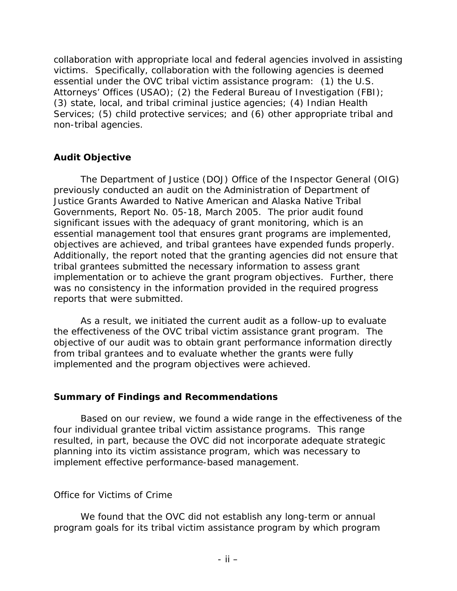collaboration with appropriate local and federal agencies involved in assisting victims. Specifically, collaboration with the following agencies is deemed essential under the OVC tribal victim assistance program: (1) the U.S. Attorneys' Offices (USAO); (2) the Federal Bureau of Investigation (FBI); (3) state, local, and tribal criminal justice agencies; (4) Indian Health Services; (5) child protective services; and (6) other appropriate tribal and non-tribal agencies.

# **Audit Objective**

The Department of Justice (DOJ) Office of the Inspector General (OIG) previously conducted an audit on the *Administration of Department of Justice Grants Awarded to Native American and Alaska Native Tribal Governments,* Report No. 05-18, March 2005. The prior audit found significant issues with the adequacy of grant monitoring, which is an essential management tool that ensures grant programs are implemented, objectives are achieved, and tribal grantees have expended funds properly. Additionally, the report noted that the granting agencies did not ensure that tribal grantees submitted the necessary information to assess grant implementation or to achieve the grant program objectives. Further, there was no consistency in the information provided in the required progress reports that were submitted.

As a result, we initiated the current audit as a follow-up to evaluate the effectiveness of the OVC tribal victim assistance grant program. The objective of our audit was to obtain grant performance information directly from tribal grantees and to evaluate whether the grants were fully implemented and the program objectives were achieved.

# **Summary of Findings and Recommendations**

Based on our review, we found a wide range in the effectiveness of the four individual grantee tribal victim assistance programs. This range resulted, in part, because the OVC did not incorporate adequate strategic planning into its victim assistance program, which was necessary to implement effective performance-based management.

#### *Office for Victims of Crime*

We found that the OVC did not establish any long-term or annual program goals for its tribal victim assistance program by which program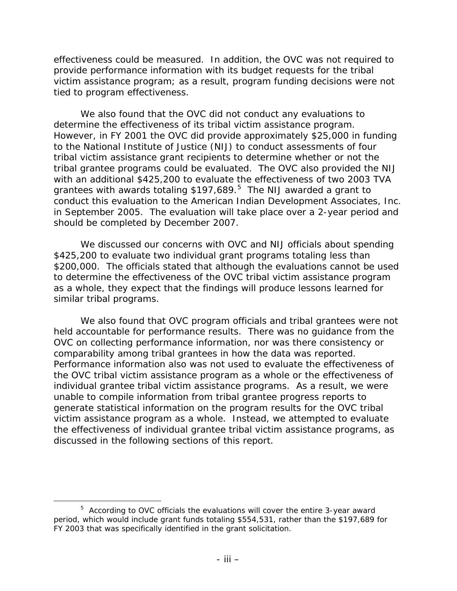effectiveness could be measured. In addition, the OVC was not required to provide performance information with its budget requests for the tribal victim assistance program; as a result, program funding decisions were not tied to program effectiveness.

We also found that the OVC did not conduct any evaluations to determine the effectiveness of its tribal victim assistance program. However, in FY 2001 the OVC did provide approximately \$25,000 in funding to the National Institute of Justice (NIJ) to conduct assessments of four tribal victim assistance grant recipients to determine whether or not the tribal grantee programs could be evaluated. The OVC also provided the NIJ with an additional \$425,200 to evaluate the effectiveness of two 2003 TVA grantees with awards totaling \$197,689. $^5$  $^5$  The NIJ awarded a grant to conduct this evaluation to the American Indian Development Associates, Inc. in September 2005. The evaluation will take place over a 2-year period and should be completed by December 2007.

We discussed our concerns with OVC and NIJ officials about spending \$425,200 to evaluate two individual grant programs totaling less than \$200,000. The officials stated that although the evaluations cannot be used to determine the effectiveness of the OVC tribal victim assistance program as a whole, they expect that the findings will produce lessons learned for similar tribal programs.

We also found that OVC program officials and tribal grantees were not held accountable for performance results. There was no guidance from the OVC on collecting performance information, nor was there consistency or comparability among tribal grantees in how the data was reported. Performance information also was not used to evaluate the effectiveness of the OVC tribal victim assistance program as a whole or the effectiveness of individual grantee tribal victim assistance programs. As a result, we were unable to compile information from tribal grantee progress reports to generate statistical information on the program results for the OVC tribal victim assistance program as a whole. Instead, we attempted to evaluate the effectiveness of individual grantee tribal victim assistance programs, as discussed in the following sections of this report.

<span id="page-3-0"></span> $\frac{1}{5}$  $5$  According to OVC officials the evaluations will cover the entire 3-year award period, which would include grant funds totaling \$554,531, rather than the \$197,689 for FY 2003 that was specifically identified in the grant solicitation.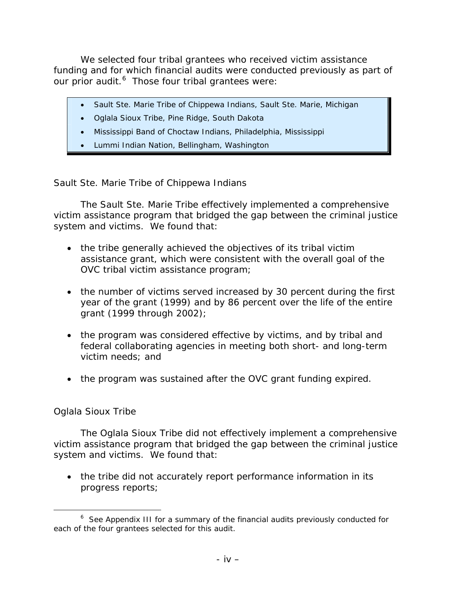We selected four tribal grantees who received victim assistance funding and for which financial audits were conducted previously as part of our prior audit.<sup>[6](#page-4-0)</sup> Those four tribal grantees were:

- Sault Ste. Marie Tribe of Chippewa Indians, Sault Ste. Marie, Michigan
- Oglala Sioux Tribe, Pine Ridge, South Dakota
- Mississippi Band of Choctaw Indians, Philadelphia, Mississippi
- Lummi Indian Nation, Bellingham, Washington

#### *Sault Ste. Marie Tribe of Chippewa Indians*

The Sault Ste. Marie Tribe effectively implemented a comprehensive victim assistance program that bridged the gap between the criminal justice system and victims. We found that:

- the tribe generally achieved the objectives of its tribal victim assistance grant, which were consistent with the overall goal of the OVC tribal victim assistance program;
- the number of victims served increased by 30 percent during the first year of the grant (1999) and by 86 percent over the life of the entire grant (1999 through 2002);
- the program was considered effective by victims, and by tribal and federal collaborating agencies in meeting both short- and long-term victim needs; and
- the program was sustained after the OVC grant funding expired.

#### *Oglala Sioux Tribe*

The Oglala Sioux Tribe did not effectively implement a comprehensive victim assistance program that bridged the gap between the criminal justice system and victims. We found that:

• the tribe did not accurately report performance information in its progress reports;

<span id="page-4-0"></span> <sup>6</sup>  $6$  See Appendix III for a summary of the financial audits previously conducted for each of the four grantees selected for this audit.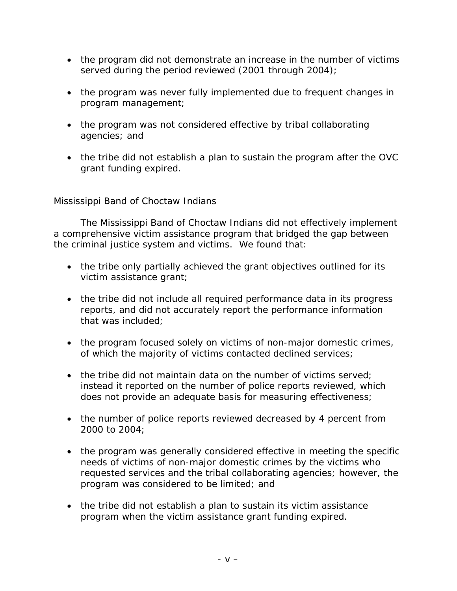- the program did not demonstrate an increase in the number of victims served during the period reviewed (2001 through 2004);
- the program was never fully implemented due to frequent changes in program management;
- the program was not considered effective by tribal collaborating agencies; and
- the tribe did not establish a plan to sustain the program after the OVC grant funding expired.

# *Mississippi Band of Choctaw Indians*

The Mississippi Band of Choctaw Indians did not effectively implement a comprehensive victim assistance program that bridged the gap between the criminal justice system and victims. We found that:

- the tribe only partially achieved the grant objectives outlined for its victim assistance grant;
- the tribe did not include all required performance data in its progress reports, and did not accurately report the performance information that was included;
- the program focused solely on victims of non-major domestic crimes, of which the majority of victims contacted declined services;
- the tribe did not maintain data on the number of victims served; instead it reported on the number of police reports reviewed, which does not provide an adequate basis for measuring effectiveness;
- the number of police reports reviewed decreased by 4 percent from 2000 to 2004;
- the program was generally considered effective in meeting the specific needs of victims of non-major domestic crimes by the victims who requested services and the tribal collaborating agencies; however, the program was considered to be limited; and
- the tribe did not establish a plan to sustain its victim assistance program when the victim assistance grant funding expired.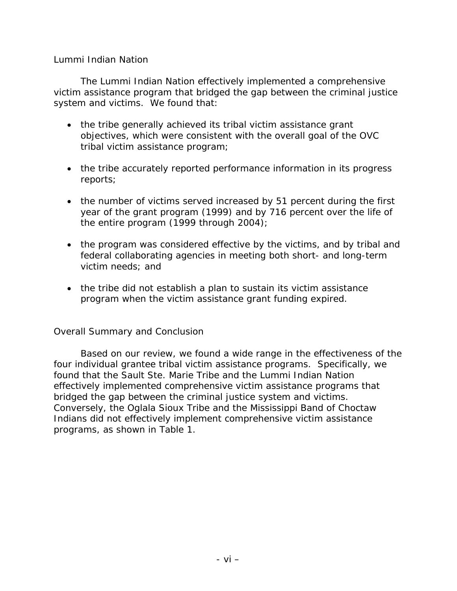#### *Lummi Indian Nation*

The Lummi Indian Nation effectively implemented a comprehensive victim assistance program that bridged the gap between the criminal justice system and victims. We found that:

- the tribe generally achieved its tribal victim assistance grant objectives, which were consistent with the overall goal of the OVC tribal victim assistance program;
- the tribe accurately reported performance information in its progress reports;
- the number of victims served increased by 51 percent during the first year of the grant program (1999) and by 716 percent over the life of the entire program (1999 through 2004);
- the program was considered effective by the victims, and by tribal and federal collaborating agencies in meeting both short- and long-term victim needs; and
- the tribe did not establish a plan to sustain its victim assistance program when the victim assistance grant funding expired.

#### *Overall Summary and Conclusion*

Based on our review, we found a wide range in the effectiveness of the four individual grantee tribal victim assistance programs. Specifically, we found that the Sault Ste. Marie Tribe and the Lummi Indian Nation effectively implemented comprehensive victim assistance programs that bridged the gap between the criminal justice system and victims. Conversely, the Oglala Sioux Tribe and the Mississippi Band of Choctaw Indians did not effectively implement comprehensive victim assistance programs, as shown in Table 1.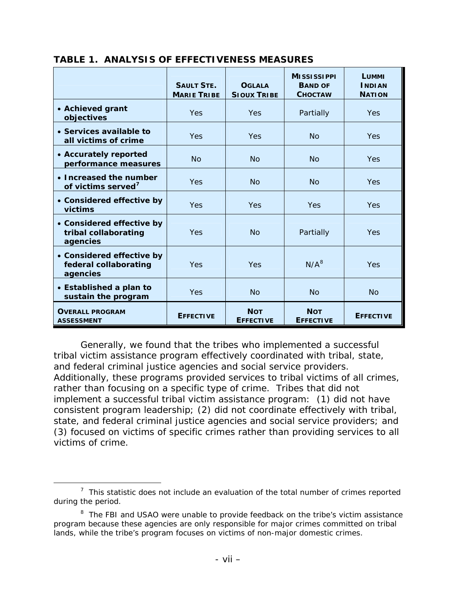|                                                                | <b>SAULT STE.</b><br><b>MARIE TRIBE</b> | <b>OGLALA</b><br><b>SIOUX TRIBE</b> | <b>MISSISSIPPI</b><br><b>BAND OF</b><br><b>CHOCTAW</b> | LUMMI<br><b>INDIAN</b><br><b>NATION</b> |
|----------------------------------------------------------------|-----------------------------------------|-------------------------------------|--------------------------------------------------------|-----------------------------------------|
| • Achieved grant<br>objectives                                 | <b>Yes</b>                              | <b>Yes</b>                          | Partially                                              | <b>Yes</b>                              |
| • Services available to<br>all victims of crime                | Yes                                     | <b>Yes</b>                          | <b>No</b>                                              | <b>Yes</b>                              |
| • Accurately reported<br>performance measures                  | No                                      | No                                  | No                                                     | <b>Yes</b>                              |
| • Increased the number<br>of victims served <sup>7</sup>       | Yes                                     | No                                  | No                                                     | <b>Yes</b>                              |
| • Considered effective by<br>victims                           | Yes                                     | <b>Yes</b>                          | Yes                                                    | <b>Yes</b>                              |
| • Considered effective by<br>tribal collaborating<br>agencies  | Yes                                     | No                                  | Partially                                              | <b>Yes</b>                              |
| • Considered effective by<br>federal collaborating<br>agencies | Yes                                     | Yes                                 | $N/A^8$                                                | Yes                                     |
| • Established a plan to<br>sustain the program                 | Yes                                     | <b>No</b>                           | <b>No</b>                                              | <b>No</b>                               |
| <b>OVERALL PROGRAM</b><br><b>ASSESSMENT</b>                    | <b>EFFECTIVE</b>                        | <b>NOT</b><br><b>EFFECTIVE</b>      | <b>NOT</b><br><b>EFFECTIVE</b>                         | <b>EFFECTIVE</b>                        |

#### **TABLE 1. ANALYSIS OF EFFECTIVENESS MEASURES**

Generally, we found that the tribes who implemented a successful tribal victim assistance program effectively coordinated with tribal, state, and federal criminal justice agencies and social service providers. Additionally, these programs provided services to tribal victims of all crimes, rather than focusing on a specific type of crime. Tribes that did not implement a successful tribal victim assistance program: (1) did not have consistent program leadership; (2) did not coordinate effectively with tribal, state, and federal criminal justice agencies and social service providers; and (3) focused on victims of specific crimes rather than providing services to all victims of crime.

<span id="page-7-0"></span> <sup>7</sup>  $\frac{7}{1}$  This statistic does not include an evaluation of the total number of crimes reported during the period.

<span id="page-7-1"></span><sup>&</sup>lt;sup>8</sup> The FBI and USAO were unable to provide feedback on the tribe's victim assistance program because these agencies are only responsible for major crimes committed on tribal lands, while the tribe's program focuses on victims of non-major domestic crimes.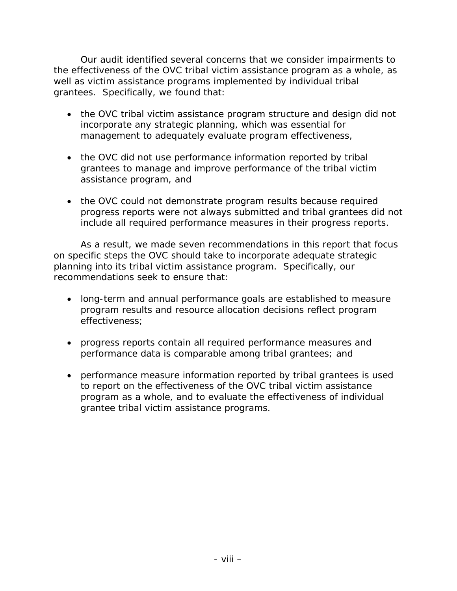Our audit identified several concerns that we consider impairments to the effectiveness of the OVC tribal victim assistance program as a whole, as well as victim assistance programs implemented by individual tribal grantees. Specifically, we found that:

- the OVC tribal victim assistance program structure and design did not incorporate any strategic planning, which was essential for management to adequately evaluate program effectiveness,
- the OVC did not use performance information reported by tribal grantees to manage and improve performance of the tribal victim assistance program, and
- the OVC could not demonstrate program results because required progress reports were not always submitted and tribal grantees did not include all required performance measures in their progress reports.

As a result, we made seven recommendations in this report that focus on specific steps the OVC should take to incorporate adequate strategic planning into its tribal victim assistance program. Specifically, our recommendations seek to ensure that:

- long-term and annual performance goals are established to measure program results and resource allocation decisions reflect program effectiveness;
- progress reports contain all required performance measures and performance data is comparable among tribal grantees; and
- performance measure information reported by tribal grantees is used to report on the effectiveness of the OVC tribal victim assistance program as a whole, and to evaluate the effectiveness of individual grantee tribal victim assistance programs.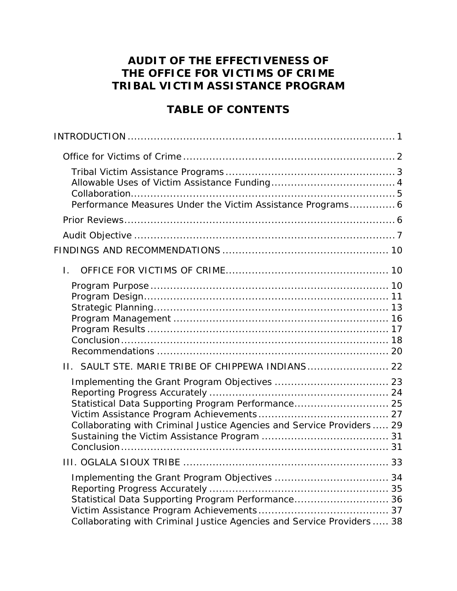# **AUDIT OF THE EFFECTIVENESS OF THE OFFICE FOR VICTIMS OF CRIME TRIBAL VICTIM ASSISTANCE PROGRAM**

# **TABLE OF CONTENTS**

| Performance Measures Under the Victim Assistance Programs 6                                                                  |  |
|------------------------------------------------------------------------------------------------------------------------------|--|
|                                                                                                                              |  |
|                                                                                                                              |  |
|                                                                                                                              |  |
| $\mathbf{L}$                                                                                                                 |  |
|                                                                                                                              |  |
| II. SAULT STE. MARIE TRIBE OF CHIPPEWA INDIANS 22                                                                            |  |
| Statistical Data Supporting Program Performance 25<br>Collaborating with Criminal Justice Agencies and Service Providers  29 |  |
|                                                                                                                              |  |
| Statistical Data Supporting Program Performance 36<br>Collaborating with Criminal Justice Agencies and Service Providers  38 |  |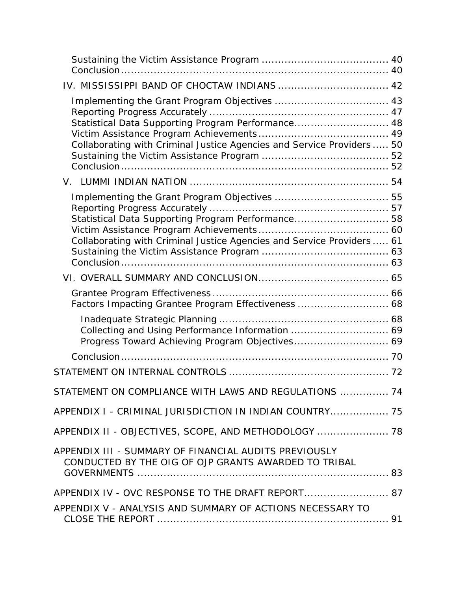| IV. MISSISSIPPI BAND OF CHOCTAW INDIANS  42                                                                                  |
|------------------------------------------------------------------------------------------------------------------------------|
| Statistical Data Supporting Program Performance 48<br>Collaborating with Criminal Justice Agencies and Service Providers  50 |
|                                                                                                                              |
| Statistical Data Supporting Program Performance 58<br>Collaborating with Criminal Justice Agencies and Service Providers  61 |
|                                                                                                                              |
| Factors Impacting Grantee Program Effectiveness  68                                                                          |
|                                                                                                                              |
|                                                                                                                              |
|                                                                                                                              |
| STATEMENT ON COMPLIANCE WITH LAWS AND REGULATIONS  74                                                                        |
| APPENDIX I - CRIMINAL JURISDICTION IN INDIAN COUNTRY 75                                                                      |
| APPENDIX II - OBJECTIVES, SCOPE, AND METHODOLOGY  78                                                                         |
| APPENDIX III - SUMMARY OF FINANCIAL AUDITS PREVIOUSLY<br>CONDUCTED BY THE OIG OF OJP GRANTS AWARDED TO TRIBAL                |
| APPENDIX IV - OVC RESPONSE TO THE DRAFT REPORT 87                                                                            |
| APPENDIX V - ANALYSIS AND SUMMARY OF ACTIONS NECESSARY TO                                                                    |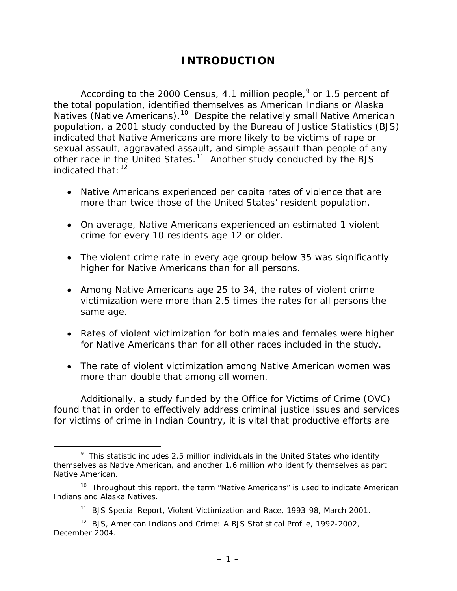# **INTRODUCTION**

<span id="page-11-0"></span>According to the 2000 Census, 4.1 million people,  $9$  or 1.5 percent of the total population, identified themselves as American Indians or Alaska Natives (Native Americans).[1](#page-11-2)0 Despite the relatively small Native American population, a 2001 study conducted by the Bureau of Justice Statistics (BJS) indicated that Native Americans are more likely to be victims of rape or sexual assault, aggravated assault, and simple assault than people of any other race in the United States.[1](#page-11-3)1 Another study conducted by the BJS indicated that  $12$  $12$ 

- Native Americans experienced per capita rates of violence that are more than twice those of the United States' resident population.
- On average, Native Americans experienced an estimated 1 violent crime for every 10 residents age 12 or older.
- The violent crime rate in every age group below 35 was significantly higher for Native Americans than for all persons.
- Among Native Americans age 25 to 34, the rates of violent crime victimization were more than 2.5 times the rates for all persons the same age.
- Rates of violent victimization for both males and females were higher for Native Americans than for all other races included in the study.
- The rate of violent victimization among Native American women was more than double that among all women.

Additionally, a study funded by the Office for Victims of Crime (OVC) found that in order to effectively address criminal justice issues and services for victims of crime in Indian Country, it is vital that productive efforts are

<span id="page-11-1"></span> <sup>9</sup>  $9$  This statistic includes 2.5 million individuals in the United States who identify themselves as Native American, and another 1.6 million who identify themselves as part Native American.

<span id="page-11-2"></span> $10$  Throughout this report, the term "Native Americans" is used to indicate American Indians and Alaska Natives.

<sup>11</sup> BJS Special Report, *Violent Victimization and Race, 1993-98*, March 2001.

<span id="page-11-4"></span><span id="page-11-3"></span><sup>12</sup> BJS, *American Indians and Crime: A BJS Statistical Profile, 1992-2002,* December 2004.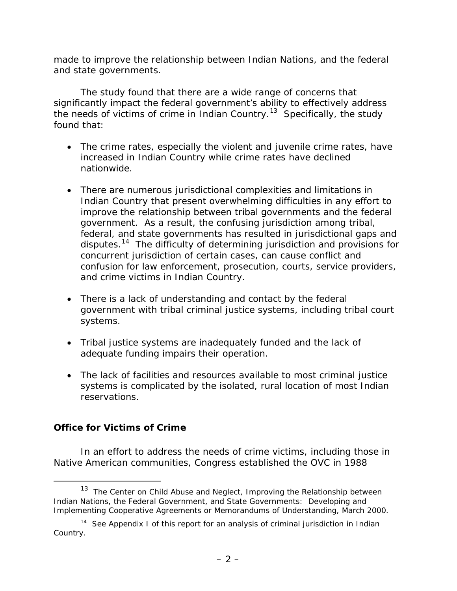<span id="page-12-0"></span>made to improve the relationship between Indian Nations, and the federal and state governments.

The study found that there are a wide range of concerns that significantly impact the federal government's ability to effectively address the needs of victims of crime in Indian Country.<sup>[13](#page-12-1)</sup> Specifically, the study found that:

- The crime rates, especially the violent and juvenile crime rates, have increased in Indian Country while crime rates have declined nationwide.
- There are numerous jurisdictional complexities and limitations in Indian Country that present overwhelming difficulties in any effort to improve the relationship between tribal governments and the federal government. As a result, the confusing jurisdiction among tribal, federal, and state governments has resulted in jurisdictional gaps and disputes.[1](#page-12-2)4 The difficulty of determining jurisdiction and provisions for concurrent jurisdiction of certain cases, can cause conflict and confusion for law enforcement, prosecution, courts, service providers, and crime victims in Indian Country.
- There is a lack of understanding and contact by the federal government with tribal criminal justice systems, including tribal court systems.
- Tribal justice systems are inadequately funded and the lack of adequate funding impairs their operation.
- The lack of facilities and resources available to most criminal justice systems is complicated by the isolated, rural location of most Indian reservations.

#### **Office for Victims of Crime**

In an effort to address the needs of crime victims, including those in Native American communities, Congress established the OVC in 1988

<span id="page-12-1"></span> <sup>13</sup> The Center on Child Abuse and Neglect, *Improving the Relationship between Indian Nations, the Federal Government, and State Governments: Developing and Implementing Cooperative Agreements or Memorandums of Understanding*, March 2000.

<span id="page-12-2"></span><sup>&</sup>lt;sup>14</sup> See Appendix I of this report for an analysis of criminal jurisdiction in Indian Country.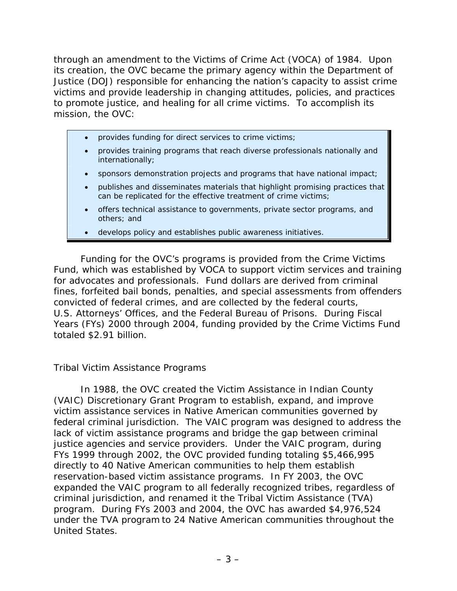<span id="page-13-0"></span>through an amendment to the Victims of Crime Act (VOCA) of 1984. Upon its creation, the OVC became the primary agency within the Department of Justice (DOJ) responsible for enhancing the nation's capacity to assist crime victims and provide leadership in changing attitudes, policies, and practices to promote justice, and healing for all crime victims. To accomplish its mission, the OVC:

- provides funding for direct services to crime victims;
- provides training programs that reach diverse professionals nationally and internationally;
- sponsors demonstration projects and programs that have national impact;
- publishes and disseminates materials that highlight promising practices that can be replicated for the effective treatment of crime victims;
- offers technical assistance to governments, private sector programs, and others; and
- develops policy and establishes public awareness initiatives.

Funding for the OVC's programs is provided from the [Crime Victims](http://www.ojp.usdoj.gov/ovc/publications/factshts/vocacvf/welcome.html)  [Fund,](http://www.ojp.usdoj.gov/ovc/publications/factshts/vocacvf/welcome.html) which was established by VOCA to support victim services and training for advocates and professionals. Fund dollars are derived from criminal fines, forfeited bail bonds, penalties, and special assessments from offenders convicted of federal crimes, and are collected by the federal courts, U.S. Attorneys' Offices, and the Federal Bureau of Prisons. During Fiscal Years (FYs) 2000 through 2004, funding provided by the Crime Victims Fund totaled \$2.91 billion.

#### *Tribal Victim Assistance Programs*

In 1988, the OVC created the Victim Assistance in Indian County (VAIC) Discretionary Grant Program to establish, expand, and improve victim assistance services in Native American communities governed by federal criminal jurisdiction. The VAIC program was designed to address the lack of victim assistance programs and bridge the gap between criminal justice agencies and service providers. Under the VAIC program, during FYs 1999 through 2002, the OVC provided funding totaling \$5,466,995 directly to 40 Native American communities to help them establish reservation-based victim assistance programs. In FY 2003, the OVC expanded the VAIC program to all federally recognized tribes, regardless of criminal jurisdiction, and renamed it the Tribal Victim Assistance (TVA) program. During FYs 2003 and 2004, the OVC has awarded \$4,976,524 under the TVA program to 24 Native American communities throughout the United States.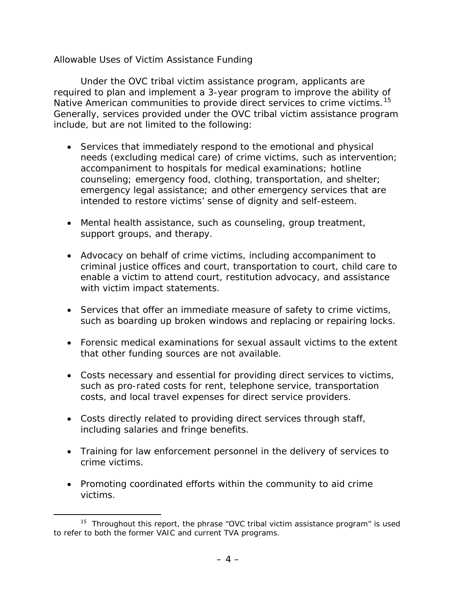#### <span id="page-14-0"></span>*Allowable Uses of Victim Assistance Funding*

Under the OVC tribal victim assistance program, applicants are required to plan and implement a 3-year program to improve the ability of Native American communities to provide direct services to crime victims.<sup>[1](#page-14-1)5</sup> Generally, services provided under the OVC tribal victim assistance program include, but are not limited to the following:

- Services that immediately respond to the emotional and physical needs (excluding medical care) of crime victims, such as intervention; accompaniment to hospitals for medical examinations; hotline counseling; emergency food, clothing, transportation, and shelter; emergency legal assistance; and other emergency services that are intended to restore victims' sense of dignity and self-esteem.
- Mental health assistance, such as counseling, group treatment, support groups, and therapy.
- Advocacy on behalf of crime victims, including accompaniment to criminal justice offices and court, transportation to court, child care to enable a victim to attend court, restitution advocacy, and assistance with victim impact statements.
- Services that offer an immediate measure of safety to crime victims, such as boarding up broken windows and replacing or repairing locks.
- Forensic medical examinations for sexual assault victims to the extent that other funding sources are not available.
- Costs necessary and essential for providing direct services to victims, such as pro-rated costs for rent, telephone service, transportation costs, and local travel expenses for direct service providers.
- Costs directly related to providing direct services through staff, including salaries and fringe benefits.
- Training for law enforcement personnel in the delivery of services to crime victims.
- Promoting coordinated efforts within the community to aid crime victims.

<span id="page-14-1"></span> $15$  Throughout this report, the phrase "OVC tribal victim assistance program" is used to refer to both the former VAIC and current TVA programs.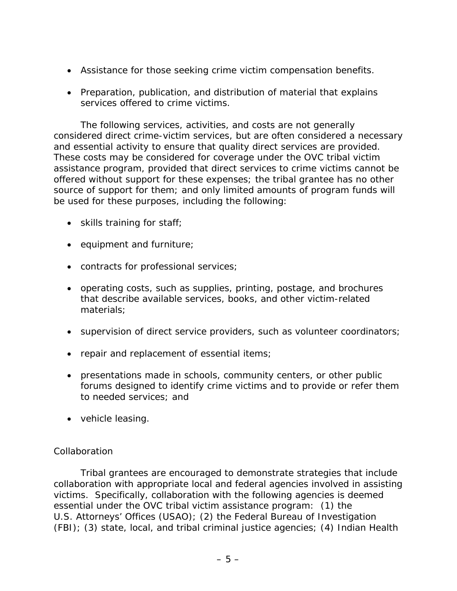- <span id="page-15-0"></span>• Assistance for those seeking crime victim compensation benefits.
- Preparation, publication, and distribution of material that explains services offered to crime victims.

The following services, activities, and costs are not generally considered direct crime-victim services, but are often considered a necessary and essential activity to ensure that quality direct services are provided. These costs may be considered for coverage under the OVC tribal victim assistance program, provided that direct services to crime victims cannot be offered without support for these expenses; the tribal grantee has no other source of support for them; and only limited amounts of program funds will be used for these purposes, including the following:

- skills training for staff;
- equipment and furniture;
- contracts for professional services;
- operating costs, such as supplies, printing, postage, and brochures that describe available services, books, and other victim-related materials;
- supervision of direct service providers, such as volunteer coordinators;
- repair and replacement of essential items;
- presentations made in schools, community centers, or other public forums designed to identify crime victims and to provide or refer them to needed services; and
- vehicle leasing.

# *Collaboration*

Tribal grantees are encouraged to demonstrate strategies that include collaboration with appropriate local and federal agencies involved in assisting victims. Specifically, collaboration with the following agencies is deemed essential under the OVC tribal victim assistance program: (1) the U.S. Attorneys' Offices (USAO); (2) the Federal Bureau of Investigation (FBI); (3) state, local, and tribal criminal justice agencies; (4) Indian Health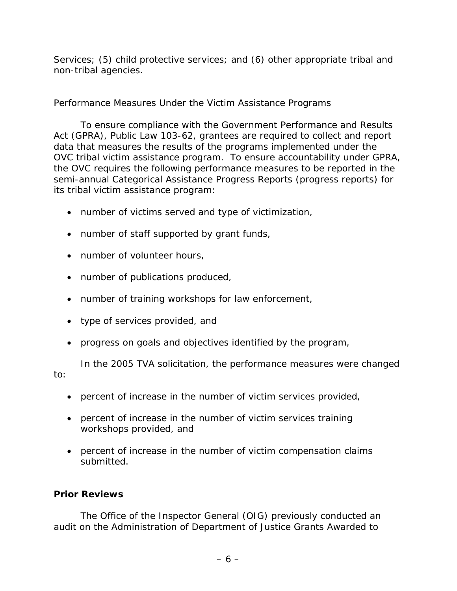<span id="page-16-0"></span>Services; (5) child protective services; and (6) other appropriate tribal and non-tribal agencies.

# *Performance Measures Under the Victim Assistance Programs*

To ensure compliance with the *Government Performance and Results Act (GPRA), Public Law 103-62*, grantees are required to collect and report data that measures the results of the programs implemented under the OVC tribal victim assistance program. To ensure accountability under GPRA, the OVC requires the following performance measures to be reported in the semi-annual Categorical Assistance Progress Reports (progress reports) for its tribal victim assistance program:

- number of victims served and type of victimization,
- number of staff supported by grant funds,
- number of volunteer hours,
- number of publications produced,
- number of training workshops for law enforcement,
- type of services provided, and
- progress on goals and objectives identified by the program,

In the 2005 TVA solicitation, the performance measures were changed to:

- percent of increase in the number of victim services provided,
- percent of increase in the number of victim services training workshops provided, and
- percent of increase in the number of victim compensation claims submitted.

# **Prior Reviews**

The Office of the Inspector General (OIG) previously conducted an audit on the *Administration of Department of Justice Grants Awarded to*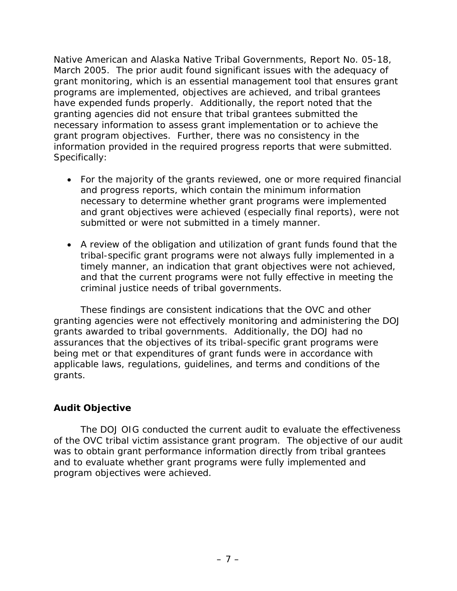<span id="page-17-0"></span>*Native American and Alaska Native Tribal Governments,* Report No. 05-18, March 2005. The prior audit found significant issues with the adequacy of grant monitoring, which is an essential management tool that ensures grant programs are implemented, objectives are achieved, and tribal grantees have expended funds properly. Additionally, the report noted that the granting agencies did not ensure that tribal grantees submitted the necessary information to assess grant implementation or to achieve the grant program objectives. Further, there was no consistency in the information provided in the required progress reports that were submitted. Specifically:

- For the majority of the grants reviewed, one or more required financial and progress reports, which contain the minimum information necessary to determine whether grant programs were implemented and grant objectives were achieved (especially final reports), were not submitted or were not submitted in a timely manner.
- A review of the obligation and utilization of grant funds found that the tribal-specific grant programs were not always fully implemented in a timely manner, an indication that grant objectives were not achieved, and that the current programs were not fully effective in meeting the criminal justice needs of tribal governments.

These findings are consistent indications that the OVC and other granting agencies were not effectively monitoring and administering the DOJ grants awarded to tribal governments. Additionally, the DOJ had no assurances that the objectives of its tribal-specific grant programs were being met or that expenditures of grant funds were in accordance with applicable laws, regulations, guidelines, and terms and conditions of the grants.

# **Audit Objective**

The DOJ OIG conducted the current audit to evaluate the effectiveness of the OVC tribal victim assistance grant program. The objective of our audit was to obtain grant performance information directly from tribal grantees and to evaluate whether grant programs were fully implemented and program objectives were achieved.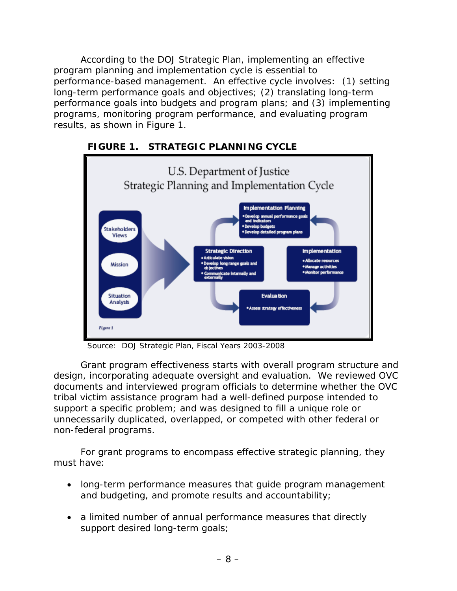According to the DOJ Strategic Plan, implementing an effective program planning and implementation cycle is essential to performance-based management. An effective cycle involves: (1) setting long-term performance goals and objectives; (2) translating long-term performance goals into budgets and program plans; and (3) implementing programs, monitoring program performance, and evaluating program results, as shown in Figure 1.



# **FIGURE 1. STRATEGIC PLANNING CYCLE**

Source: DOJ Strategic Plan, Fiscal Years 2003-2008

Grant program effectiveness starts with overall program structure and design, incorporating adequate oversight and evaluation. We reviewed OVC documents and interviewed program officials to determine whether the OVC tribal victim assistance program had a well-defined purpose intended to support a specific problem; and was designed to fill a unique role or unnecessarily duplicated, overlapped, or competed with other federal or non-federal programs.

For grant programs to encompass effective strategic planning, they must have:

- long-term performance measures that guide program management and budgeting, and promote results and accountability;
- a limited number of annual performance measures that directly support desired long-term goals;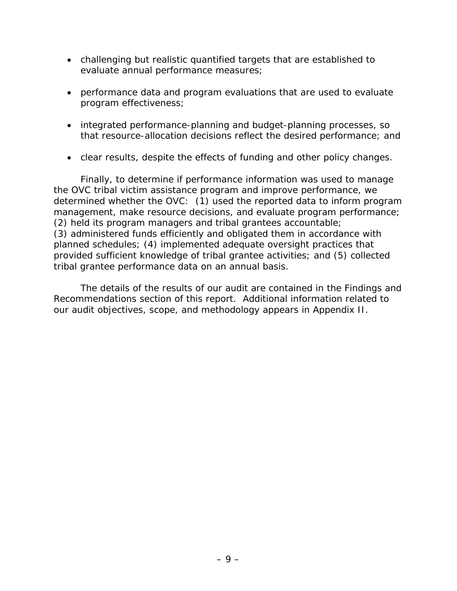- challenging but realistic quantified targets that are established to evaluate annual performance measures;
- performance data and program evaluations that are used to evaluate program effectiveness;
- integrated performance-planning and budget-planning processes, so that resource-allocation decisions reflect the desired performance; and
- clear results, despite the effects of funding and other policy changes.

Finally, to determine if performance information was used to manage the OVC tribal victim assistance program and improve performance, we determined whether the OVC: (1) used the reported data to inform program management, make resource decisions, and evaluate program performance; (2) held its program managers and tribal grantees accountable; (3) administered funds efficiently and obligated them in accordance with planned schedules; (4) implemented adequate oversight practices that provided sufficient knowledge of tribal grantee activities; and (5) collected tribal grantee performance data on an annual basis.

The details of the results of our audit are contained in the Findings and Recommendations section of this report. Additional information related to our audit objectives, scope, and methodology appears in Appendix II.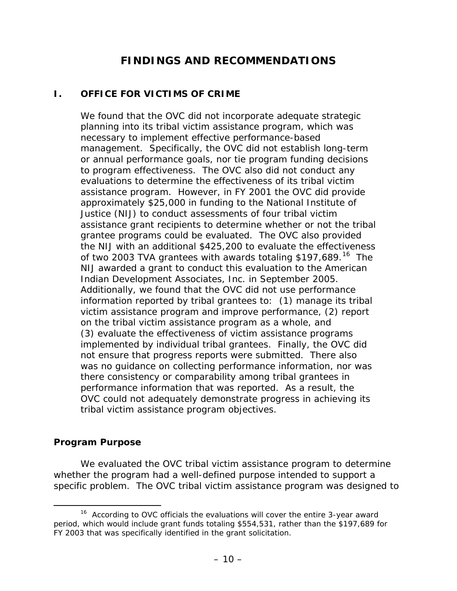# **FINDINGS AND RECOMMENDATIONS**

### <span id="page-20-0"></span>**I. OFFICE FOR VICTIMS OF CRIME**

We found that the OVC did not incorporate adequate strategic planning into its tribal victim assistance program, which was necessary to implement effective performance-based management. Specifically, the OVC did not establish long-term or annual performance goals, nor tie program funding decisions to program effectiveness. The OVC also did not conduct any evaluations to determine the effectiveness of its tribal victim assistance program. However, in FY 2001 the OVC did provide approximately \$25,000 in funding to the National Institute of Justice (NIJ) to conduct assessments of four tribal victim assistance grant recipients to determine whether or not the tribal grantee programs could be evaluated. The OVC also provided the NIJ with an additional \$425,200 to evaluate the effectiveness of two 2003 TVA grantees with awards totaling \$197,689.<sup>[16](#page-20-1)</sup> The NIJ awarded a grant to conduct this evaluation to the American Indian Development Associates, Inc. in September 2005. Additionally, we found that the OVC did not use performance information reported by tribal grantees to: (1) manage its tribal victim assistance program and improve performance, (2) report on the tribal victim assistance program as a whole, and (3) evaluate the effectiveness of victim assistance programs implemented by individual tribal grantees. Finally, the OVC did not ensure that progress reports were submitted. There also was no guidance on collecting performance information, nor was there consistency or comparability among tribal grantees in performance information that was reported. As a result, the OVC could not adequately demonstrate progress in achieving its tribal victim assistance program objectives.

#### **Program Purpose**

 We evaluated the OVC tribal victim assistance program to determine whether the program had a well-defined purpose intended to support a specific problem. The OVC tribal victim assistance program was designed to

<span id="page-20-1"></span><sup>&</sup>lt;sup>16</sup> According to OVC officials the evaluations will cover the entire 3-year award period, which would include grant funds totaling \$554,531, rather than the \$197,689 for FY 2003 that was specifically identified in the grant solicitation.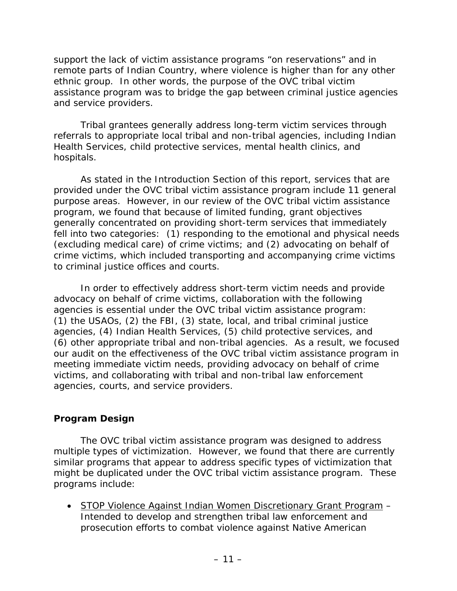<span id="page-21-0"></span>support the lack of victim assistance programs "on reservations" and in remote parts of Indian Country, where violence is higher than for any other ethnic group. In other words, the purpose of the OVC tribal victim assistance program was to bridge the gap between criminal justice agencies and service providers.

Tribal grantees generally address long-term victim services through referrals to appropriate local tribal and non-tribal agencies, including Indian Health Services, child protective services, mental health clinics, and hospitals.

As stated in the Introduction Section of this report, services that are provided under the OVC tribal victim assistance program include 11 general purpose areas. However, in our review of the OVC tribal victim assistance program, we found that because of limited funding, grant objectives generally concentrated on providing short-term services that immediately fell into two categories: (1) responding to the emotional and physical needs (excluding medical care) of crime victims; and (2) advocating on behalf of crime victims, which included transporting and accompanying crime victims to criminal justice offices and courts.

In order to effectively address short-term victim needs and provide advocacy on behalf of crime victims, collaboration with the following agencies is essential under the OVC tribal victim assistance program: (1) the USAOs, (2) the FBI, (3) state, local, and tribal criminal justice agencies, (4) Indian Health Services, (5) child protective services, and (6) other appropriate tribal and non-tribal agencies. As a result, we focused our audit on the effectiveness of the OVC tribal victim assistance program in meeting immediate victim needs, providing advocacy on behalf of crime victims, and collaborating with tribal and non-tribal law enforcement agencies, courts, and service providers.

#### **Program Design**

The OVC tribal victim assistance program was designed to address multiple types of victimization. However, we found that there are currently similar programs that appear to address specific types of victimization that might be duplicated under the OVC tribal victim assistance program. These programs include:

• STOP Violence Against Indian Women Discretionary Grant Program – Intended to develop and strengthen tribal law enforcement and prosecution efforts to combat violence against Native American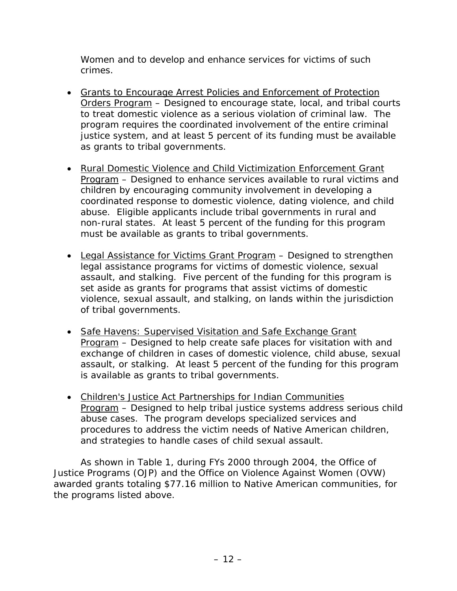Women and to develop and enhance services for victims of such crimes.

- Grants to Encourage Arrest Policies and Enforcement of Protection Orders Program – Designed to encourage state, local, and tribal courts to treat domestic violence as a serious violation of criminal law. The program requires the coordinated involvement of the entire criminal justice system, and at least 5 percent of its funding must be available as grants to tribal governments.
- Rural Domestic Violence and Child Victimization Enforcement Grant Program – Designed to enhance services available to rural victims and children by encouraging community involvement in developing a coordinated response to domestic violence, dating violence, and child abuse. Eligible applicants include tribal governments in rural and non-rural states. At least 5 percent of the funding for this program must be available as grants to tribal governments.
- Legal Assistance for Victims Grant Program Designed to strengthen legal assistance programs for victims of domestic violence, sexual assault, and stalking. Five percent of the funding for this program is set aside as grants for programs that assist victims of domestic violence, sexual assault, and stalking, on lands within the jurisdiction of tribal governments.
- Safe Havens: Supervised Visitation and Safe Exchange Grant Program – Designed to help create safe places for visitation with and exchange of children in cases of domestic violence, child abuse, sexual assault, or stalking. At least 5 percent of the funding for this program is available as grants to tribal governments.
- Children's Justice Act Partnerships for Indian Communities Program – Designed to help tribal justice systems address serious child abuse cases. The program develops specialized services and procedures to address the victim needs of Native American children, and strategies to handle cases of child sexual assault.

As shown in Table 1, during FYs 2000 through 2004, the Office of Justice Programs (OJP) and the Office on Violence Against Women (OVW) awarded grants totaling \$77.16 million to Native American communities, for the programs listed above.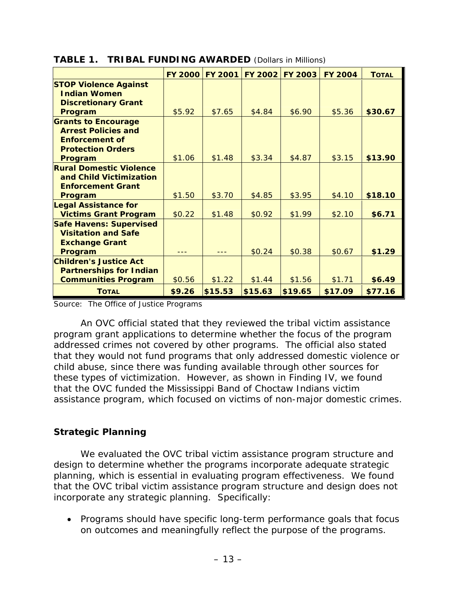|                                                                                                                          | <b>FY 2000</b> | <b>FY 2001</b> | <b>FY 2002</b> | <b>FY 2003</b> | <b>FY 2004</b> | <b>TOTAL</b> |
|--------------------------------------------------------------------------------------------------------------------------|----------------|----------------|----------------|----------------|----------------|--------------|
| <b>STOP Violence Against</b><br><b>Indian Women</b><br><b>Discretionary Grant</b><br>Program                             | \$5.92         | \$7.65         | \$4.84         | \$6.90         | \$5.36         | \$30.67      |
| <b>Grants to Encourage</b><br><b>Arrest Policies and</b><br><b>Enforcement of</b><br><b>Protection Orders</b><br>Program | \$1.06         | \$1.48         | \$3.34         | \$4.87         | \$3.15         | \$13.90      |
| <b>Rural Domestic Violence</b><br>and Child Victimization<br><b>Enforcement Grant</b><br>Program                         | \$1.50         | \$3.70         | \$4.85         | \$3.95         | \$4.10         | \$18.10      |
| <b>Legal Assistance for</b><br><b>Victims Grant Program</b>                                                              | \$0.22         | \$1.48         | \$0.92         | \$1.99         | \$2.10         | \$6.71       |
| <b>Safe Havens: Supervised</b><br><b>Visitation and Safe</b><br><b>Exchange Grant</b><br>Program                         |                |                | \$0.24         | \$0.38         | \$0.67         | \$1.29       |
| <b>Children's Justice Act</b><br><b>Partnerships for Indian</b><br><b>Communities Program</b>                            | \$0.56         | \$1.22         | \$1.44         | \$1.56         | \$1.71         | \$6.49       |
| <b>TOTAL</b>                                                                                                             | \$9.26         | \$15.53        | \$15.63        | \$19.65        | \$17.09        | \$77.16      |

<span id="page-23-0"></span>**TABLE 1. TRIBAL FUNDING AWARDED** (Dollars in Millions)

Source: The Office of Justice Programs

An OVC official stated that they reviewed the tribal victim assistance program grant applications to determine whether the focus of the program addressed crimes not covered by other programs. The official also stated that they would not fund programs that only addressed domestic violence or child abuse, since there was funding available through other sources for these types of victimization. However, as shown in Finding IV, we found that the OVC funded the Mississippi Band of Choctaw Indians victim assistance program, which focused on victims of non-major domestic crimes.

# **Strategic Planning**

We evaluated the OVC tribal victim assistance program structure and design to determine whether the programs incorporate adequate strategic planning, which is essential in evaluating program effectiveness. We found that the OVC tribal victim assistance program structure and design does not incorporate any strategic planning. Specifically:

• Programs should have specific long-term performance goals that focus on outcomes and meaningfully reflect the purpose of the programs.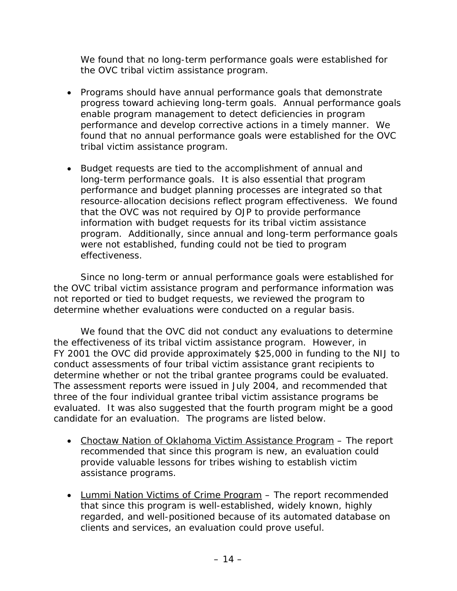We found that no long-term performance goals were established for the OVC tribal victim assistance program.

- Programs should have annual performance goals that demonstrate progress toward achieving long-term goals. Annual performance goals enable program management to detect deficiencies in program performance and develop corrective actions in a timely manner. We found that no annual performance goals were established for the OVC tribal victim assistance program.
- Budget requests are tied to the accomplishment of annual and long-term performance goals. It is also essential that program performance and budget planning processes are integrated so that resource-allocation decisions reflect program effectiveness. We found that the OVC was not required by OJP to provide performance information with budget requests for its tribal victim assistance program. Additionally, since annual and long-term performance goals were not established, funding could not be tied to program effectiveness.

Since no long-term or annual performance goals were established for the OVC tribal victim assistance program and performance information was not reported or tied to budget requests, we reviewed the program to determine whether evaluations were conducted on a regular basis.

We found that the OVC did not conduct any evaluations to determine the effectiveness of its tribal victim assistance program. However, in FY 2001 the OVC did provide approximately \$25,000 in funding to the NIJ to conduct assessments of four tribal victim assistance grant recipients to determine whether or not the tribal grantee programs could be evaluated. The assessment reports were issued in July 2004, and recommended that three of the four individual grantee tribal victim assistance programs be evaluated. It was also suggested that the fourth program might be a good candidate for an evaluation. The programs are listed below.

- Choctaw Nation of Oklahoma Victim Assistance Program The report recommended that since this program is new, an evaluation could provide valuable lessons for tribes wishing to establish victim assistance programs.
- Lummi Nation Victims of Crime Program The report recommended that since this program is well-established, widely known, highly regarded, and well-positioned because of its automated database on clients and services, an evaluation could prove useful.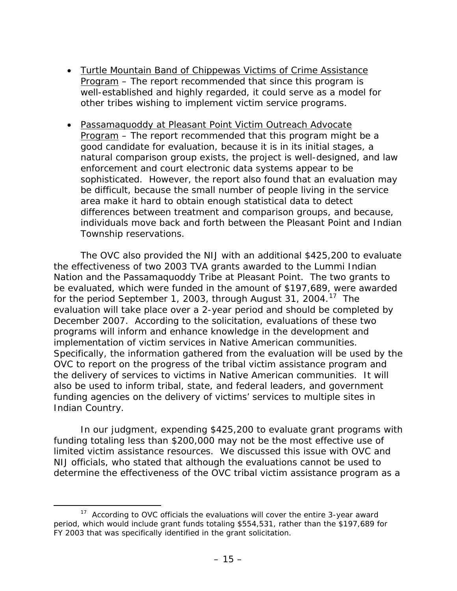- Turtle Mountain Band of Chippewas Victims of Crime Assistance Program – The report recommended that since this program is well-established and highly regarded, it could serve as a model for other tribes wishing to implement victim service programs.
- Passamaquoddy at Pleasant Point Victim Outreach Advocate Program – The report recommended that this program might be a good candidate for evaluation, because it is in its initial stages, a natural comparison group exists, the project is well-designed, and law enforcement and court electronic data systems appear to be sophisticated. However, the report also found that an evaluation may be difficult, because the small number of people living in the service area make it hard to obtain enough statistical data to detect differences between treatment and comparison groups, and because, individuals move back and forth between the Pleasant Point and Indian Township reservations.

The OVC also provided the NIJ with an additional \$425,200 to evaluate the effectiveness of two 2003 TVA grants awarded to the Lummi Indian Nation and the Passamaquoddy Tribe at Pleasant Point. The two grants to be evaluated, which were funded in the amount of \$197,689, were awarded for the period September [1](#page-25-0), 2003, through August 31, 2004.<sup>17</sup> The evaluation will take place over a 2-year period and should be completed by December 2007. According to the solicitation, evaluations of these two programs will inform and enhance knowledge in the development and implementation of victim services in Native American communities. Specifically, the information gathered from the evaluation will be used by the OVC to report on the progress of the tribal victim assistance program and the delivery of services to victims in Native American communities. It will also be used to inform tribal, state, and federal leaders, and government funding agencies on the delivery of victims' services to multiple sites in Indian Country.

In our judgment, expending \$425,200 to evaluate grant programs with funding totaling less than \$200,000 may not be the most effective use of limited victim assistance resources. We discussed this issue with OVC and NIJ officials, who stated that although the evaluations cannot be used to determine the effectiveness of the OVC tribal victim assistance program as a

<span id="page-25-0"></span> $17$  According to OVC officials the evaluations will cover the entire 3-year award period, which would include grant funds totaling \$554,531, rather than the \$197,689 for FY 2003 that was specifically identified in the grant solicitation.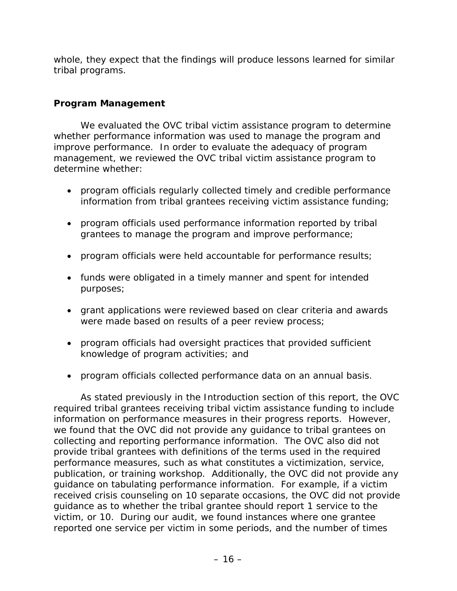<span id="page-26-0"></span>whole, they expect that the findings will produce lessons learned for similar tribal programs.

# **Program Management**

We evaluated the OVC tribal victim assistance program to determine whether performance information was used to manage the program and improve performance. In order to evaluate the adequacy of program management, we reviewed the OVC tribal victim assistance program to determine whether:

- program officials regularly collected timely and credible performance information from tribal grantees receiving victim assistance funding;
- program officials used performance information reported by tribal grantees to manage the program and improve performance;
- program officials were held accountable for performance results;
- funds were obligated in a timely manner and spent for intended purposes;
- grant applications were reviewed based on clear criteria and awards were made based on results of a peer review process;
- program officials had oversight practices that provided sufficient knowledge of program activities; and
- program officials collected performance data on an annual basis.

As stated previously in the Introduction section of this report, the OVC required tribal grantees receiving tribal victim assistance funding to include information on performance measures in their progress reports. However, we found that the OVC did not provide any guidance to tribal grantees on collecting and reporting performance information. The OVC also did not provide tribal grantees with definitions of the terms used in the required performance measures, such as what constitutes a victimization, service, publication, or training workshop. Additionally, the OVC did not provide any guidance on tabulating performance information. For example, if a victim received crisis counseling on 10 separate occasions, the OVC did not provide guidance as to whether the tribal grantee should report 1 service to the victim, or 10. During our audit, we found instances where one grantee reported one service per victim in some periods, and the number of times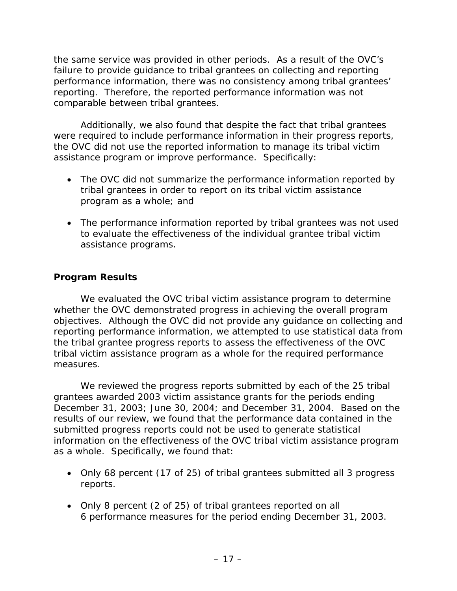<span id="page-27-0"></span>the same service was provided in other periods. As a result of the OVC's failure to provide guidance to tribal grantees on collecting and reporting performance information, there was no consistency among tribal grantees' reporting. Therefore, the reported performance information was not comparable between tribal grantees.

Additionally, we also found that despite the fact that tribal grantees were required to include performance information in their progress reports, the OVC did not use the reported information to manage its tribal victim assistance program or improve performance. Specifically:

- The OVC did not summarize the performance information reported by tribal grantees in order to report on its tribal victim assistance program as a whole; and
- The performance information reported by tribal grantees was not used to evaluate the effectiveness of the individual grantee tribal victim assistance programs.

# **Program Results**

We evaluated the OVC tribal victim assistance program to determine whether the OVC demonstrated progress in achieving the overall program objectives. Although the OVC did not provide any guidance on collecting and reporting performance information, we attempted to use statistical data from the tribal grantee progress reports to assess the effectiveness of the OVC tribal victim assistance program as a whole for the required performance measures.

We reviewed the progress reports submitted by each of the 25 tribal grantees awarded 2003 victim assistance grants for the periods ending December 31, 2003; June 30, 2004; and December 31, 2004. Based on the results of our review, we found that the performance data contained in the submitted progress reports could not be used to generate statistical information on the effectiveness of the OVC tribal victim assistance program as a whole. Specifically, we found that:

- Only 68 percent (17 of 25) of tribal grantees submitted all 3 progress reports.
- Only 8 percent (2 of 25) of tribal grantees reported on all 6 performance measures for the period ending December 31, 2003.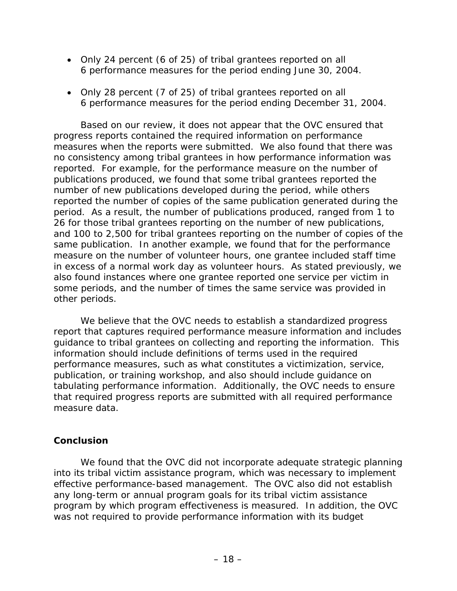- <span id="page-28-0"></span>• Only 24 percent (6 of 25) of tribal grantees reported on all 6 performance measures for the period ending June 30, 2004.
- Only 28 percent (7 of 25) of tribal grantees reported on all 6 performance measures for the period ending December 31, 2004.

Based on our review, it does not appear that the OVC ensured that progress reports contained the required information on performance measures when the reports were submitted. We also found that there was no consistency among tribal grantees in how performance information was reported. For example, for the performance measure on the number of publications produced, we found that some tribal grantees reported the number of new publications developed during the period, while others reported the number of copies of the same publication generated during the period. As a result, the number of publications produced, ranged from 1 to 26 for those tribal grantees reporting on the number of new publications, and 100 to 2,500 for tribal grantees reporting on the number of copies of the same publication. In another example, we found that for the performance measure on the number of volunteer hours, one grantee included staff time in excess of a normal work day as volunteer hours. As stated previously, we also found instances where one grantee reported one service per victim in some periods, and the number of times the same service was provided in other periods.

We believe that the OVC needs to establish a standardized progress report that captures required performance measure information and includes guidance to tribal grantees on collecting and reporting the information. This information should include definitions of terms used in the required performance measures, such as what constitutes a victimization, service, publication, or training workshop, and also should include guidance on tabulating performance information. Additionally, the OVC needs to ensure that required progress reports are submitted with all required performance measure data.

#### **Conclusion**

 We found that the OVC did not incorporate adequate strategic planning into its tribal victim assistance program, which was necessary to implement effective performance-based management. The OVC also did not establish any long-term or annual program goals for its tribal victim assistance program by which program effectiveness is measured. In addition, the OVC was not required to provide performance information with its budget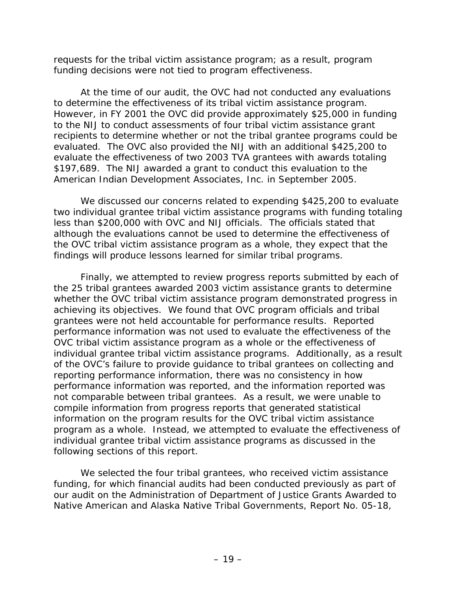requests for the tribal victim assistance program; as a result, program funding decisions were not tied to program effectiveness.

At the time of our audit, the OVC had not conducted any evaluations to determine the effectiveness of its tribal victim assistance program. However, in FY 2001 the OVC did provide approximately \$25,000 in funding to the NIJ to conduct assessments of four tribal victim assistance grant recipients to determine whether or not the tribal grantee programs could be evaluated. The OVC also provided the NIJ with an additional \$425,200 to evaluate the effectiveness of two 2003 TVA grantees with awards totaling \$197,689. The NIJ awarded a grant to conduct this evaluation to the American Indian Development Associates, Inc. in September 2005.

We discussed our concerns related to expending \$425,200 to evaluate two individual grantee tribal victim assistance programs with funding totaling less than \$200,000 with OVC and NIJ officials. The officials stated that although the evaluations cannot be used to determine the effectiveness of the OVC tribal victim assistance program as a whole, they expect that the findings will produce lessons learned for similar tribal programs.

Finally, we attempted to review progress reports submitted by each of the 25 tribal grantees awarded 2003 victim assistance grants to determine whether the OVC tribal victim assistance program demonstrated progress in achieving its objectives. We found that OVC program officials and tribal grantees were not held accountable for performance results. Reported performance information was not used to evaluate the effectiveness of the OVC tribal victim assistance program as a whole or the effectiveness of individual grantee tribal victim assistance programs. Additionally, as a result of the OVC's failure to provide guidance to tribal grantees on collecting and reporting performance information, there was no consistency in how performance information was reported, and the information reported was not comparable between tribal grantees. As a result, we were unable to compile information from progress reports that generated statistical information on the program results for the OVC tribal victim assistance program as a whole. Instead, we attempted to evaluate the effectiveness of individual grantee tribal victim assistance programs as discussed in the following sections of this report.

We selected the four tribal grantees, who received victim assistance funding, for which financial audits had been conducted previously as part of our audit on the *Administration of Department of Justice Grants Awarded to Native American and Alaska Native Tribal Governments,* Report No. 05-18,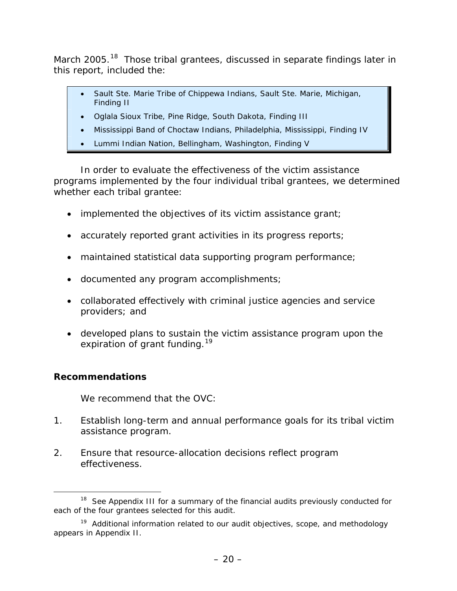<span id="page-30-0"></span>March 2005.<sup>[1](#page-30-1)8</sup> Those tribal grantees, discussed in separate findings later in this report, included the:

- Sault Ste. Marie Tribe of Chippewa Indians, Sault Ste. Marie, Michigan, Finding II
- Oglala Sioux Tribe, Pine Ridge, South Dakota, Finding III
- Mississippi Band of Choctaw Indians, Philadelphia, Mississippi, Finding IV
- Lummi Indian Nation, Bellingham, Washington, Finding V

In order to evaluate the effectiveness of the victim assistance programs implemented by the four individual tribal grantees, we determined whether each tribal grantee:

- implemented the objectives of its victim assistance grant;
- accurately reported grant activities in its progress reports;
- maintained statistical data supporting program performance;
- documented any program accomplishments;
- collaborated effectively with criminal justice agencies and service providers; and
- developed plans to sustain the victim assistance program upon the expiration of grant funding.<sup>[19](#page-30-2)</sup>

# **Recommendations**

We recommend that the OVC:

- 1. Establish long-term and annual performance goals for its tribal victim assistance program.
- 2. Ensure that resource-allocation decisions reflect program effectiveness.

<span id="page-30-1"></span><sup>&</sup>lt;sup>18</sup> See Appendix III for a summary of the financial audits previously conducted for each of the four grantees selected for this audit.

<span id="page-30-2"></span> $19$  Additional information related to our audit objectives, scope, and methodology appears in Appendix II.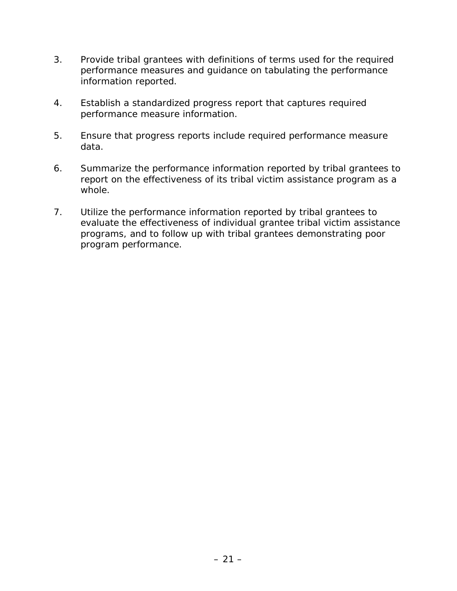- 3. Provide tribal grantees with definitions of terms used for the required performance measures and guidance on tabulating the performance information reported.
- 4. Establish a standardized progress report that captures required performance measure information.
- 5. Ensure that progress reports include required performance measure data.
- 6. Summarize the performance information reported by tribal grantees to report on the effectiveness of its tribal victim assistance program as a whole.
- 7. Utilize the performance information reported by tribal grantees to evaluate the effectiveness of individual grantee tribal victim assistance programs, and to follow up with tribal grantees demonstrating poor program performance.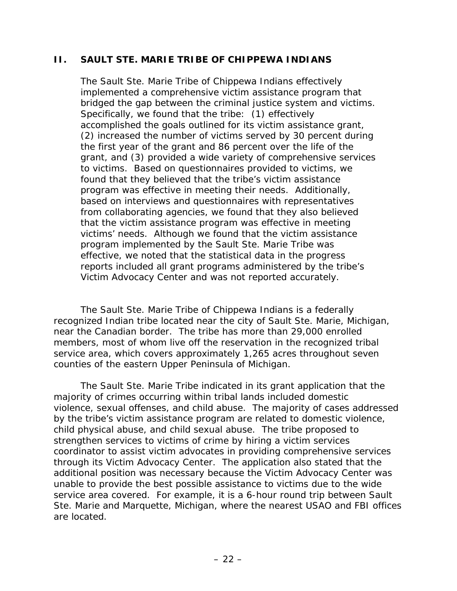#### <span id="page-32-0"></span>**II. SAULT STE. MARIE TRIBE OF CHIPPEWA INDIANS**

The Sault Ste. Marie Tribe of Chippewa Indians effectively implemented a comprehensive victim assistance program that bridged the gap between the criminal justice system and victims. Specifically, we found that the tribe: (1) effectively accomplished the goals outlined for its victim assistance grant, (2) increased the number of victims served by 30 percent during the first year of the grant and 86 percent over the life of the grant, and (3) provided a wide variety of comprehensive services to victims. Based on questionnaires provided to victims, we found that they believed that the tribe's victim assistance program was effective in meeting their needs. Additionally, based on interviews and questionnaires with representatives from collaborating agencies, we found that they also believed that the victim assistance program was effective in meeting victims' needs. Although we found that the victim assistance program implemented by the Sault Ste. Marie Tribe was effective, we noted that the statistical data in the progress reports included all grant programs administered by the tribe's Victim Advocacy Center and was not reported accurately.

The Sault Ste. Marie Tribe of Chippewa Indians is a federally recognized Indian tribe located near the city of Sault Ste. Marie, Michigan, near the Canadian border. The tribe has more than 29,000 enrolled members, most of whom live off the reservation in the recognized tribal service area, which covers approximately 1,265 acres throughout seven counties of the eastern Upper Peninsula of Michigan.

The Sault Ste. Marie Tribe indicated in its grant application that the majority of crimes occurring within tribal lands included domestic violence, sexual offenses, and child abuse. The majority of cases addressed by the tribe's victim assistance program are related to domestic violence, child physical abuse, and child sexual abuse. The tribe proposed to strengthen services to victims of crime by hiring a victim services coordinator to assist victim advocates in providing comprehensive services through its Victim Advocacy Center. The application also stated that the additional position was necessary because the Victim Advocacy Center was unable to provide the best possible assistance to victims due to the wide service area covered. For example, it is a 6-hour round trip between Sault Ste. Marie and Marquette, Michigan, where the nearest USAO and FBI offices are located.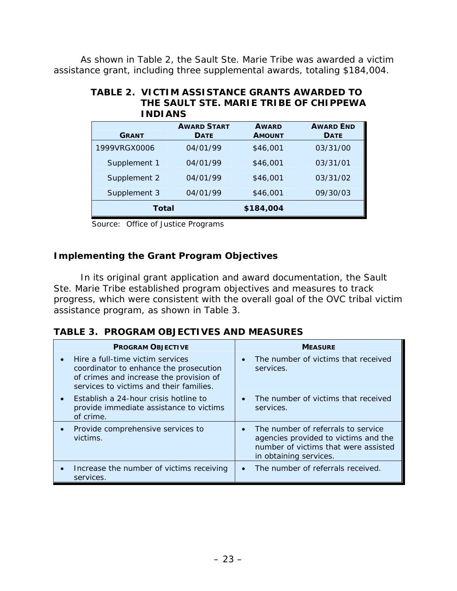<span id="page-33-0"></span>As shown in Table 2, the Sault Ste. Marie Tribe was awarded a victim assistance grant, including three supplemental awards, totaling \$184,004.

| <b>INDIANS</b> |                                   |                               |                                 |
|----------------|-----------------------------------|-------------------------------|---------------------------------|
| <b>GRANT</b>   | <b>AWARD START</b><br><b>DATE</b> | <b>AWARD</b><br><b>AMOUNT</b> | <b>AWARD END</b><br><b>DATE</b> |
| 1999VRGX0006   | 04/01/99                          | \$46,001                      | 03/31/00                        |
| Supplement 1   | 04/01/99                          | \$46,001                      | 03/31/01                        |
| Supplement 2   | 04/01/99                          | \$46,001                      | 03/31/02                        |
| Supplement 3   | 04/01/99                          | \$46,001                      | 09/30/03                        |
| Total          |                                   | \$184,004                     |                                 |

# **TABLE 2. VICTIM ASSISTANCE GRANTS AWARDED TO THE SAULT STE. MARIE TRIBE OF CHIPPEWA**

Source: Office of Justice Programs

# **Implementing the Grant Program Objectives**

In its original grant application and award documentation, the Sault Ste. Marie Tribe established program objectives and measures to track progress, which were consistent with the overall goal of the OVC tribal victim assistance program, as shown in Table 3.

|  |  |  | <b>TABLE 3. PROGRAM OBJECTIVES AND MEASURES</b> |
|--|--|--|-------------------------------------------------|
|--|--|--|-------------------------------------------------|

| <b>PROGRAM OBJECTIVE</b>                                                                                                                                         | <b>MEASURE</b>                                                                                                                                            |  |  |
|------------------------------------------------------------------------------------------------------------------------------------------------------------------|-----------------------------------------------------------------------------------------------------------------------------------------------------------|--|--|
| Hire a full-time victim services<br>coordinator to enhance the prosecution<br>of crimes and increase the provision of<br>services to victims and their families. | The number of victims that received<br>$\bullet$<br>services.                                                                                             |  |  |
| Establish a 24-hour crisis hotline to<br>provide immediate assistance to victims<br>of crime.                                                                    | The number of victims that received<br>$\bullet$<br>services.                                                                                             |  |  |
| Provide comprehensive services to<br>victims.                                                                                                                    | The number of referrals to service<br>$\bullet$<br>agencies provided to victims and the<br>number of victims that were assisted<br>in obtaining services. |  |  |
| Increase the number of victims receiving<br>services.                                                                                                            | The number of referrals received.<br>$\bullet$                                                                                                            |  |  |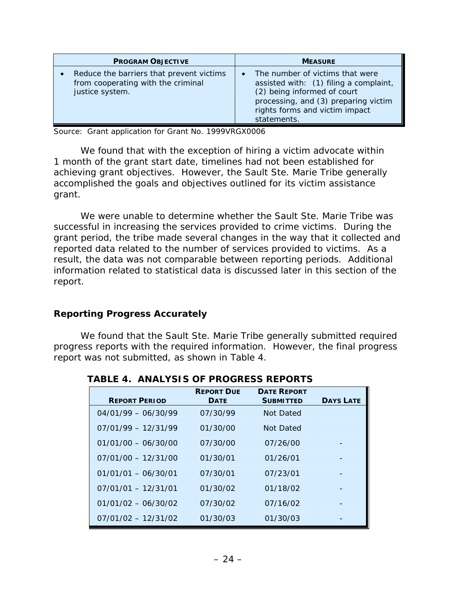<span id="page-34-0"></span>

| <b>PROGRAM OBJECTIVE</b>                                                                          | <b>MEASURE</b>                                                                                                                                                                                                 |
|---------------------------------------------------------------------------------------------------|----------------------------------------------------------------------------------------------------------------------------------------------------------------------------------------------------------------|
| Reduce the barriers that prevent victims<br>from cooperating with the criminal<br>justice system. | The number of victims that were<br>$\bullet$<br>assisted with: (1) filing a complaint,<br>(2) being informed of court<br>processing, and (3) preparing victim<br>rights forms and victim impact<br>statements. |

Source: Grant application for Grant No. 1999VRGX0006

We found that with the exception of hiring a victim advocate within 1 month of the grant start date, timelines had not been established for achieving grant objectives. However, the Sault Ste. Marie Tribe generally accomplished the goals and objectives outlined for its victim assistance grant.

We were unable to determine whether the Sault Ste. Marie Tribe was successful in increasing the services provided to crime victims. During the grant period, the tribe made several changes in the way that it collected and reported data related to the number of services provided to victims. As a result, the data was not comparable between reporting periods. Additional information related to statistical data is discussed later in this section of the report.

#### **Reporting Progress Accurately**

We found that the Sault Ste. Marie Tribe generally submitted required progress reports with the required information. However, the final progress report was not submitted, as shown in Table 4.

| <b>REPORT PERIOD</b>  | <b>REPORT DUE</b><br><b>DATE</b> | <b>DATE REPORT</b><br><b>SUBMITTED</b> | <b>DAYS LATE</b> |
|-----------------------|----------------------------------|----------------------------------------|------------------|
| $04/01/99 - 06/30/99$ | 07/30/99                         | Not Dated                              |                  |
| $07/01/99 - 12/31/99$ | 01/30/00                         | Not Dated                              |                  |
| $01/01/00 - 06/30/00$ | 07/30/00                         | 07/26/00                               |                  |
| $07/01/00 - 12/31/00$ | 01/30/01                         | 01/26/01                               |                  |
| $01/01/01 - 06/30/01$ | 07/30/01                         | 07/23/01                               |                  |
| $07/01/01 - 12/31/01$ | 01/30/02                         | 01/18/02                               |                  |
| $01/01/02 - 06/30/02$ | 07/30/02                         | 07/16/02                               |                  |
| $07/01/02 - 12/31/02$ | 01/30/03                         | 01/30/03                               |                  |

**TABLE 4. ANALYSIS OF PROGRESS REPORTS**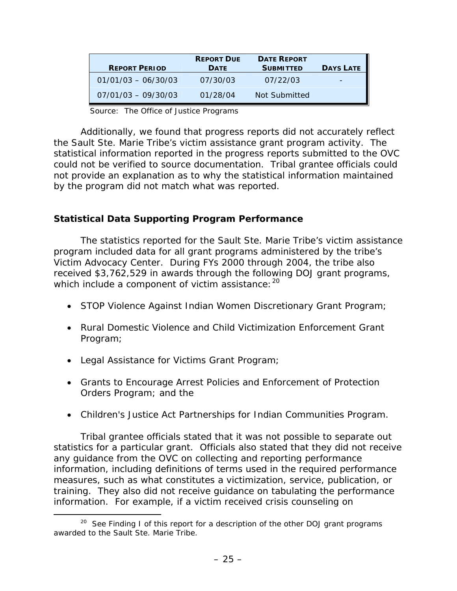<span id="page-35-0"></span>

| <b>REPORT PERIOD</b>  | <b>REPORT DUE</b><br><b>DATE</b> | <b>DATE REPORT</b><br><b>SUBMITTED</b> | <b>DAYS LATE</b> |
|-----------------------|----------------------------------|----------------------------------------|------------------|
| $01/01/03 - 06/30/03$ | 07/30/03                         | 07/22/03                               |                  |
| $07/01/03 - 09/30/03$ | 01/28/04                         | Not Submitted                          |                  |

Source: The Office of Justice Programs

Additionally, we found that progress reports did not accurately reflect the Sault Ste. Marie Tribe's victim assistance grant program activity. The statistical information reported in the progress reports submitted to the OVC could not be verified to source documentation. Tribal grantee officials could not provide an explanation as to why the statistical information maintained by the program did not match what was reported.

# **Statistical Data Supporting Program Performance**

The statistics reported for the Sault Ste. Marie Tribe's victim assistance program included data for all grant programs administered by the tribe's Victim Advocacy Center. During FYs 2000 through 2004, the tribe also received \$3,762,529 in awards through the following DOJ grant programs, which include a component of victim assistance: <sup>[20](#page-35-1)</sup>

- STOP Violence Against Indian Women Discretionary Grant Program;
- Rural Domestic Violence and Child Victimization Enforcement Grant Program;
- Legal Assistance for Victims Grant Program;
- Grants to Encourage Arrest Policies and Enforcement of Protection Orders Program; and the
- Children's Justice Act Partnerships for Indian Communities Program.

Tribal grantee officials stated that it was not possible to separate out statistics for a particular grant. Officials also stated that they did not receive any guidance from the OVC on collecting and reporting performance information, including definitions of terms used in the required performance measures, such as what constitutes a victimization, service, publication, or training. They also did not receive guidance on tabulating the performance information. For example, if a victim received crisis counseling on

<span id="page-35-1"></span> $20$  See Finding I of this report for a description of the other DOJ grant programs awarded to the Sault Ste. Marie Tribe.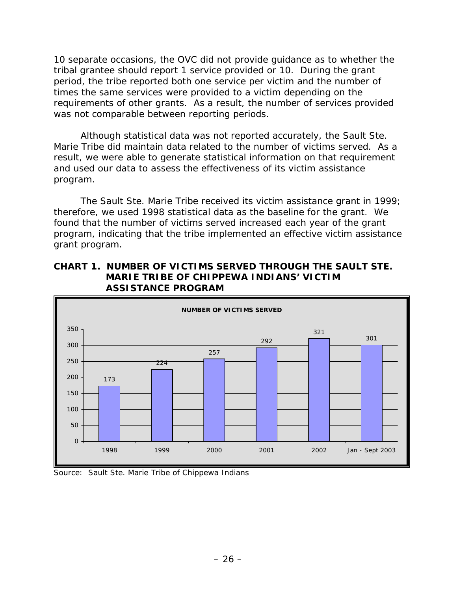10 separate occasions, the OVC did not provide guidance as to whether the tribal grantee should report 1 service provided or 10. During the grant period, the tribe reported both one service per victim and the number of times the same services were provided to a victim depending on the requirements of other grants. As a result, the number of services provided was not comparable between reporting periods.

Although statistical data was not reported accurately, the Sault Ste. Marie Tribe did maintain data related to the number of victims served. As a result, we were able to generate statistical information on that requirement and used our data to assess the effectiveness of its victim assistance program.

The Sault Ste. Marie Tribe received its victim assistance grant in 1999; therefore, we used 1998 statistical data as the baseline for the grant. We found that the number of victims served increased each year of the grant program, indicating that the tribe implemented an effective victim assistance grant program.

#### **CHART 1. NUMBER OF VICTIMS SERVED THROUGH THE SAULT STE. MARIE TRIBE OF CHIPPEWA INDIANS' VICTIM ASSISTANCE PROGRAM**



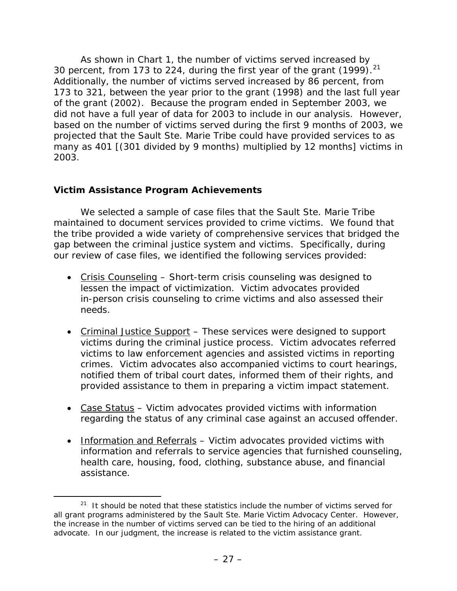As shown in Chart 1, the number of victims served increased by 30 percent, from 173 to [2](#page-37-0)24, during the first year of the grant  $(1999)$ .<sup>21</sup> Additionally, the number of victims served increased by 86 percent, from 173 to 321, between the year prior to the grant (1998) and the last full year of the grant (2002). Because the program ended in September 2003, we did not have a full year of data for 2003 to include in our analysis. However, based on the number of victims served during the first 9 months of 2003, we projected that the Sault Ste. Marie Tribe could have provided services to as many as 401 [(301 divided by 9 months) multiplied by 12 months] victims in 2003.

## **Victim Assistance Program Achievements**

We selected a sample of case files that the Sault Ste. Marie Tribe maintained to document services provided to crime victims. We found that the tribe provided a wide variety of comprehensive services that bridged the gap between the criminal justice system and victims. Specifically, during our review of case files, we identified the following services provided:

- Crisis Counseling Short-term crisis counseling was designed to lessen the impact of victimization. Victim advocates provided in-person crisis counseling to crime victims and also assessed their needs.
- Criminal Justice Support These services were designed to support victims during the criminal justice process. Victim advocates referred victims to law enforcement agencies and assisted victims in reporting crimes. Victim advocates also accompanied victims to court hearings, notified them of tribal court dates, informed them of their rights, and provided assistance to them in preparing a victim impact statement.
- Case Status Victim advocates provided victims with information regarding the status of any criminal case against an accused offender.
- Information and Referrals Victim advocates provided victims with information and referrals to service agencies that furnished counseling, health care, housing, food, clothing, substance abuse, and financial assistance.

<span id="page-37-0"></span> $21$  It should be noted that these statistics include the number of victims served for all grant programs administered by the Sault Ste. Marie Victim Advocacy Center. However, the increase in the number of victims served can be tied to the hiring of an additional advocate. In our judgment, the increase is related to the victim assistance grant.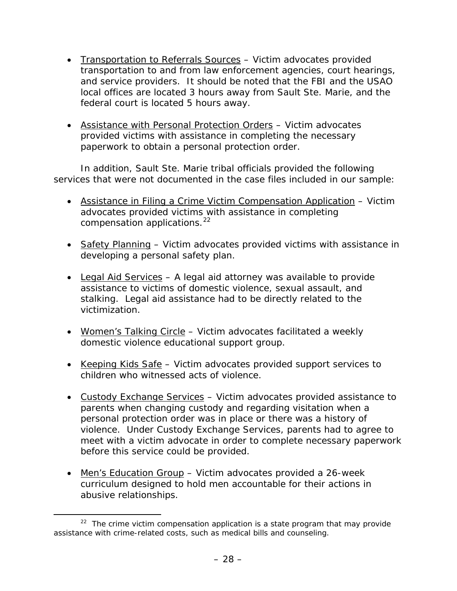- Transportation to Referrals Sources Victim advocates provided transportation to and from law enforcement agencies, court hearings, and service providers. It should be noted that the FBI and the USAO local offices are located 3 hours away from Sault Ste. Marie, and the federal court is located 5 hours away.
- Assistance with Personal Protection Orders Victim advocates provided victims with assistance in completing the necessary paperwork to obtain a personal protection order.

In addition, Sault Ste. Marie tribal officials provided the following services that were not documented in the case files included in our sample:

- Assistance in Filing a Crime Victim Compensation Application Victim advocates provided victims with assistance in completing compensation applications.<sup>[2](#page-38-0)2</sup>
- Safety Planning Victim advocates provided victims with assistance in developing a personal safety plan.
- Legal Aid Services  $-$  A legal aid attorney was available to provide assistance to victims of domestic violence, sexual assault, and stalking. Legal aid assistance had to be directly related to the victimization.
- Women's Talking Circle Victim advocates facilitated a weekly domestic violence educational support group.
- Keeping Kids Safe Victim advocates provided support services to children who witnessed acts of violence.
- Custody Exchange Services Victim advocates provided assistance to parents when changing custody and regarding visitation when a personal protection order was in place or there was a history of violence. Under Custody Exchange Services, parents had to agree to meet with a victim advocate in order to complete necessary paperwork before this service could be provided.
- Men's Education Group Victim advocates provided a 26-week curriculum designed to hold men accountable for their actions in abusive relationships.

<span id="page-38-0"></span> $22$  The crime victim compensation application is a state program that may provide assistance with crime-related costs, such as medical bills and counseling.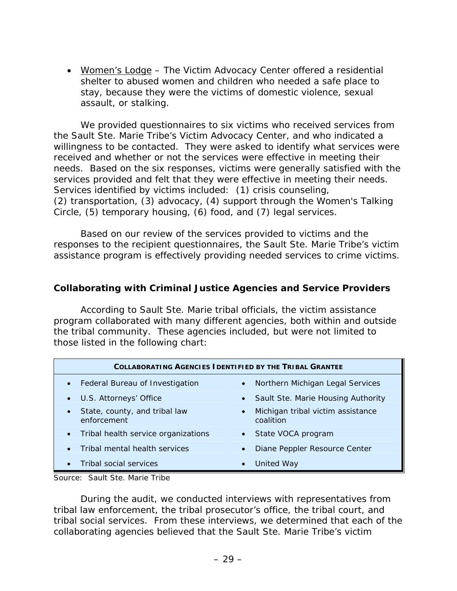• Women's Lodge – The Victim Advocacy Center offered a residential shelter to abused women and children who needed a safe place to stay, because they were the victims of domestic violence, sexual assault, or stalking.

We provided questionnaires to six victims who received services from the Sault Ste. Marie Tribe's Victim Advocacy Center, and who indicated a willingness to be contacted. They were asked to identify what services were received and whether or not the services were effective in meeting their needs. Based on the six responses, victims were generally satisfied with the services provided and felt that they were effective in meeting their needs. Services identified by victims included: (1) crisis counseling, (2) transportation, (3) advocacy, (4) support through the Women's Talking Circle, (5) temporary housing, (6) food, and (7) legal services.

Based on our review of the services provided to victims and the responses to the recipient questionnaires, the Sault Ste. Marie Tribe's victim assistance program is effectively providing needed services to crime victims.

#### **Collaborating with Criminal Justice Agencies and Service Providers**

According to Sault Ste. Marie tribal officials, the victim assistance program collaborated with many different agencies, both within and outside the tribal community. These agencies included, but were not limited to those listed in the following chart:

| <b>COLLABORATING AGENCIES IDENTIFIED BY THE TRIBAL GRANTEE</b> |                                                             |  |  |  |  |  |
|----------------------------------------------------------------|-------------------------------------------------------------|--|--|--|--|--|
| Federal Bureau of Investigation<br>$\bullet$                   | Northern Michigan Legal Services<br>$\bullet$               |  |  |  |  |  |
| U.S. Attorneys' Office                                         | Sault Ste. Marie Housing Authority<br>$\bullet$             |  |  |  |  |  |
| State, county, and tribal law<br>enforcement                   | Michigan tribal victim assistance<br>$\bullet$<br>coalition |  |  |  |  |  |
| Tribal health service organizations<br>$\bullet$               | State VOCA program<br>$\bullet$                             |  |  |  |  |  |
| Tribal mental health services                                  | Diane Peppler Resource Center<br>$\bullet$                  |  |  |  |  |  |
| Tribal social services                                         | <b>United Way</b><br>$\bullet$                              |  |  |  |  |  |

Source: Sault Ste. Marie Tribe

During the audit, we conducted interviews with representatives from tribal law enforcement, the tribal prosecutor's office, the tribal court, and tribal social services. From these interviews, we determined that each of the collaborating agencies believed that the Sault Ste. Marie Tribe's victim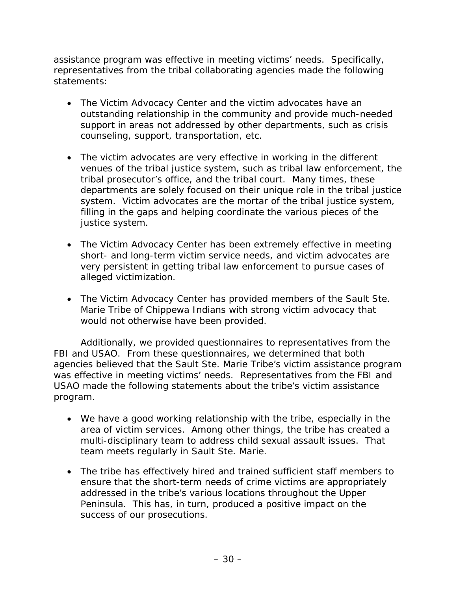assistance program was effective in meeting victims' needs. Specifically, representatives from the tribal collaborating agencies made the following statements:

- The Victim Advocacy Center and the victim advocates have an outstanding relationship in the community and provide much-needed support in areas not addressed by other departments, such as crisis counseling, support, transportation, etc.
- The victim advocates are very effective in working in the different venues of the tribal justice system, such as tribal law enforcement, the tribal prosecutor's office, and the tribal court. Many times, these departments are solely focused on their unique role in the tribal justice system. Victim advocates are the mortar of the tribal justice system, filling in the gaps and helping coordinate the various pieces of the justice system.
- The Victim Advocacy Center has been extremely effective in meeting short- and long-term victim service needs, and victim advocates are very persistent in getting tribal law enforcement to pursue cases of alleged victimization.
- The Victim Advocacy Center has provided members of the Sault Ste. Marie Tribe of Chippewa Indians with strong victim advocacy that would not otherwise have been provided.

Additionally, we provided questionnaires to representatives from the FBI and USAO. From these questionnaires, we determined that both agencies believed that the Sault Ste. Marie Tribe's victim assistance program was effective in meeting victims' needs. Representatives from the FBI and USAO made the following statements about the tribe's victim assistance program.

- We have a good working relationship with the tribe, especially in the area of victim services. Among other things, the tribe has created a multi-disciplinary team to address child sexual assault issues. That team meets regularly in Sault Ste. Marie.
- The tribe has effectively hired and trained sufficient staff members to ensure that the short-term needs of crime victims are appropriately addressed in the tribe's various locations throughout the Upper Peninsula. This has, in turn, produced a positive impact on the success of our prosecutions.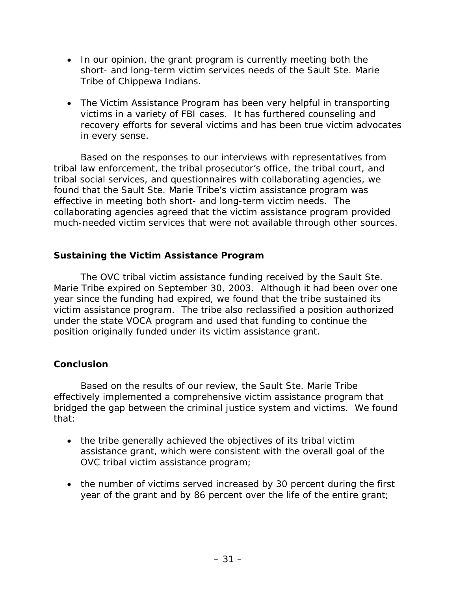- In our opinion, the grant program is currently meeting both the short- and long-term victim services needs of the Sault Ste. Marie Tribe of Chippewa Indians.
- The Victim Assistance Program has been very helpful in transporting victims in a variety of FBI cases. It has furthered counseling and recovery efforts for several victims and has been true victim advocates in every sense.

Based on the responses to our interviews with representatives from tribal law enforcement, the tribal prosecutor's office, the tribal court, and tribal social services, and questionnaires with collaborating agencies, we found that the Sault Ste. Marie Tribe's victim assistance program was effective in meeting both short- and long-term victim needs. The collaborating agencies agreed that the victim assistance program provided much-needed victim services that were not available through other sources.

# **Sustaining the Victim Assistance Program**

The OVC tribal victim assistance funding received by the Sault Ste. Marie Tribe expired on September 30, 2003. Although it had been over one year since the funding had expired, we found that the tribe sustained its victim assistance program. The tribe also reclassified a position authorized under the state VOCA program and used that funding to continue the position originally funded under its victim assistance grant.

# **Conclusion**

Based on the results of our review, the Sault Ste. Marie Tribe effectively implemented a comprehensive victim assistance program that bridged the gap between the criminal justice system and victims. We found that:

- the tribe generally achieved the objectives of its tribal victim assistance grant, which were consistent with the overall goal of the OVC tribal victim assistance program;
- the number of victims served increased by 30 percent during the first year of the grant and by 86 percent over the life of the entire grant;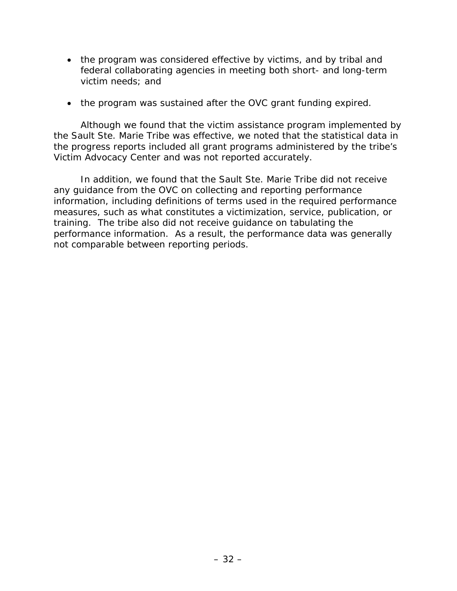- the program was considered effective by victims, and by tribal and federal collaborating agencies in meeting both short- and long-term victim needs; and
- the program was sustained after the OVC grant funding expired.

Although we found that the victim assistance program implemented by the Sault Ste. Marie Tribe was effective, we noted that the statistical data in the progress reports included all grant programs administered by the tribe's Victim Advocacy Center and was not reported accurately.

In addition, we found that the Sault Ste. Marie Tribe did not receive any guidance from the OVC on collecting and reporting performance information, including definitions of terms used in the required performance measures, such as what constitutes a victimization, service, publication, or training. The tribe also did not receive guidance on tabulating the performance information. As a result, the performance data was generally not comparable between reporting periods.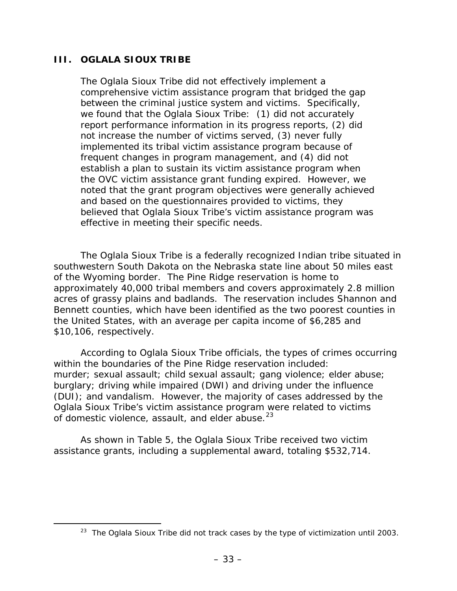#### **III. OGLALA SIOUX TRIBE**

The Oglala Sioux Tribe did not effectively implement a comprehensive victim assistance program that bridged the gap between the criminal justice system and victims. Specifically, we found that the Oglala Sioux Tribe: (1) did not accurately report performance information in its progress reports, (2) did not increase the number of victims served, (3) never fully implemented its tribal victim assistance program because of frequent changes in program management, and (4) did not establish a plan to sustain its victim assistance program when the OVC victim assistance grant funding expired. However, we noted that the grant program objectives were generally achieved and based on the questionnaires provided to victims, they believed that Oglala Sioux Tribe's victim assistance program was effective in meeting their specific needs.

The Oglala Sioux Tribe is a federally recognized Indian tribe situated in southwestern South Dakota on the Nebraska state line about 50 miles east of the Wyoming border. The Pine Ridge reservation is home to approximately 40,000 tribal members and covers approximately 2.8 million acres of grassy plains and badlands. The reservation includes Shannon and Bennett counties, which have been identified as the two poorest counties in the United States, with an average per capita income of \$6,285 and \$10,106, respectively.

According to Oglala Sioux Tribe officials, the types of crimes occurring within the boundaries of the Pine Ridge reservation included: murder; sexual assault; child sexual assault; gang violence; elder abuse; burglary; driving while impaired (DWI) and driving under the influence (DUI); and vandalism. However, the majority of cases addressed by the Oglala Sioux Tribe's victim assistance program were related to victims of domestic violence, assault, and elder abuse.<sup>[2](#page-43-0)3</sup>

 As shown in Table 5, the Oglala Sioux Tribe received two victim assistance grants, including a supplemental award, totaling \$532,714.

<span id="page-43-0"></span><sup>&</sup>lt;sup>23</sup> The Oglala Sioux Tribe did not track cases by the type of victimization until 2003.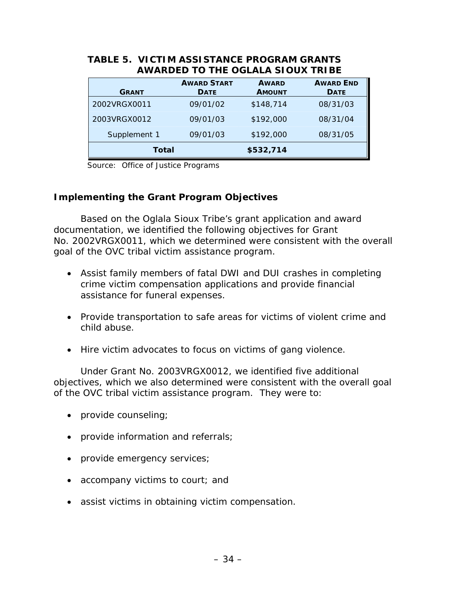| /\\\/\\\DLD   \D    L \D\L/\L/\\DI\DV/\   \ DL |                                   |                               |                                 |  |  |  |  |
|------------------------------------------------|-----------------------------------|-------------------------------|---------------------------------|--|--|--|--|
| <b>GRANT</b>                                   | <b>AWARD START</b><br><b>DATE</b> | <b>AWARD</b><br><b>AMOUNT</b> | <b>AWARD END</b><br><b>DATE</b> |  |  |  |  |
| 2002VRGX0011                                   | 09/01/02                          | \$148,714                     | 08/31/03                        |  |  |  |  |
| 2003VRGX0012                                   | 09/01/03                          | \$192,000                     | 08/31/04                        |  |  |  |  |
| Supplement 1                                   | 09/01/03                          | \$192,000                     | 08/31/05                        |  |  |  |  |
| Total                                          |                                   | \$532,714                     |                                 |  |  |  |  |

#### **TABLE 5. VICTIM ASSISTANCE PROGRAM GRANTS AWARDED TO THE OGLALA SIOUX TRIBE**

Source: Office of Justice Programs

#### **Implementing the Grant Program Objectives**

Based on the Oglala Sioux Tribe's grant application and award documentation, we identified the following objectives for Grant No. 2002VRGX0011, which we determined were consistent with the overall goal of the OVC tribal victim assistance program.

- Assist family members of fatal DWI and DUI crashes in completing crime victim compensation applications and provide financial assistance for funeral expenses.
- Provide transportation to safe areas for victims of violent crime and child abuse.
- Hire victim advocates to focus on victims of gang violence.

Under Grant No. 2003VRGX0012, we identified five additional objectives, which we also determined were consistent with the overall goal of the OVC tribal victim assistance program. They were to:

- provide counseling;
- provide information and referrals;
- provide emergency services;
- accompany victims to court; and
- assist victims in obtaining victim compensation.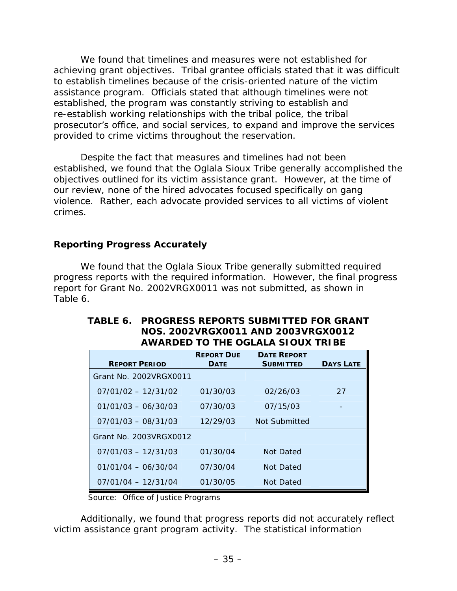We found that timelines and measures were not established for achieving grant objectives. Tribal grantee officials stated that it was difficult to establish timelines because of the crisis-oriented nature of the victim assistance program. Officials stated that although timelines were not established, the program was constantly striving to establish and re-establish working relationships with the tribal police, the tribal prosecutor's office, and social services, to expand and improve the services provided to crime victims throughout the reservation.

Despite the fact that measures and timelines had not been established, we found that the Oglala Sioux Tribe generally accomplished the objectives outlined for its victim assistance grant. However, at the time of our review, none of the hired advocates focused specifically on gang violence. Rather, each advocate provided services to all victims of violent crimes.

## **Reporting Progress Accurately**

We found that the Oglala Sioux Tribe generally submitted required progress reports with the required information. However, the final progress report for Grant No. 2002VRGX0011 was not submitted, as shown in Table 6.

| <b>REPORT PERIOD</b>   | <b>REPORT DUE</b><br><b>DATE</b> | <b>DATE REPORT</b><br><b>SUBMITTED</b> | <b>DAYS LATE</b> |
|------------------------|----------------------------------|----------------------------------------|------------------|
| Grant No. 2002VRGX0011 |                                  |                                        |                  |
|                        |                                  |                                        |                  |
| $07/01/02 - 12/31/02$  | 01/30/03                         | 02/26/03                               | 27               |
| $01/01/03 - 06/30/03$  | 07/30/03                         | 07/15/03                               |                  |
| $07/01/03 - 08/31/03$  | 12/29/03                         | Not Submitted                          |                  |
| Grant No. 2003VRGX0012 |                                  |                                        |                  |
| $07/01/03 - 12/31/03$  | 01/30/04                         | Not Dated                              |                  |
| $01/01/04 - 06/30/04$  | 07/30/04                         | Not Dated                              |                  |
| $07/01/04 - 12/31/04$  | 01/30/05                         | Not Dated                              |                  |

#### **TABLE 6. PROGRESS REPORTS SUBMITTED FOR GRANT NOS. 2002VRGX0011 AND 2003VRGX0012 AWARDED TO THE OGLALA SIOUX TRIBE**

Source: Office of Justice Programs

Additionally, we found that progress reports did not accurately reflect victim assistance grant program activity. The statistical information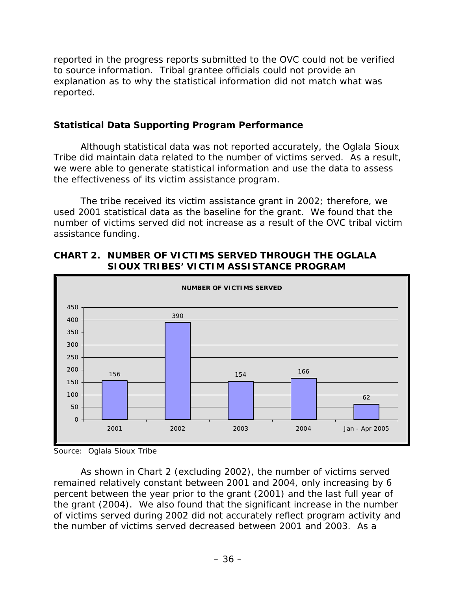reported in the progress reports submitted to the OVC could not be verified to source information. Tribal grantee officials could not provide an explanation as to why the statistical information did not match what was reported.

## **Statistical Data Supporting Program Performance**

Although statistical data was not reported accurately, the Oglala Sioux Tribe did maintain data related to the number of victims served. As a result, we were able to generate statistical information and use the data to assess the effectiveness of its victim assistance program.

The tribe received its victim assistance grant in 2002; therefore, we used 2001 statistical data as the baseline for the grant. We found that the number of victims served did not increase as a result of the OVC tribal victim assistance funding.



## **CHART 2. NUMBER OF VICTIMS SERVED THROUGH THE OGLALA SIOUX TRIBES' VICTIM ASSISTANCE PROGRAM**

As shown in Chart 2 (excluding 2002), the number of victims served remained relatively constant between 2001 and 2004, only increasing by 6 percent between the year prior to the grant (2001) and the last full year of the grant (2004). We also found that the significant increase in the number of victims served during 2002 did not accurately reflect program activity and the number of victims served decreased between 2001 and 2003. As a

Source: Oglala Sioux Tribe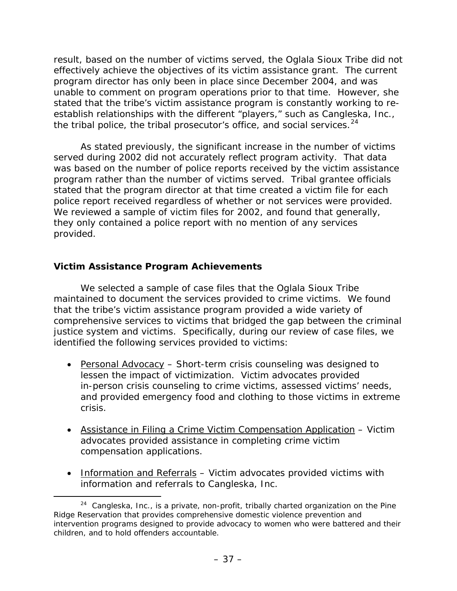result, based on the number of victims served, the Oglala Sioux Tribe did not effectively achieve the objectives of its victim assistance grant. The current program director has only been in place since December 2004, and was unable to comment on program operations prior to that time. However, she stated that the tribe's victim assistance program is constantly working to reestablish relationships with the different "players," such as Cangleska, Inc., the tribal police, the tribal prosecutor's office, and social services.  $24$  $24$ 

As stated previously, the significant increase in the number of victims served during 2002 did not accurately reflect program activity. That data was based on the number of police reports received by the victim assistance program rather than the number of victims served. Tribal grantee officials stated that the program director at that time created a victim file for each police report received regardless of whether or not services were provided. We reviewed a sample of victim files for 2002, and found that generally, they only contained a police report with no mention of any services provided.

## **Victim Assistance Program Achievements**

We selected a sample of case files that the Oglala Sioux Tribe maintained to document the services provided to crime victims. We found that the tribe's victim assistance program provided a wide variety of comprehensive services to victims that bridged the gap between the criminal justice system and victims. Specifically, during our review of case files, we identified the following services provided to victims:

- Personal Advocacy Short-term crisis counseling was designed to lessen the impact of victimization. Victim advocates provided in-person crisis counseling to crime victims, assessed victims' needs, and provided emergency food and clothing to those victims in extreme crisis.
- Assistance in Filing a Crime Victim Compensation Application Victim advocates provided assistance in completing crime victim compensation applications.
- Information and Referrals Victim advocates provided victims with information and referrals to Cangleska, Inc.

<span id="page-47-0"></span> $24$  Cangleska, Inc., is a private, non-profit, tribally charted organization on the Pine Ridge Reservation that provides comprehensive domestic violence prevention and intervention programs designed to provide advocacy to women who were battered and their children, and to hold offenders accountable.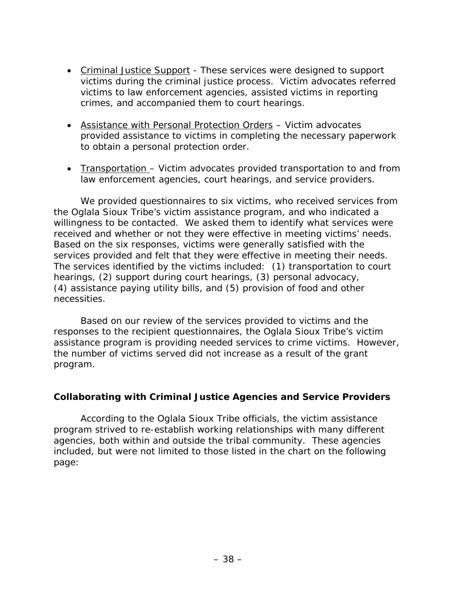- Criminal Justice Support These services were designed to support victims during the criminal justice process. Victim advocates referred victims to law enforcement agencies, assisted victims in reporting crimes, and accompanied them to court hearings.
- Assistance with Personal Protection Orders Victim advocates provided assistance to victims in completing the necessary paperwork to obtain a personal protection order.
- Transportation Victim advocates provided transportation to and from law enforcement agencies, court hearings, and service providers.

We provided questionnaires to six victims, who received services from the Oglala Sioux Tribe's victim assistance program, and who indicated a willingness to be contacted. We asked them to identify what services were received and whether or not they were effective in meeting victims' needs. Based on the six responses, victims were generally satisfied with the services provided and felt that they were effective in meeting their needs. The services identified by the victims included: (1) transportation to court hearings, (2) support during court hearings, (3) personal advocacy, (4) assistance paying utility bills, and (5) provision of food and other necessities.

Based on our review of the services provided to victims and the responses to the recipient questionnaires, the Oglala Sioux Tribe's victim assistance program is providing needed services to crime victims. However, the number of victims served did not increase as a result of the grant program.

#### **Collaborating with Criminal Justice Agencies and Service Providers**

According to the Oglala Sioux Tribe officials, the victim assistance program strived to re-establish working relationships with many different agencies, both within and outside the tribal community. These agencies included, but were not limited to those listed in the chart on the following page: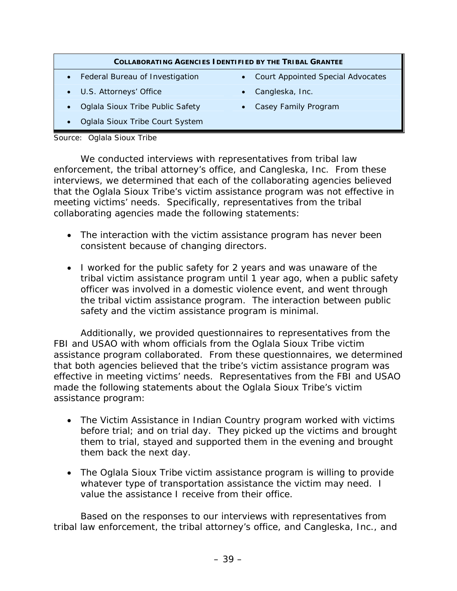#### **COLLABORATING AGENCIES IDENTIFIED BY THE TRIBAL GRANTEE**

- 
- U.S. Attorneys' Office Cangleska, Inc.
- Oglala Sioux Tribe Public Safety Casey Family Program
- Oglala Sioux Tribe Court System

#### Source: Oglala Sioux Tribe

We conducted interviews with representatives from tribal law enforcement, the tribal attorney's office, and Cangleska, Inc. From these interviews, we determined that each of the collaborating agencies believed that the Oglala Sioux Tribe's victim assistance program was not effective in meeting victims' needs. Specifically, representatives from the tribal collaborating agencies made the following statements:

- The interaction with the victim assistance program has never been consistent because of changing directors.
- I worked for the public safety for 2 years and was unaware of the tribal victim assistance program until 1 year ago, when a public safety officer was involved in a domestic violence event, and went through the tribal victim assistance program. The interaction between public safety and the victim assistance program is minimal.

Additionally, we provided questionnaires to representatives from the FBI and USAO with whom officials from the Oglala Sioux Tribe victim assistance program collaborated. From these questionnaires, we determined that both agencies believed that the tribe's victim assistance program was effective in meeting victims' needs. Representatives from the FBI and USAO made the following statements about the Oglala Sioux Tribe's victim assistance program:

- The Victim Assistance in Indian Country program worked with victims before trial; and on trial day. They picked up the victims and brought them to trial, stayed and supported them in the evening and brought them back the next day.
- The Oglala Sioux Tribe victim assistance program is willing to provide whatever type of transportation assistance the victim may need. I value the assistance I receive from their office.

Based on the responses to our interviews with representatives from tribal law enforcement, the tribal attorney's office, and Cangleska, Inc., and

- Federal Bureau of Investigation Court Appointed Special Advocates
	-
	-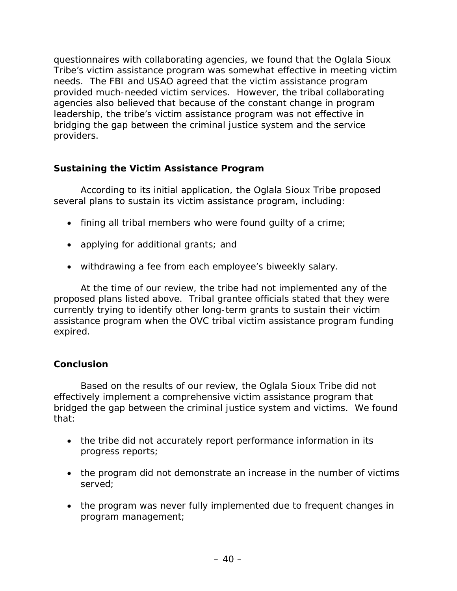questionnaires with collaborating agencies, we found that the Oglala Sioux Tribe's victim assistance program was somewhat effective in meeting victim needs. The FBI and USAO agreed that the victim assistance program provided much-needed victim services. However, the tribal collaborating agencies also believed that because of the constant change in program leadership, the tribe's victim assistance program was not effective in bridging the gap between the criminal justice system and the service providers.

# **Sustaining the Victim Assistance Program**

According to its initial application, the Oglala Sioux Tribe proposed several plans to sustain its victim assistance program, including:

- fining all tribal members who were found guilty of a crime;
- applying for additional grants; and
- withdrawing a fee from each employee's biweekly salary.

At the time of our review, the tribe had not implemented any of the proposed plans listed above. Tribal grantee officials stated that they were currently trying to identify other long-term grants to sustain their victim assistance program when the OVC tribal victim assistance program funding expired.

# **Conclusion**

Based on the results of our review, the Oglala Sioux Tribe did not effectively implement a comprehensive victim assistance program that bridged the gap between the criminal justice system and victims. We found that:

- the tribe did not accurately report performance information in its progress reports;
- the program did not demonstrate an increase in the number of victims served;
- the program was never fully implemented due to frequent changes in program management;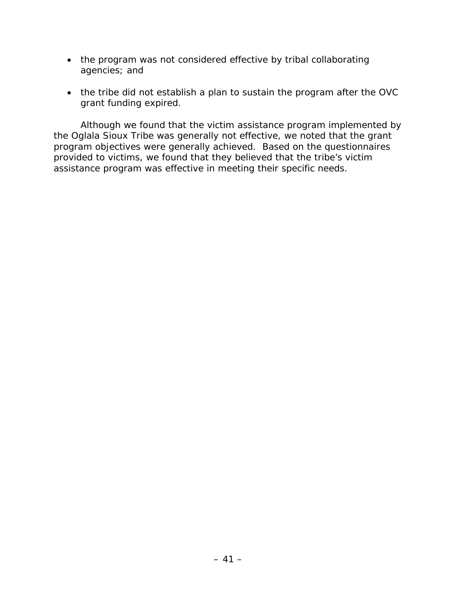- the program was not considered effective by tribal collaborating agencies; and
- the tribe did not establish a plan to sustain the program after the OVC grant funding expired.

Although we found that the victim assistance program implemented by the Oglala Sioux Tribe was generally not effective, we noted that the grant program objectives were generally achieved. Based on the questionnaires provided to victims, we found that they believed that the tribe's victim assistance program was effective in meeting their specific needs.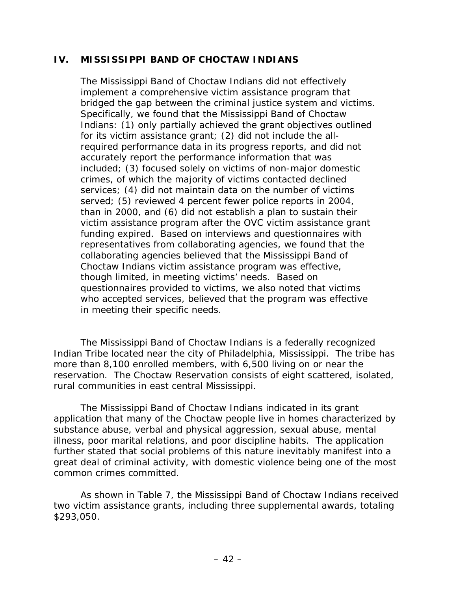#### **IV. MISSISSIPPI BAND OF CHOCTAW INDIANS**

The Mississippi Band of Choctaw Indians did not effectively implement a comprehensive victim assistance program that bridged the gap between the criminal justice system and victims. Specifically, we found that the Mississippi Band of Choctaw Indians: (1) only partially achieved the grant objectives outlined for its victim assistance grant; (2) did not include the allrequired performance data in its progress reports, and did not accurately report the performance information that was included; (3) focused solely on victims of non-major domestic crimes, of which the majority of victims contacted declined services; (4) did not maintain data on the number of victims served; (5) reviewed 4 percent fewer police reports in 2004, than in 2000, and (6) did not establish a plan to sustain their victim assistance program after the OVC victim assistance grant funding expired. Based on interviews and questionnaires with representatives from collaborating agencies, we found that the collaborating agencies believed that the Mississippi Band of Choctaw Indians victim assistance program was effective, though limited, in meeting victims' needs. Based on questionnaires provided to victims, we also noted that victims who accepted services, believed that the program was effective in meeting their specific needs.

The Mississippi Band of Choctaw Indians is a federally recognized Indian Tribe located near the city of Philadelphia, Mississippi. The tribe has more than 8,100 enrolled members, with 6,500 living on or near the reservation. The Choctaw Reservation consists of eight scattered, isolated, rural communities in east central Mississippi.

The Mississippi Band of Choctaw Indians indicated in its grant application that many of the Choctaw people live in homes characterized by substance abuse, verbal and physical aggression, sexual abuse, mental illness, poor marital relations, and poor discipline habits. The application further stated that social problems of this nature inevitably manifest into a great deal of criminal activity, with domestic violence being one of the most common crimes committed.

As shown in Table 7, the Mississippi Band of Choctaw Indians received two victim assistance grants, including three supplemental awards, totaling \$293,050.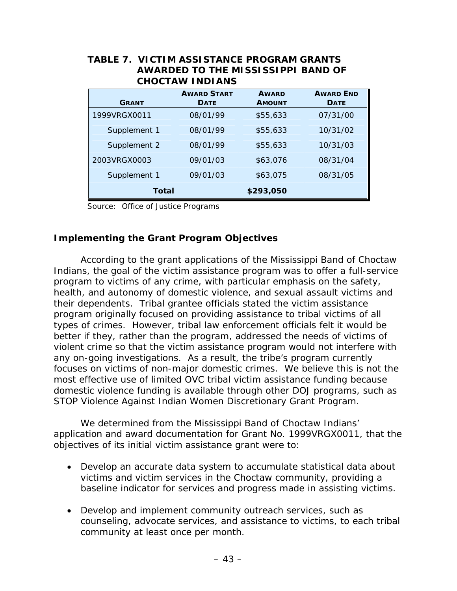| <b>GRANT</b> | <b>AWARD START</b><br><b>DATE</b> | <b>AWARD</b><br><b>AMOUNT</b> | <b>AWARD END</b><br><b>DATE</b> |
|--------------|-----------------------------------|-------------------------------|---------------------------------|
| 1999VRGX0011 | 08/01/99                          | \$55,633                      | 07/31/00                        |
| Supplement 1 | 08/01/99                          | \$55,633                      | 10/31/02                        |
| Supplement 2 | 08/01/99                          | \$55,633                      | 10/31/03                        |
| 2003VRGX0003 | 09/01/03                          | \$63,076                      | 08/31/04                        |
| Supplement 1 | 09/01/03                          | \$63,075                      | 08/31/05                        |
| <b>Total</b> |                                   | \$293,050                     |                                 |

# **TABLE 7. VICTIM ASSISTANCE PROGRAM GRANTS**

Source: Office of Justice Programs

#### **Implementing the Grant Program Objectives**

According to the grant applications of the Mississippi Band of Choctaw Indians, the goal of the victim assistance program was to offer a full-service program to victims of any crime, with particular emphasis on the safety, health, and autonomy of domestic violence, and sexual assault victims and their dependents. Tribal grantee officials stated the victim assistance program originally focused on providing assistance to tribal victims of all types of crimes. However, tribal law enforcement officials felt it would be better if they, rather than the program, addressed the needs of victims of violent crime so that the victim assistance program would not interfere with any on-going investigations. As a result, the tribe's program currently focuses on victims of non-major domestic crimes. We believe this is not the most effective use of limited OVC tribal victim assistance funding because domestic violence funding is available through other DOJ programs, such as STOP Violence Against Indian Women Discretionary Grant Program.

We determined from the Mississippi Band of Choctaw Indians' application and award documentation for Grant No. 1999VRGX0011, that the objectives of its initial victim assistance grant were to:

- Develop an accurate data system to accumulate statistical data about victims and victim services in the Choctaw community, providing a baseline indicator for services and progress made in assisting victims.
- Develop and implement community outreach services, such as counseling, advocate services, and assistance to victims, to each tribal community at least once per month.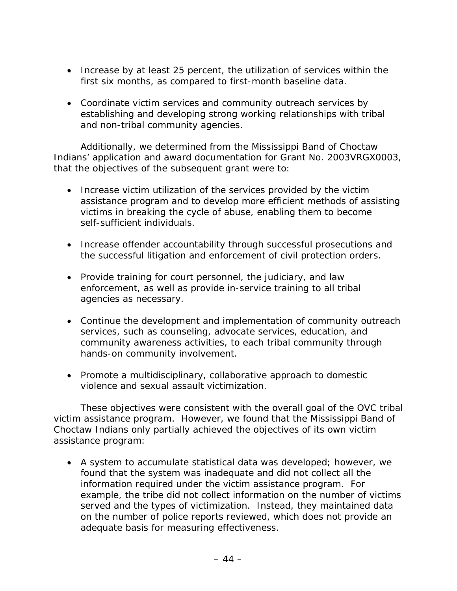- Increase by at least 25 percent, the utilization of services within the first six months, as compared to first-month baseline data.
- Coordinate victim services and community outreach services by establishing and developing strong working relationships with tribal and non-tribal community agencies.

Additionally, we determined from the Mississippi Band of Choctaw Indians' application and award documentation for Grant No. 2003VRGX0003, that the objectives of the subsequent grant were to:

- Increase victim utilization of the services provided by the victim assistance program and to develop more efficient methods of assisting victims in breaking the cycle of abuse, enabling them to become self-sufficient individuals.
- Increase offender accountability through successful prosecutions and the successful litigation and enforcement of civil protection orders.
- Provide training for court personnel, the judiciary, and law enforcement, as well as provide in-service training to all tribal agencies as necessary.
- Continue the development and implementation of community outreach services, such as counseling, advocate services, education, and community awareness activities, to each tribal community through hands-on community involvement.
- Promote a multidisciplinary, collaborative approach to domestic violence and sexual assault victimization.

These objectives were consistent with the overall goal of the OVC tribal victim assistance program. However, we found that the Mississippi Band of Choctaw Indians only partially achieved the objectives of its own victim assistance program:

• A system to accumulate statistical data was developed; however, we found that the system was inadequate and did not collect all the information required under the victim assistance program. For example, the tribe did not collect information on the number of victims served and the types of victimization. Instead, they maintained data on the number of police reports reviewed, which does not provide an adequate basis for measuring effectiveness.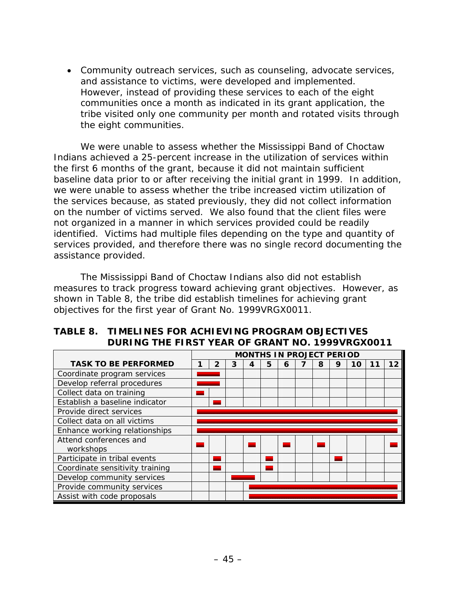• Community outreach services, such as counseling, advocate services, and assistance to victims, were developed and implemented. However, instead of providing these services to each of the eight communities once a month as indicated in its grant application, the tribe visited only one community per month and rotated visits through the eight communities.

We were unable to assess whether the Mississippi Band of Choctaw Indians achieved a 25-percent increase in the utilization of services within the first 6 months of the grant, because it did not maintain sufficient baseline data prior to or after receiving the initial grant in 1999. In addition, we were unable to assess whether the tribe increased victim utilization of the services because, as stated previously, they did not collect information on the number of victims served. We also found that the client files were not organized in a manner in which services provided could be readily identified. Victims had multiple files depending on the type and quantity of services provided, and therefore there was no single record documenting the assistance provided.

The Mississippi Band of Choctaw Indians also did not establish measures to track progress toward achieving grant objectives. However, as shown in Table 8, the tribe did establish timelines for achieving grant objectives for the first year of Grant No. 1999VRGX0011.

|                                 |  |   |   |   |   |   |   | <b>MONTHS IN PROJECT PERIOD</b> |    |    |    |
|---------------------------------|--|---|---|---|---|---|---|---------------------------------|----|----|----|
| <b>TASK TO BE PERFORMED</b>     |  | 2 | 3 | 4 | 5 | 6 | 8 | 9                               | 10 | 11 | 12 |
| Coordinate program services     |  |   |   |   |   |   |   |                                 |    |    |    |
| Develop referral procedures     |  |   |   |   |   |   |   |                                 |    |    |    |
| Collect data on training        |  |   |   |   |   |   |   |                                 |    |    |    |
| Establish a baseline indicator  |  |   |   |   |   |   |   |                                 |    |    |    |
| Provide direct services         |  |   |   |   |   |   |   |                                 |    |    |    |
| Collect data on all victims     |  |   |   |   |   |   |   |                                 |    |    |    |
| Enhance working relationships   |  |   |   |   |   |   |   |                                 |    |    |    |
| Attend conferences and          |  |   |   |   |   |   |   |                                 |    |    |    |
| workshops                       |  |   |   |   |   |   |   |                                 |    |    |    |
| Participate in tribal events    |  |   |   |   |   |   |   |                                 |    |    |    |
| Coordinate sensitivity training |  |   |   |   |   |   |   |                                 |    |    |    |
| Develop community services      |  |   |   |   |   |   |   |                                 |    |    |    |
| Provide community services      |  |   |   |   |   |   |   |                                 |    |    |    |
| Assist with code proposals      |  |   |   |   |   |   |   |                                 |    |    |    |

#### **TABLE 8. TIMELINES FOR ACHIEVING PROGRAM OBJECTIVES DURING THE FIRST YEAR OF GRANT NO. 1999VRGX0011**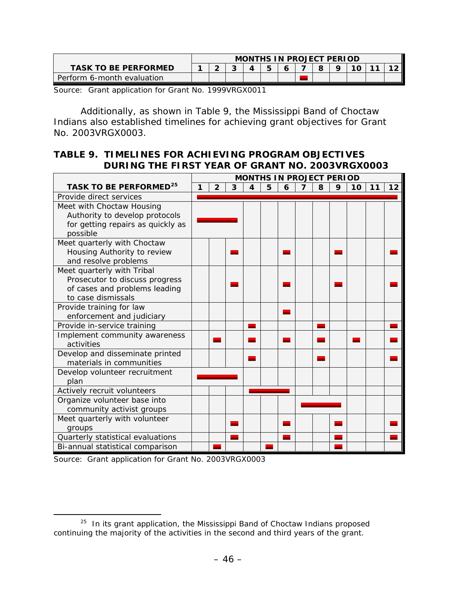|                             | <b>MONTHS IN PROJECT PERIOD</b> |  |        |  |   |  |  |    |  |
|-----------------------------|---------------------------------|--|--------|--|---|--|--|----|--|
| <b>TASK TO BE PERFORMED</b> |                                 |  | ⌒<br>u |  | 5 |  |  | 10 |  |
| Perform 6-month evaluation  |                                 |  |        |  |   |  |  |    |  |

Source: Grant application for Grant No. 1999VRGX0011

Additionally, as shown in Table 9, the Mississippi Band of Choctaw Indians also established timelines for achieving grant objectives for Grant No. 2003VRGX0003.

## **TABLE 9. TIMELINES FOR ACHIEVING PROGRAM OBJECTIVES DURING THE FIRST YEAR OF GRANT NO. 2003VRGX0003**

|                                                       | <b>MONTHS IN PROJECT PERIOD</b> |                |                |                  |   |   |                         |   |   |    |    |    |
|-------------------------------------------------------|---------------------------------|----------------|----------------|------------------|---|---|-------------------------|---|---|----|----|----|
| TASK TO BE PERFORMED <sup>25</sup>                    |                                 | $\overline{2}$ | $\overline{3}$ | $\boldsymbol{4}$ | 5 | 6 | $\overline{\mathbf{z}}$ | 8 | 9 | 10 | 11 | 12 |
| Provide direct services                               |                                 |                |                |                  |   |   |                         |   |   |    |    |    |
| Meet with Choctaw Housing                             |                                 |                |                |                  |   |   |                         |   |   |    |    |    |
| Authority to develop protocols                        |                                 |                |                |                  |   |   |                         |   |   |    |    |    |
| for getting repairs as quickly as                     |                                 |                |                |                  |   |   |                         |   |   |    |    |    |
| possible                                              |                                 |                |                |                  |   |   |                         |   |   |    |    |    |
| Meet quarterly with Choctaw                           |                                 |                |                |                  |   |   |                         |   |   |    |    |    |
| Housing Authority to review                           |                                 |                |                |                  |   |   |                         |   |   |    |    |    |
| and resolve problems                                  |                                 |                |                |                  |   |   |                         |   |   |    |    |    |
| Meet quarterly with Tribal                            |                                 |                |                |                  |   |   |                         |   |   |    |    |    |
| Prosecutor to discuss progress                        |                                 |                |                |                  |   |   |                         |   |   |    |    |    |
| of cases and problems leading<br>to case dismissals   |                                 |                |                |                  |   |   |                         |   |   |    |    |    |
|                                                       |                                 |                |                |                  |   |   |                         |   |   |    |    |    |
| Provide training for law<br>enforcement and judiciary |                                 |                |                |                  |   |   |                         |   |   |    |    |    |
| Provide in-service training                           |                                 |                |                |                  |   |   |                         |   |   |    |    |    |
| Implement community awareness                         |                                 |                |                |                  |   |   |                         |   |   |    |    |    |
| activities                                            |                                 |                |                |                  |   |   |                         |   |   |    |    |    |
| Develop and disseminate printed                       |                                 |                |                |                  |   |   |                         |   |   |    |    |    |
| materials in communities                              |                                 |                |                |                  |   |   |                         |   |   |    |    |    |
| Develop volunteer recruitment<br>plan                 |                                 |                |                |                  |   |   |                         |   |   |    |    |    |
| Actively recruit volunteers                           |                                 |                |                |                  |   |   |                         |   |   |    |    |    |
| Organize volunteer base into                          |                                 |                |                |                  |   |   |                         |   |   |    |    |    |
| community activist groups                             |                                 |                |                |                  |   |   |                         |   |   |    |    |    |
| Meet quarterly with volunteer                         |                                 |                |                |                  |   |   |                         |   |   |    |    |    |
| groups                                                |                                 |                |                |                  |   |   |                         |   |   |    |    |    |
| Quarterly statistical evaluations                     |                                 |                |                |                  |   |   |                         |   |   |    |    |    |
| Bi-annual statistical comparison                      |                                 |                |                |                  |   |   |                         |   |   |    |    |    |

Source: Grant application for Grant No. 2003VRGX0003

<span id="page-56-0"></span><sup>&</sup>lt;sup>25</sup> In its grant application, the Mississippi Band of Choctaw Indians proposed continuing the majority of the activities in the second and third years of the grant.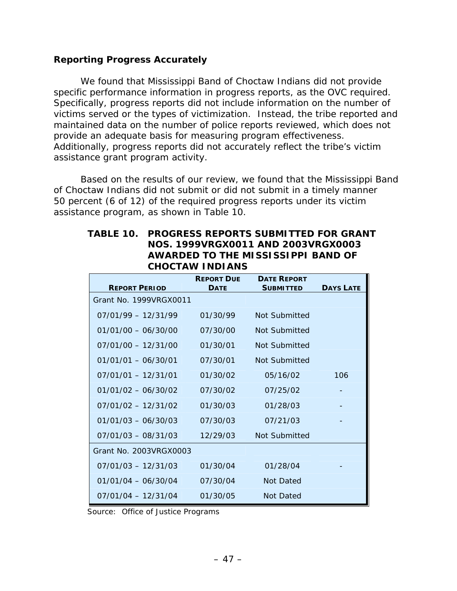#### **Reporting Progress Accurately**

We found that Mississippi Band of Choctaw Indians did not provide specific performance information in progress reports, as the OVC required. Specifically, progress reports did not include information on the number of victims served or the types of victimization. Instead, the tribe reported and maintained data on the number of police reports reviewed, which does not provide an adequate basis for measuring program effectiveness. Additionally, progress reports did not accurately reflect the tribe's victim assistance grant program activity.

Based on the results of our review, we found that the Mississippi Band of Choctaw Indians did not submit or did not submit in a timely manner 50 percent (6 of 12) of the required progress reports under its victim assistance program, as shown in Table 10.

#### **TABLE 10. PROGRESS REPORTS SUBMITTED FOR GRANT NOS. 1999VRGX0011 AND 2003VRGX0003 AWARDED TO THE MISSISSIPPI BAND OF CHOCTAW INDIANS**

| <b>REPORT PERIOD</b>   | <b>REPORT DUE</b><br><b>DATE</b> | <b>DATE REPORT</b><br><b>SUBMITTED</b> | <b>DAYS LATE</b> |
|------------------------|----------------------------------|----------------------------------------|------------------|
| Grant No. 1999VRGX0011 |                                  |                                        |                  |
| $07/01/99 - 12/31/99$  | 01/30/99                         | Not Submitted                          |                  |
| $01/01/00 - 06/30/00$  | 07/30/00                         | Not Submitted                          |                  |
| $07/01/00 - 12/31/00$  | 01/30/01                         | Not Submitted                          |                  |
| $01/01/01 - 06/30/01$  | 07/30/01                         | Not Submitted                          |                  |
| $07/01/01 - 12/31/01$  | 01/30/02                         | 05/16/02                               | 106              |
| $01/01/02 - 06/30/02$  | 07/30/02                         | 07/25/02                               |                  |
| $07/01/02 - 12/31/02$  | 01/30/03                         | 01/28/03                               |                  |
| $01/01/03 - 06/30/03$  | 07/30/03                         | 07/21/03                               |                  |
| $07/01/03 - 08/31/03$  | 12/29/03                         | Not Submitted                          |                  |
| Grant No. 2003VRGX0003 |                                  |                                        |                  |
| $07/01/03 - 12/31/03$  | 01/30/04                         | 01/28/04                               |                  |
| $01/01/04 - 06/30/04$  | 07/30/04                         | Not Dated                              |                  |
| $07/01/04 - 12/31/04$  | 01/30/05                         | Not Dated                              |                  |

Source: Office of Justice Programs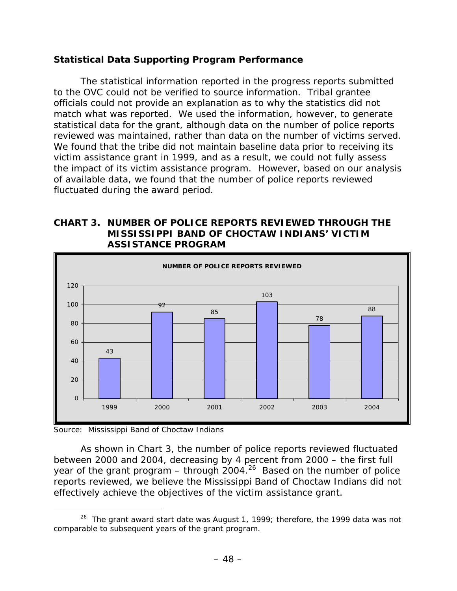#### **Statistical Data Supporting Program Performance**

The statistical information reported in the progress reports submitted to the OVC could not be verified to source information. Tribal grantee officials could not provide an explanation as to why the statistics did not match what was reported. We used the information, however, to generate statistical data for the grant, although data on the number of police reports reviewed was maintained, rather than data on the number of victims served. We found that the tribe did not maintain baseline data prior to receiving its victim assistance grant in 1999, and as a result, we could not fully assess the impact of its victim assistance program. However, based on our analysis of available data, we found that the number of police reports reviewed fluctuated during the award period.

#### **CHART 3. NUMBER OF POLICE REPORTS REVIEWED THROUGH THE MISSISSIPPI BAND OF CHOCTAW INDIANS' VICTIM ASSISTANCE PROGRAM**



Source: Mississippi Band of Choctaw Indians

 As shown in Chart 3, the number of police reports reviewed fluctuated between 2000 and 2004, decreasing by 4 percent from 2000 – the first full year of the grant program – through  $2004<sup>26</sup>$  $2004<sup>26</sup>$  Based on the number of police reports reviewed, we believe the Mississippi Band of Choctaw Indians did not effectively achieve the objectives of the victim assistance grant.

<span id="page-58-0"></span> $26$  The grant award start date was August 1, 1999; therefore, the 1999 data was not comparable to subsequent years of the grant program.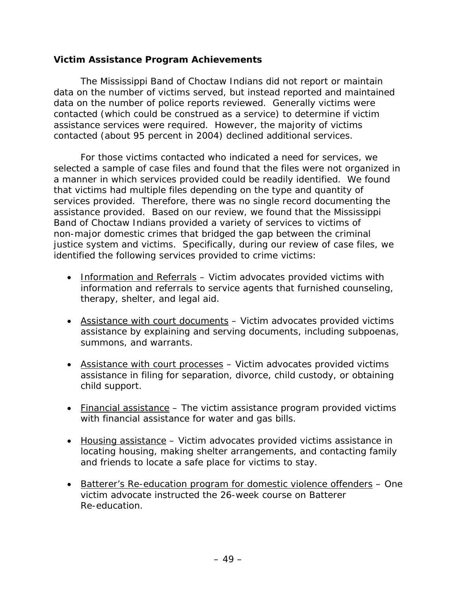#### **Victim Assistance Program Achievements**

The Mississippi Band of Choctaw Indians did not report or maintain data on the number of victims served, but instead reported and maintained data on the number of police reports reviewed. Generally victims were contacted (which could be construed as a service) to determine if victim assistance services were required. However, the majority of victims contacted (about 95 percent in 2004) declined additional services.

For those victims contacted who indicated a need for services, we selected a sample of case files and found that the files were not organized in a manner in which services provided could be readily identified. We found that victims had multiple files depending on the type and quantity of services provided. Therefore, there was no single record documenting the assistance provided. Based on our review, we found that the Mississippi Band of Choctaw Indians provided a variety of services to victims of non-major domestic crimes that bridged the gap between the criminal justice system and victims. Specifically, during our review of case files, we identified the following services provided to crime victims:

- Information and Referrals Victim advocates provided victims with information and referrals to service agents that furnished counseling, therapy, shelter, and legal aid.
- Assistance with court documents Victim advocates provided victims assistance by explaining and serving documents, including subpoenas, summons, and warrants.
- Assistance with court processes Victim advocates provided victims assistance in filing for separation, divorce, child custody, or obtaining child support.
- Financial assistance The victim assistance program provided victims with financial assistance for water and gas bills.
- Housing assistance Victim advocates provided victims assistance in locating housing, making shelter arrangements, and contacting family and friends to locate a safe place for victims to stay.
- Batterer's Re-education program for domestic violence offenders One victim advocate instructed the 26-week course on Batterer Re-education.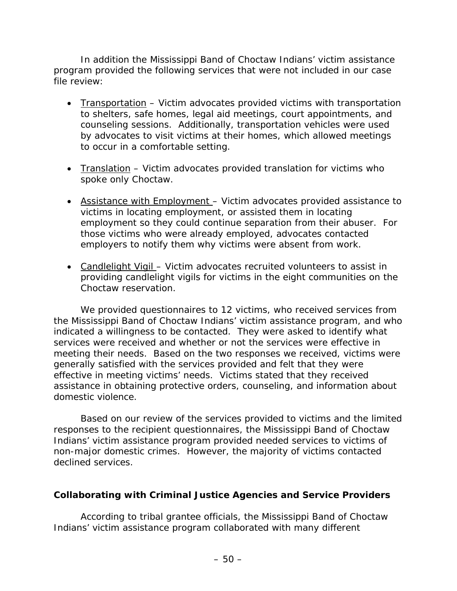In addition the Mississippi Band of Choctaw Indians' victim assistance program provided the following services that were not included in our case file review:

- Transportation Victim advocates provided victims with transportation to shelters, safe homes, legal aid meetings, court appointments, and counseling sessions. Additionally, transportation vehicles were used by advocates to visit victims at their homes, which allowed meetings to occur in a comfortable setting.
- Translation Victim advocates provided translation for victims who spoke only Choctaw.
- Assistance with Employment Victim advocates provided assistance to victims in locating employment, or assisted them in locating employment so they could continue separation from their abuser. For those victims who were already employed, advocates contacted employers to notify them why victims were absent from work.
- Candlelight Vigil Victim advocates recruited volunteers to assist in providing candlelight vigils for victims in the eight communities on the Choctaw reservation.

We provided questionnaires to 12 victims, who received services from the Mississippi Band of Choctaw Indians' victim assistance program, and who indicated a willingness to be contacted. They were asked to identify what services were received and whether or not the services were effective in meeting their needs. Based on the two responses we received, victims were generally satisfied with the services provided and felt that they were effective in meeting victims' needs. Victims stated that they received assistance in obtaining protective orders, counseling, and information about domestic violence.

Based on our review of the services provided to victims and the limited responses to the recipient questionnaires, the Mississippi Band of Choctaw Indians' victim assistance program provided needed services to victims of non-major domestic crimes. However, the majority of victims contacted declined services.

#### **Collaborating with Criminal Justice Agencies and Service Providers**

According to tribal grantee officials, the Mississippi Band of Choctaw Indians' victim assistance program collaborated with many different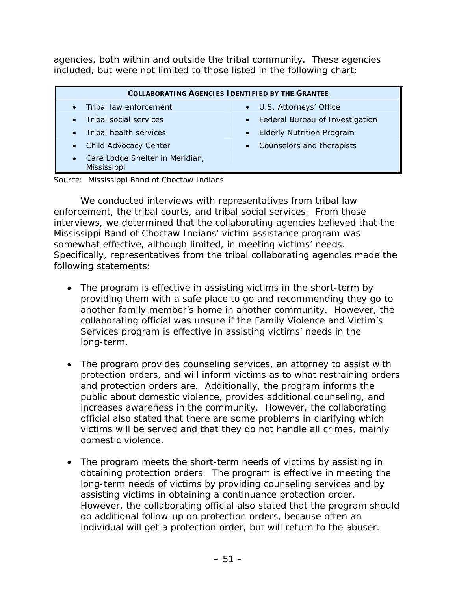agencies, both within and outside the tribal community. These agencies included, but were not limited to those listed in the following chart:

| <b>COLLABORATING AGENCIES I DENTIFIED BY THE GRANTEE</b>    |                                               |  |  |  |  |  |  |
|-------------------------------------------------------------|-----------------------------------------------|--|--|--|--|--|--|
| Tribal law enforcement                                      | • U.S. Attorneys' Office                      |  |  |  |  |  |  |
| Tribal social services                                      | • Federal Bureau of Investigation             |  |  |  |  |  |  |
| Tribal health services                                      | <b>Elderly Nutrition Program</b><br>$\bullet$ |  |  |  |  |  |  |
| Child Advocacy Center                                       | Counselors and therapists<br>$\bullet$        |  |  |  |  |  |  |
| Care Lodge Shelter in Meridian,<br>$\bullet$<br>Mississippi |                                               |  |  |  |  |  |  |
| .                                                           |                                               |  |  |  |  |  |  |

Source: Mississippi Band of Choctaw Indians

We conducted interviews with representatives from tribal law enforcement, the tribal courts, and tribal social services. From these interviews, we determined that the collaborating agencies believed that the Mississippi Band of Choctaw Indians' victim assistance program was somewhat effective, although limited, in meeting victims' needs. Specifically, representatives from the tribal collaborating agencies made the following statements:

- The program is effective in assisting victims in the short-term by providing them with a safe place to go and recommending they go to another family member's home in another community. However, the collaborating official was unsure if the Family Violence and Victim's Services program is effective in assisting victims' needs in the long-term.
- The program provides counseling services, an attorney to assist with protection orders, and will inform victims as to what restraining orders and protection orders are. Additionally, the program informs the public about domestic violence, provides additional counseling, and increases awareness in the community. However, the collaborating official also stated that there are some problems in clarifying which victims will be served and that they do not handle all crimes, mainly domestic violence.
- The program meets the short-term needs of victims by assisting in obtaining protection orders. The program is effective in meeting the long-term needs of victims by providing counseling services and by assisting victims in obtaining a continuance protection order. However, the collaborating official also stated that the program should do additional follow-up on protection orders, because often an individual will get a protection order, but will return to the abuser.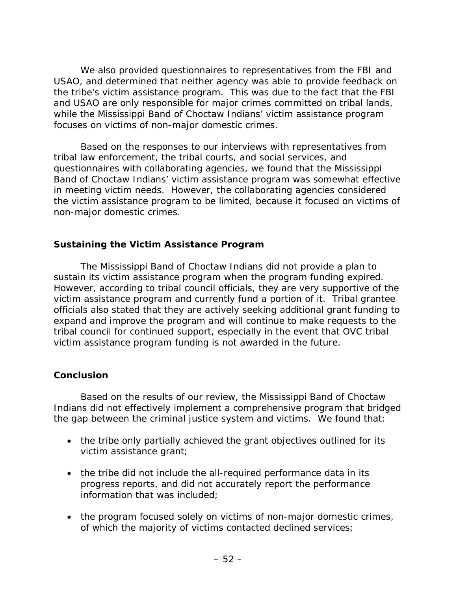We also provided questionnaires to representatives from the FBI and USAO, and determined that neither agency was able to provide feedback on the tribe's victim assistance program. This was due to the fact that the FBI and USAO are only responsible for major crimes committed on tribal lands, while the Mississippi Band of Choctaw Indians' victim assistance program focuses on victims of non-major domestic crimes.

Based on the responses to our interviews with representatives from tribal law enforcement, the tribal courts, and social services, and questionnaires with collaborating agencies, we found that the Mississippi Band of Choctaw Indians' victim assistance program was somewhat effective in meeting victim needs. However, the collaborating agencies considered the victim assistance program to be limited, because it focused on victims of non-major domestic crimes.

#### **Sustaining the Victim Assistance Program**

The Mississippi Band of Choctaw Indians did not provide a plan to sustain its victim assistance program when the program funding expired. However, according to tribal council officials, they are very supportive of the victim assistance program and currently fund a portion of it. Tribal grantee officials also stated that they are actively seeking additional grant funding to expand and improve the program and will continue to make requests to the tribal council for continued support, especially in the event that OVC tribal victim assistance program funding is not awarded in the future.

#### **Conclusion**

Based on the results of our review, the Mississippi Band of Choctaw Indians did not effectively implement a comprehensive program that bridged the gap between the criminal justice system and victims. We found that:

- the tribe only partially achieved the grant objectives outlined for its victim assistance grant;
- the tribe did not include the all-required performance data in its progress reports, and did not accurately report the performance information that was included;
- the program focused solely on victims of non-major domestic crimes, of which the majority of victims contacted declined services;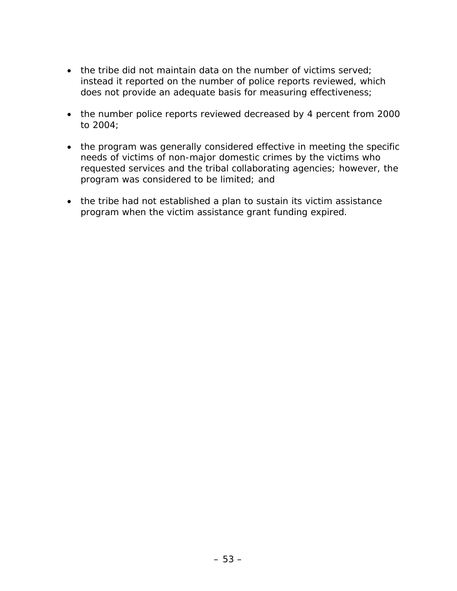- the tribe did not maintain data on the number of victims served; instead it reported on the number of police reports reviewed, which does not provide an adequate basis for measuring effectiveness;
- the number police reports reviewed decreased by 4 percent from 2000 to 2004;
- the program was generally considered effective in meeting the specific needs of victims of non-major domestic crimes by the victims who requested services and the tribal collaborating agencies; however, the program was considered to be limited; and
- the tribe had not established a plan to sustain its victim assistance program when the victim assistance grant funding expired.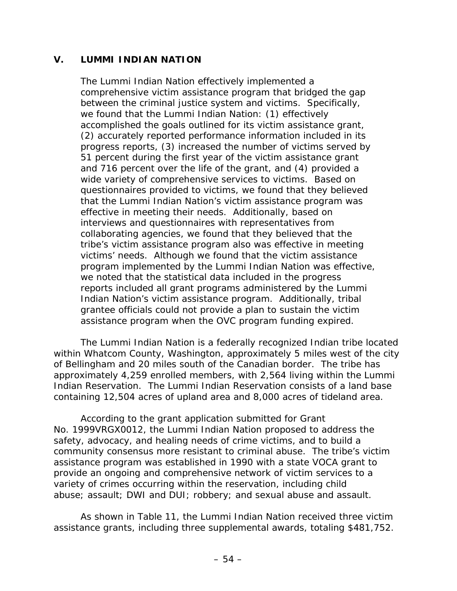#### **V. LUMMI INDIAN NATION**

The Lummi Indian Nation effectively implemented a comprehensive victim assistance program that bridged the gap between the criminal justice system and victims. Specifically, we found that the Lummi Indian Nation: (1) effectively accomplished the goals outlined for its victim assistance grant, (2) accurately reported performance information included in its progress reports, (3) increased the number of victims served by 51 percent during the first year of the victim assistance grant and 716 percent over the life of the grant, and (4) provided a wide variety of comprehensive services to victims. Based on questionnaires provided to victims, we found that they believed that the Lummi Indian Nation's victim assistance program was effective in meeting their needs. Additionally, based on interviews and questionnaires with representatives from collaborating agencies, we found that they believed that the tribe's victim assistance program also was effective in meeting victims' needs. Although we found that the victim assistance program implemented by the Lummi Indian Nation was effective, we noted that the statistical data included in the progress reports included all grant programs administered by the Lummi Indian Nation's victim assistance program. Additionally, tribal grantee officials could not provide a plan to sustain the victim assistance program when the OVC program funding expired.

 The Lummi Indian Nation is a federally recognized Indian tribe located within Whatcom County, Washington, approximately 5 miles west of the city of Bellingham and 20 miles south of the Canadian border. The tribe has approximately 4,259 enrolled members, with 2,564 living within the Lummi Indian Reservation. The Lummi Indian Reservation consists of a land base containing 12,504 acres of upland area and 8,000 acres of tideland area.

According to the grant application submitted for Grant No. 1999VRGX0012, the Lummi Indian Nation proposed to address the safety, advocacy, and healing needs of crime victims, and to build a community consensus more resistant to criminal abuse. The tribe's victim assistance program was established in 1990 with a state VOCA grant to provide an ongoing and comprehensive network of victim services to a variety of crimes occurring within the reservation, including child abuse; assault; DWI and DUI; robbery; and sexual abuse and assault.

As shown in Table 11, the Lummi Indian Nation received three victim assistance grants, including three supplemental awards, totaling \$481,752.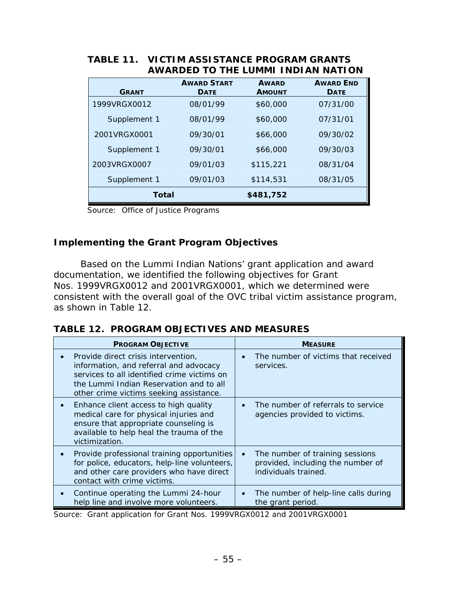| <b>GRANT</b> | <b>AWARD START</b><br><b>DATE</b> | <b>AWARD</b><br><b>AMOUNT</b> | <b>AWARD END</b><br><b>DATE</b> |
|--------------|-----------------------------------|-------------------------------|---------------------------------|
| 1999VRGX0012 | 08/01/99                          | \$60,000                      | 07/31/00                        |
| Supplement 1 | 08/01/99                          | \$60,000                      | 07/31/01                        |
| 2001VRGX0001 | 09/30/01                          | \$66,000                      | 09/30/02                        |
| Supplement 1 | 09/30/01                          | \$66,000                      | 09/30/03                        |
| 2003VRGX0007 | 09/01/03                          | \$115,221                     | 08/31/04                        |
| Supplement 1 | 09/01/03                          | \$114,531                     | 08/31/05                        |
| Total        |                                   | \$481,752                     |                                 |
|              |                                   |                               |                                 |

#### **TABLE 11. VICTIM ASSISTANCE PROGRAM GRANTS AWARDED TO THE LUMMI INDIAN NATION**

Source: Office of Justice Programs

## **Implementing the Grant Program Objectives**

Based on the Lummi Indian Nations' grant application and award documentation, we identified the following objectives for Grant Nos. 1999VRGX0012 and 2001VRGX0001, which we determined were consistent with the overall goal of the OVC tribal victim assistance program, as shown in Table 12.

|  |  |  | <b>TABLE 12. PROGRAM OBJECTIVES AND MEASURES</b> |
|--|--|--|--------------------------------------------------|
|--|--|--|--------------------------------------------------|

| <b>PROGRAM OBJECTIVE</b>                                                                                                                                                                                           | <b>MEASURE</b>                                                                                            |
|--------------------------------------------------------------------------------------------------------------------------------------------------------------------------------------------------------------------|-----------------------------------------------------------------------------------------------------------|
| Provide direct crisis intervention,<br>information, and referral and advocacy<br>services to all identified crime victims on<br>the Lummi Indian Reservation and to all<br>other crime victims seeking assistance. | The number of victims that received<br>$\bullet$<br>services.                                             |
| Enhance client access to high quality<br>medical care for physical injuries and<br>ensure that appropriate counseling is<br>available to help heal the trauma of the<br>victimization.                             | The number of referrals to service<br>agencies provided to victims.                                       |
| Provide professional training opportunities<br>for police, educators, help-line volunteers,<br>and other care providers who have direct<br>contact with crime victims.                                             | The number of training sessions<br>$\bullet$<br>provided, including the number of<br>individuals trained. |
| Continue operating the Lummi 24-hour<br>help line and involve more volunteers.                                                                                                                                     | The number of help-line calls during<br>$\bullet$<br>the grant period.                                    |

Source: Grant application for Grant Nos. 1999VRGX0012 and 2001VRGX0001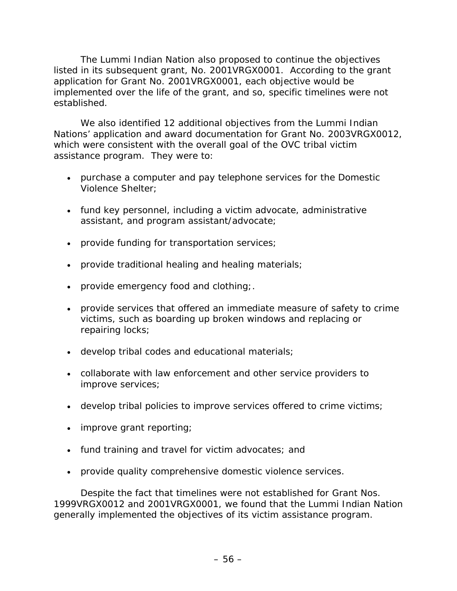The Lummi Indian Nation also proposed to continue the objectives listed in its subsequent grant, No. 2001VRGX0001. According to the grant application for Grant No. 2001VRGX0001, each objective would be implemented over the life of the grant, and so, specific timelines were not established.

We also identified 12 additional objectives from the Lummi Indian Nations' application and award documentation for Grant No. 2003VRGX0012, which were consistent with the overall goal of the OVC tribal victim assistance program. They were to:

- purchase a computer and pay telephone services for the Domestic Violence Shelter;
- fund key personnel, including a victim advocate, administrative assistant, and program assistant/advocate;
- provide funding for transportation services;
- provide traditional healing and healing materials;
- provide emergency food and clothing;
- provide services that offered an immediate measure of safety to crime victims, such as boarding up broken windows and replacing or repairing locks;
- develop tribal codes and educational materials;
- collaborate with law enforcement and other service providers to improve services;
- develop tribal policies to improve services offered to crime victims;
- improve grant reporting;
- fund training and travel for victim advocates; and
- provide quality comprehensive domestic violence services.

Despite the fact that timelines were not established for Grant Nos. 1999VRGX0012 and 2001VRGX0001, we found that the Lummi Indian Nation generally implemented the objectives of its victim assistance program.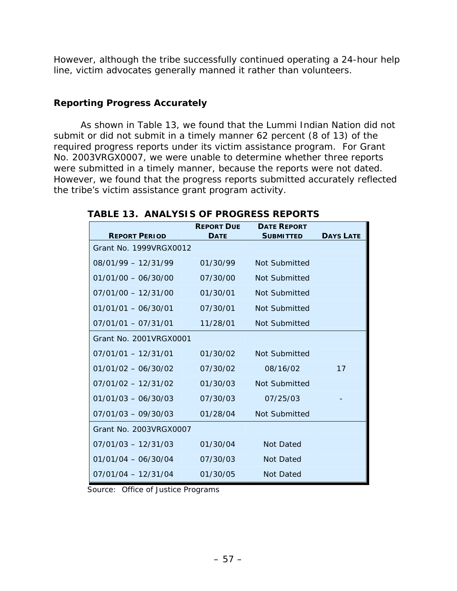However, although the tribe successfully continued operating a 24-hour help line, victim advocates generally manned it rather than volunteers.

## **Reporting Progress Accurately**

As shown in Table 13, we found that the Lummi Indian Nation did not submit or did not submit in a timely manner 62 percent (8 of 13) of the required progress reports under its victim assistance program. For Grant No. 2003VRGX0007, we were unable to determine whether three reports were submitted in a timely manner, because the reports were not dated. However, we found that the progress reports submitted accurately reflected the tribe's victim assistance grant program activity.

| <b>REPORT PERIOD</b>    | <b>REPORT DUE</b><br><b>DATE</b> | <b>DATE REPORT</b><br><b>SUBMITTED</b> | <b>DAYS LATE</b> |
|-------------------------|----------------------------------|----------------------------------------|------------------|
| Grant No. 1999VRGX0012  |                                  |                                        |                  |
| $08/01/99 - 12/31/99$   | 01/30/99                         | Not Submitted                          |                  |
| $01/01/00 - 06/30/00$   | 07/30/00                         | Not Submitted                          |                  |
| $07/01/00 - 12/31/00$   | 01/30/01                         | Not Submitted                          |                  |
| $01/01/01 - 06/30/01$   | 07/30/01                         | Not Submitted                          |                  |
| $07/01/01 - 07/31/01$   | 11/28/01                         | Not Submitted                          |                  |
| Grant No. 2001 VRGX0001 |                                  |                                        |                  |
| $07/01/01 - 12/31/01$   | 01/30/02                         | Not Submitted                          |                  |
| $01/01/02 - 06/30/02$   | 07/30/02                         | 08/16/02                               | 17               |
| $07/01/02 - 12/31/02$   | 01/30/03                         | Not Submitted                          |                  |
| $01/01/03 - 06/30/03$   | 07/30/03                         | 07/25/03                               |                  |
| $07/01/03 - 09/30/03$   | 01/28/04                         | Not Submitted                          |                  |
| Grant No. 2003VRGX0007  |                                  |                                        |                  |
| $07/01/03 - 12/31/03$   | 01/30/04                         | Not Dated                              |                  |
| $01/01/04 - 06/30/04$   | 07/30/03                         | Not Dated                              |                  |
| $07/01/04 - 12/31/04$   | 01/30/05                         | Not Dated                              |                  |

**TABLE 13. ANALYSIS OF PROGRESS REPORTS** 

Source: Office of Justice Programs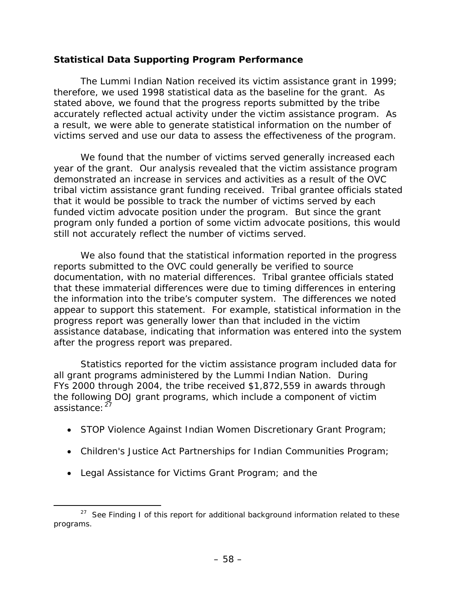## **Statistical Data Supporting Program Performance**

The Lummi Indian Nation received its victim assistance grant in 1999; therefore, we used 1998 statistical data as the baseline for the grant. As stated above, we found that the progress reports submitted by the tribe accurately reflected actual activity under the victim assistance program. As a result, we were able to generate statistical information on the number of victims served and use our data to assess the effectiveness of the program.

We found that the number of victims served generally increased each year of the grant. Our analysis revealed that the victim assistance program demonstrated an increase in services and activities as a result of the OVC tribal victim assistance grant funding received. Tribal grantee officials stated that it would be possible to track the number of victims served by each funded victim advocate position under the program. But since the grant program only funded a portion of some victim advocate positions, this would still not accurately reflect the number of victims served.

We also found that the statistical information reported in the progress reports submitted to the OVC could generally be verified to source documentation, with no material differences. Tribal grantee officials stated that these immaterial differences were due to timing differences in entering the information into the tribe's computer system. The differences we noted appear to support this statement. For example, statistical information in the progress report was generally lower than that included in the victim assistance database, indicating that information was entered into the system after the progress report was prepared.

Statistics reported for the victim assistance program included data for all grant programs administered by the Lummi Indian Nation. During FYs 2000 through 2004, the tribe received \$1,872,559 in awards through the following DOJ grant programs, which include a component of victim assistance: <sup>[2](#page-68-0)7</sup>

- STOP Violence Against Indian Women Discretionary Grant Program;
- Children's Justice Act Partnerships for Indian Communities Program;
- Legal Assistance for Victims Grant Program; and the

<span id="page-68-0"></span> $27$  See Finding I of this report for additional background information related to these programs.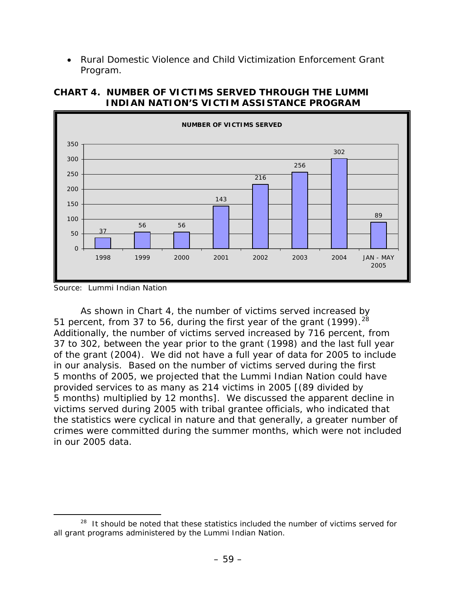• Rural Domestic Violence and Child Victimization Enforcement Grant Program.



**CHART 4. NUMBER OF VICTIMS SERVED THROUGH THE LUMMI INDIAN NATION'S VICTIM ASSISTANCE PROGRAM** 

 As shown in Chart 4, the number of victims served increased by 51 percent, from 37 to 56, during the first year of the grant  $(1999)$ .<sup>[28](#page-69-0)</sup> Additionally, the number of victims served increased by 716 percent, from 37 to 302, between the year prior to the grant (1998) and the last full year of the grant (2004). We did not have a full year of data for 2005 to include in our analysis. Based on the number of victims served during the first 5 months of 2005, we projected that the Lummi Indian Nation could have provided services to as many as 214 victims in 2005 [(89 divided by 5 months) multiplied by 12 months]. We discussed the apparent decline in victims served during 2005 with tribal grantee officials, who indicated that the statistics were cyclical in nature and that generally, a greater number of crimes were committed during the summer months, which were not included in our 2005 data.

Source: Lummi Indian Nation

<span id="page-69-0"></span><sup>&</sup>lt;sup>28</sup> It should be noted that these statistics included the number of victims served for all grant programs administered by the Lummi Indian Nation.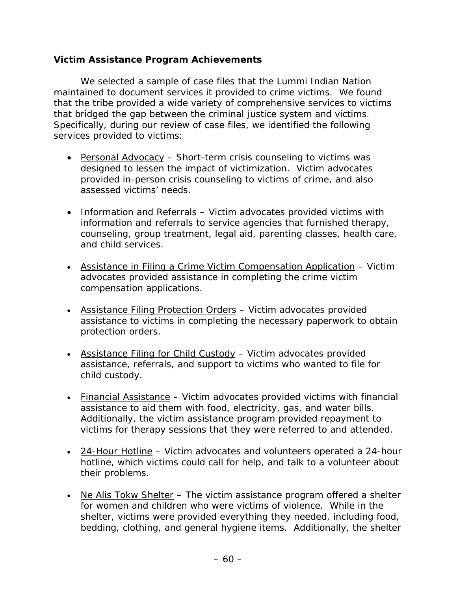#### **Victim Assistance Program Achievements**

We selected a sample of case files that the Lummi Indian Nation maintained to document services it provided to crime victims. We found that the tribe provided a wide variety of comprehensive services to victims that bridged the gap between the criminal justice system and victims. Specifically, during our review of case files, we identified the following services provided to victims:

- Personal Advocacy Short-term crisis counseling to victims was designed to lessen the impact of victimization. Victim advocates provided in-person crisis counseling to victims of crime, and also assessed victims' needs.
- Information and Referrals Victim advocates provided victims with information and referrals to service agencies that furnished therapy, counseling, group treatment, legal aid, parenting classes, health care, and child services.
- Assistance in Filing a Crime Victim Compensation Application Victim advocates provided assistance in completing the crime victim compensation applications.
- Assistance Filing Protection Orders Victim advocates provided assistance to victims in completing the necessary paperwork to obtain protection orders.
- Assistance Filing for Child Custody Victim advocates provided assistance, referrals, and support to victims who wanted to file for child custody.
- Financial Assistance Victim advocates provided victims with financial assistance to aid them with food, electricity, gas, and water bills. Additionally, the victim assistance program provided repayment to victims for therapy sessions that they were referred to and attended.
- 24-Hour Hotline Victim advocates and volunteers operated a 24-hour hotline, which victims could call for help, and talk to a volunteer about their problems.
- Ne Alis Tokw Shelter The victim assistance program offered a shelter for women and children who were victims of violence. While in the shelter, victims were provided everything they needed, including food, bedding, clothing, and general hygiene items. Additionally, the shelter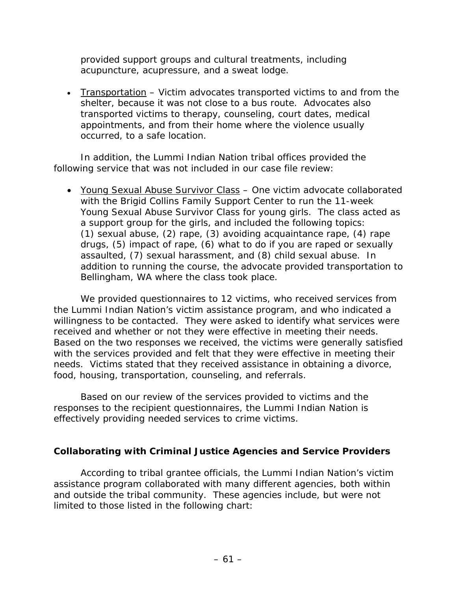provided support groups and cultural treatments, including acupuncture, acupressure, and a sweat lodge.

• Transportation – Victim advocates transported victims to and from the shelter, because it was not close to a bus route. Advocates also transported victims to therapy, counseling, court dates, medical appointments, and from their home where the violence usually occurred, to a safe location.

In addition, the Lummi Indian Nation tribal offices provided the following service that was not included in our case file review:

• Young Sexual Abuse Survivor Class – One victim advocate collaborated with the Brigid Collins Family Support Center to run the 11-week Young Sexual Abuse Survivor Class for young girls. The class acted as a support group for the girls, and included the following topics: (1) sexual abuse, (2) rape, (3) avoiding acquaintance rape, (4) rape drugs, (5) impact of rape, (6) what to do if you are raped or sexually assaulted, (7) sexual harassment, and (8) child sexual abuse. In addition to running the course, the advocate provided transportation to Bellingham, WA where the class took place.

We provided questionnaires to 12 victims, who received services from the Lummi Indian Nation's victim assistance program, and who indicated a willingness to be contacted. They were asked to identify what services were received and whether or not they were effective in meeting their needs. Based on the two responses we received, the victims were generally satisfied with the services provided and felt that they were effective in meeting their needs. Victims stated that they received assistance in obtaining a divorce, food, housing, transportation, counseling, and referrals.

Based on our review of the services provided to victims and the responses to the recipient questionnaires, the Lummi Indian Nation is effectively providing needed services to crime victims.

#### **Collaborating with Criminal Justice Agencies and Service Providers**

According to tribal grantee officials, the Lummi Indian Nation's victim assistance program collaborated with many different agencies, both within and outside the tribal community. These agencies include, but were not limited to those listed in the following chart: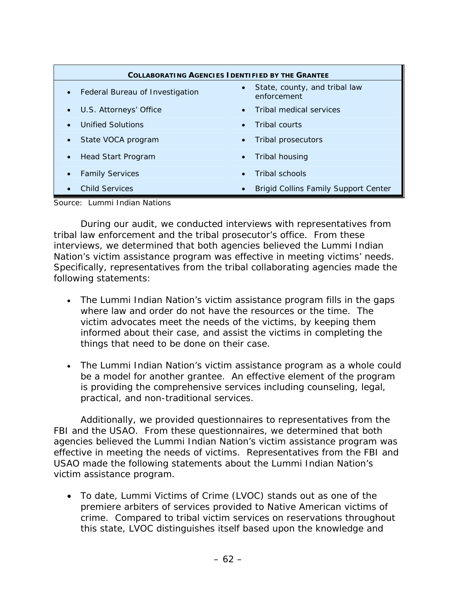| <b>COLLABORATING AGENCIES IDENTIFIED BY THE GRANTEE</b> |                                                           |  |  |
|---------------------------------------------------------|-----------------------------------------------------------|--|--|
| • Federal Bureau of Investigation                       | State, county, and tribal law<br>$\bullet$<br>enforcement |  |  |
| U.S. Attorneys' Office                                  | Tribal medical services<br>$\bullet$                      |  |  |
| <b>Unified Solutions</b>                                | Tribal courts<br>$\bullet$                                |  |  |
| State VOCA program                                      | Tribal prosecutors<br>$\bullet$                           |  |  |
| Head Start Program                                      | Tribal housing<br>$\bullet$                               |  |  |
| <b>Family Services</b>                                  | Tribal schools<br>$\bullet$                               |  |  |
| <b>Child Services</b>                                   | <b>Brigid Collins Family Support Center</b><br>$\bullet$  |  |  |

Source: Lummi Indian Nations

 During our audit, we conducted interviews with representatives from tribal law enforcement and the tribal prosecutor's office. From these interviews, we determined that both agencies believed the Lummi Indian Nation's victim assistance program was effective in meeting victims' needs. Specifically, representatives from the tribal collaborating agencies made the following statements:

- The Lummi Indian Nation's victim assistance program fills in the gaps where law and order do not have the resources or the time. The victim advocates meet the needs of the victims, by keeping them informed about their case, and assist the victims in completing the things that need to be done on their case.
- The Lummi Indian Nation's victim assistance program as a whole could be a model for another grantee. An effective element of the program is providing the comprehensive services including counseling, legal, practical, and non-traditional services.

Additionally, we provided questionnaires to representatives from the FBI and the USAO. From these questionnaires, we determined that both agencies believed the Lummi Indian Nation's victim assistance program was effective in meeting the needs of victims. Representatives from the FBI and USAO made the following statements about the Lummi Indian Nation's victim assistance program.

• To date, Lummi Victims of Crime (LVOC) stands out as one of the premiere arbiters of services provided to Native American victims of crime. Compared to tribal victim services on reservations throughout this state, LVOC distinguishes itself based upon the knowledge and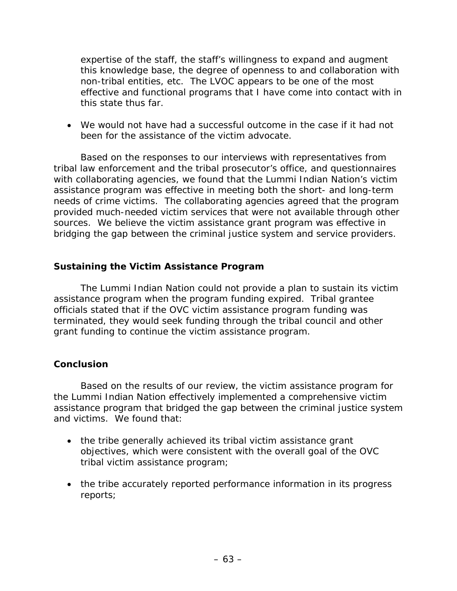expertise of the staff, the staff's willingness to expand and augment this knowledge base, the degree of openness to and collaboration with non-tribal entities, etc. The LVOC appears to be one of the most effective and functional programs that I have come into contact with in this state thus far.

• We would not have had a successful outcome in the case if it had not been for the assistance of the victim advocate.

Based on the responses to our interviews with representatives from tribal law enforcement and the tribal prosecutor's office, and questionnaires with collaborating agencies, we found that the Lummi Indian Nation's victim assistance program was effective in meeting both the short- and long-term needs of crime victims. The collaborating agencies agreed that the program provided much-needed victim services that were not available through other sources. We believe the victim assistance grant program was effective in bridging the gap between the criminal justice system and service providers.

### **Sustaining the Victim Assistance Program**

The Lummi Indian Nation could not provide a plan to sustain its victim assistance program when the program funding expired. Tribal grantee officials stated that if the OVC victim assistance program funding was terminated, they would seek funding through the tribal council and other grant funding to continue the victim assistance program.

## **Conclusion**

Based on the results of our review, the victim assistance program for the Lummi Indian Nation effectively implemented a comprehensive victim assistance program that bridged the gap between the criminal justice system and victims. We found that:

- the tribe generally achieved its tribal victim assistance grant objectives, which were consistent with the overall goal of the OVC tribal victim assistance program;
- the tribe accurately reported performance information in its progress reports;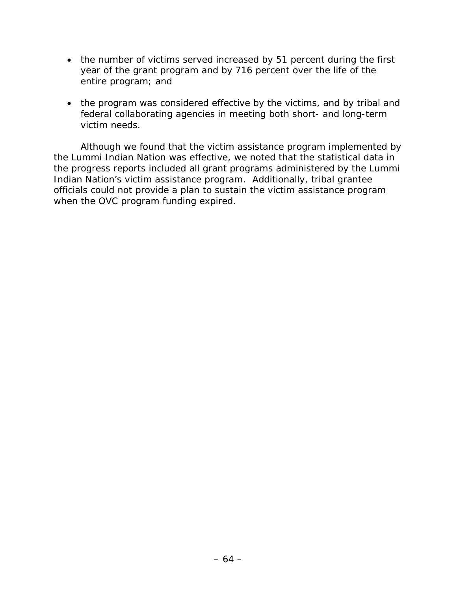- the number of victims served increased by 51 percent during the first year of the grant program and by 716 percent over the life of the entire program; and
- the program was considered effective by the victims, and by tribal and federal collaborating agencies in meeting both short- and long-term victim needs.

Although we found that the victim assistance program implemented by the Lummi Indian Nation was effective, we noted that the statistical data in the progress reports included all grant programs administered by the Lummi Indian Nation's victim assistance program. Additionally, tribal grantee officials could not provide a plan to sustain the victim assistance program when the OVC program funding expired.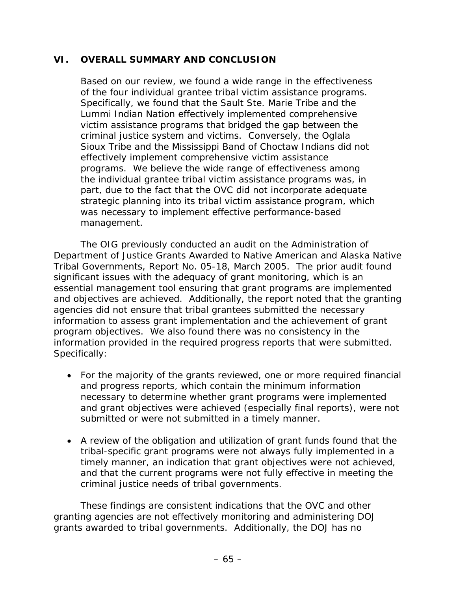### **VI. OVERALL SUMMARY AND CONCLUSION**

Based on our review, we found a wide range in the effectiveness of the four individual grantee tribal victim assistance programs. Specifically, we found that the Sault Ste. Marie Tribe and the Lummi Indian Nation effectively implemented comprehensive victim assistance programs that bridged the gap between the criminal justice system and victims. Conversely, the Oglala Sioux Tribe and the Mississippi Band of Choctaw Indians did not effectively implement comprehensive victim assistance programs. We believe the wide range of effectiveness among the individual grantee tribal victim assistance programs was, in part, due to the fact that the OVC did not incorporate adequate strategic planning into its tribal victim assistance program, which was necessary to implement effective performance-based management.

 The OIG previously conducted an audit on the *Administration of Department of Justice Grants Awarded to Native American and Alaska Native Tribal Governments,* Report No. 05-18, March 2005. The prior audit found significant issues with the adequacy of grant monitoring, which is an essential management tool ensuring that grant programs are implemented and objectives are achieved. Additionally, the report noted that the granting agencies did not ensure that tribal grantees submitted the necessary information to assess grant implementation and the achievement of grant program objectives. We also found there was no consistency in the information provided in the required progress reports that were submitted. Specifically:

- For the majority of the grants reviewed, one or more required financial and progress reports, which contain the minimum information necessary to determine whether grant programs were implemented and grant objectives were achieved (especially final reports), were not submitted or were not submitted in a timely manner.
- A review of the obligation and utilization of grant funds found that the tribal-specific grant programs were not always fully implemented in a timely manner, an indication that grant objectives were not achieved, and that the current programs were not fully effective in meeting the criminal justice needs of tribal governments.

These findings are consistent indications that the OVC and other granting agencies are not effectively monitoring and administering DOJ grants awarded to tribal governments. Additionally, the DOJ has no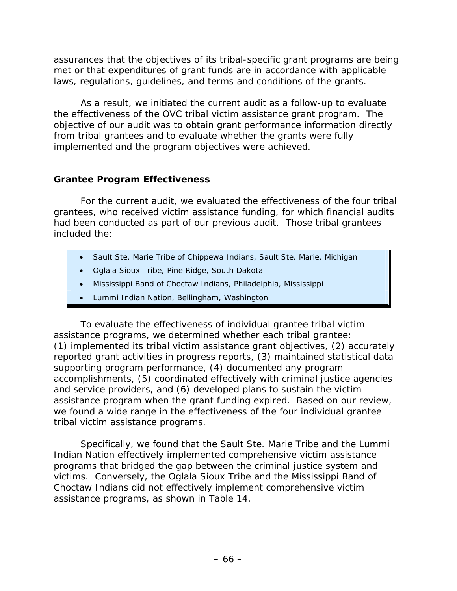assurances that the objectives of its tribal-specific grant programs are being met or that expenditures of grant funds are in accordance with applicable laws, regulations, guidelines, and terms and conditions of the grants.

As a result, we initiated the current audit as a follow-up to evaluate the effectiveness of the OVC tribal victim assistance grant program. The objective of our audit was to obtain grant performance information directly from tribal grantees and to evaluate whether the grants were fully implemented and the program objectives were achieved.

## **Grantee Program Effectiveness**

For the current audit, we evaluated the effectiveness of the four tribal grantees, who received victim assistance funding, for which financial audits had been conducted as part of our previous audit. Those tribal grantees included the:

- Sault Ste. Marie Tribe of Chippewa Indians, Sault Ste. Marie, Michigan
- Oglala Sioux Tribe, Pine Ridge, South Dakota
- Mississippi Band of Choctaw Indians, Philadelphia, Mississippi
- Lummi Indian Nation, Bellingham, Washington

To evaluate the effectiveness of individual grantee tribal victim assistance programs, we determined whether each tribal grantee: (1) implemented its tribal victim assistance grant objectives, (2) accurately reported grant activities in progress reports, (3) maintained statistical data supporting program performance, (4) documented any program accomplishments, (5) coordinated effectively with criminal justice agencies and service providers, and (6) developed plans to sustain the victim assistance program when the grant funding expired. Based on our review, we found a wide range in the effectiveness of the four individual grantee tribal victim assistance programs.

Specifically, we found that the Sault Ste. Marie Tribe and the Lummi Indian Nation effectively implemented comprehensive victim assistance programs that bridged the gap between the criminal justice system and victims. Conversely, the Oglala Sioux Tribe and the Mississippi Band of Choctaw Indians did not effectively implement comprehensive victim assistance programs, as shown in Table 14.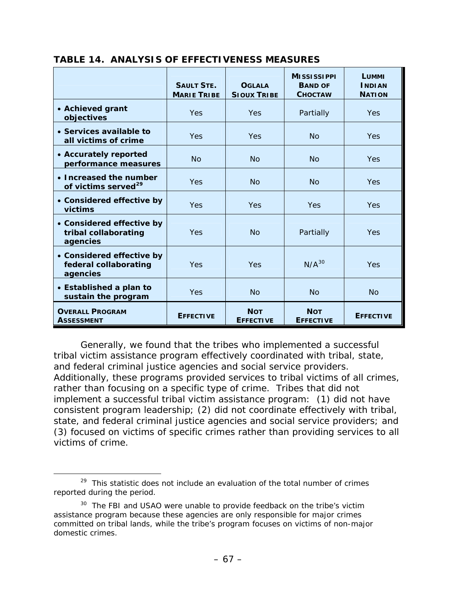|                                                                | <b>SAULT STE.</b><br><b>MARIE TRIBE</b> | <b>OGLALA</b><br><b>SIOUX TRIBE</b> | <b>MISSISSIPPI</b><br><b>BAND OF</b><br><b>CHOCTAW</b> | LUMMI<br><b>INDIAN</b><br><b>NATION</b> |
|----------------------------------------------------------------|-----------------------------------------|-------------------------------------|--------------------------------------------------------|-----------------------------------------|
| • Achieved grant<br>objectives                                 | <b>Yes</b>                              | <b>Yes</b>                          | Partially                                              | <b>Yes</b>                              |
| • Services available to<br>all victims of crime                | <b>Yes</b>                              | <b>Yes</b>                          | <b>No</b>                                              | <b>Yes</b>                              |
| • Accurately reported<br>performance measures                  | No                                      | No                                  | No                                                     | <b>Yes</b>                              |
| • Increased the number<br>of victims served <sup>29</sup>      | <b>Yes</b>                              | No                                  | No                                                     | <b>Yes</b>                              |
| • Considered effective by<br>victims                           | <b>Yes</b>                              | <b>Yes</b>                          | Yes                                                    | <b>Yes</b>                              |
| • Considered effective by<br>tribal collaborating<br>agencies  | <b>Yes</b>                              | <b>No</b>                           | Partially                                              | Yes                                     |
| • Considered effective by<br>federal collaborating<br>agencies | Yes                                     | Yes                                 | $N/A^{30}$                                             | Yes                                     |
| • Established a plan to<br>sustain the program                 | Yes                                     | <b>No</b>                           | <b>No</b>                                              | <b>No</b>                               |
| <b>OVERALL PROGRAM</b><br><b>ASSESSMENT</b>                    | <b>EFFECTIVE</b>                        | <b>NOT</b><br><b>EFFECTIVE</b>      | <b>NOT</b><br><b>EFFECTIVE</b>                         | <b>EFFECTIVE</b>                        |

#### **TABLE 14. ANALYSIS OF EFFECTIVENESS MEASURES**

Generally, we found that the tribes who implemented a successful tribal victim assistance program effectively coordinated with tribal, state, and federal criminal justice agencies and social service providers. Additionally, these programs provided services to tribal victims of all crimes, rather than focusing on a specific type of crime. Tribes that did not implement a successful tribal victim assistance program: (1) did not have consistent program leadership; (2) did not coordinate effectively with tribal, state, and federal criminal justice agencies and social service providers; and (3) focused on victims of specific crimes rather than providing services to all victims of crime.

<span id="page-77-0"></span> $29$  This statistic does not include an evaluation of the total number of crimes reported during the period.

<span id="page-77-1"></span><sup>&</sup>lt;sup>30</sup> The FBI and USAO were unable to provide feedback on the tribe's victim assistance program because these agencies are only responsible for major crimes committed on tribal lands, while the tribe's program focuses on victims of non-major domestic crimes.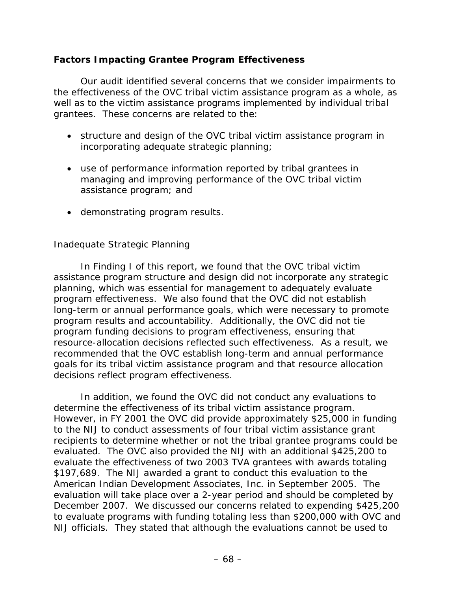### **Factors Impacting Grantee Program Effectiveness**

Our audit identified several concerns that we consider impairments to the effectiveness of the OVC tribal victim assistance program as a whole, as well as to the victim assistance programs implemented by individual tribal grantees. These concerns are related to the:

- structure and design of the OVC tribal victim assistance program in incorporating adequate strategic planning;
- use of performance information reported by tribal grantees in managing and improving performance of the OVC tribal victim assistance program; and
- demonstrating program results.

#### *Inadequate Strategic Planning*

In Finding I of this report, we found that the OVC tribal victim assistance program structure and design did not incorporate any strategic planning, which was essential for management to adequately evaluate program effectiveness. We also found that the OVC did not establish long-term or annual performance goals, which were necessary to promote program results and accountability. Additionally, the OVC did not tie program funding decisions to program effectiveness, ensuring that resource-allocation decisions reflected such effectiveness. As a result, we recommended that the OVC establish long-term and annual performance goals for its tribal victim assistance program and that resource allocation decisions reflect program effectiveness.

In addition, we found the OVC did not conduct any evaluations to determine the effectiveness of its tribal victim assistance program. However, in FY 2001 the OVC did provide approximately \$25,000 in funding to the NIJ to conduct assessments of four tribal victim assistance grant recipients to determine whether or not the tribal grantee programs could be evaluated. The OVC also provided the NIJ with an additional \$425,200 to evaluate the effectiveness of two 2003 TVA grantees with awards totaling \$197,689. The NIJ awarded a grant to conduct this evaluation to the American Indian Development Associates, Inc. in September 2005. The evaluation will take place over a 2-year period and should be completed by December 2007. We discussed our concerns related to expending \$425,200 to evaluate programs with funding totaling less than \$200,000 with OVC and NIJ officials. They stated that although the evaluations cannot be used to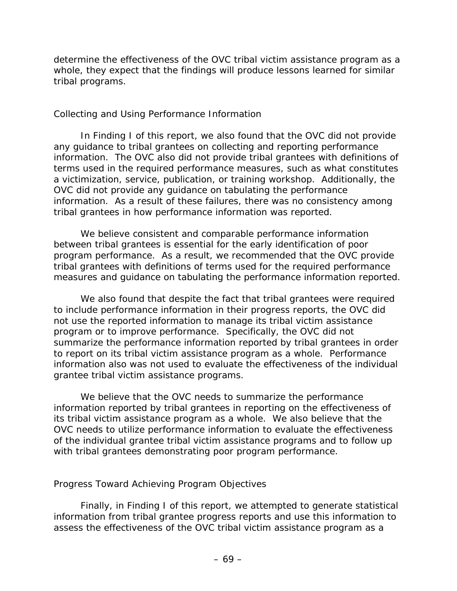determine the effectiveness of the OVC tribal victim assistance program as a whole, they expect that the findings will produce lessons learned for similar tribal programs.

#### *Collecting and Using Performance Information*

In Finding I of this report, we also found that the OVC did not provide any guidance to tribal grantees on collecting and reporting performance information. The OVC also did not provide tribal grantees with definitions of terms used in the required performance measures, such as what constitutes a victimization, service, publication, or training workshop. Additionally, the OVC did not provide any guidance on tabulating the performance information. As a result of these failures, there was no consistency among tribal grantees in how performance information was reported.

We believe consistent and comparable performance information between tribal grantees is essential for the early identification of poor program performance. As a result, we recommended that the OVC provide tribal grantees with definitions of terms used for the required performance measures and guidance on tabulating the performance information reported.

We also found that despite the fact that tribal grantees were required to include performance information in their progress reports, the OVC did not use the reported information to manage its tribal victim assistance program or to improve performance. Specifically, the OVC did not summarize the performance information reported by tribal grantees in order to report on its tribal victim assistance program as a whole. Performance information also was not used to evaluate the effectiveness of the individual grantee tribal victim assistance programs.

We believe that the OVC needs to summarize the performance information reported by tribal grantees in reporting on the effectiveness of its tribal victim assistance program as a whole. We also believe that the OVC needs to utilize performance information to evaluate the effectiveness of the individual grantee tribal victim assistance programs and to follow up with tribal grantees demonstrating poor program performance.

#### *Progress Toward Achieving Program Objectives*

Finally, in Finding I of this report, we attempted to generate statistical information from tribal grantee progress reports and use this information to assess the effectiveness of the OVC tribal victim assistance program as a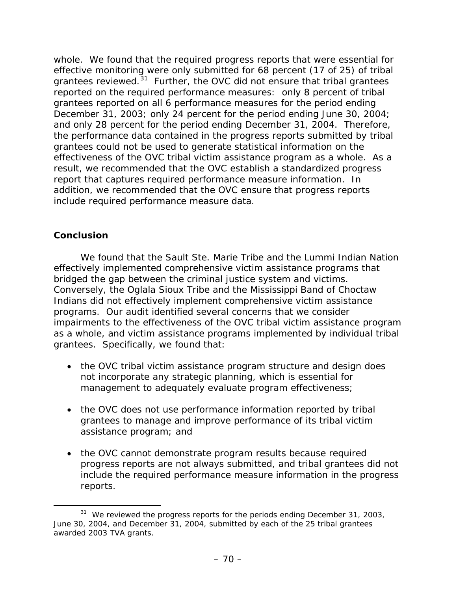whole. We found that the required progress reports that were essential for effective monitoring were only submitted for 68 percent (17 of 25) of tribal grantees reviewed.<sup>[3](#page-80-0)1</sup> Further, the OVC did not ensure that tribal grantees reported on the required performance measures: only 8 percent of tribal grantees reported on all 6 performance measures for the period ending December 31, 2003; only 24 percent for the period ending June 30, 2004; and only 28 percent for the period ending December 31, 2004. Therefore, the performance data contained in the progress reports submitted by tribal grantees could not be used to generate statistical information on the effectiveness of the OVC tribal victim assistance program as a whole. As a result, we recommended that the OVC establish a standardized progress report that captures required performance measure information. In addition, we recommended that the OVC ensure that progress reports include required performance measure data.

## **Conclusion**

We found that the Sault Ste. Marie Tribe and the Lummi Indian Nation effectively implemented comprehensive victim assistance programs that bridged the gap between the criminal justice system and victims. Conversely, the Oglala Sioux Tribe and the Mississippi Band of Choctaw Indians did not effectively implement comprehensive victim assistance programs. Our audit identified several concerns that we consider impairments to the effectiveness of the OVC tribal victim assistance program as a whole, and victim assistance programs implemented by individual tribal grantees. Specifically, we found that:

- the OVC tribal victim assistance program structure and design does not incorporate any strategic planning, which is essential for management to adequately evaluate program effectiveness;
- the OVC does not use performance information reported by tribal grantees to manage and improve performance of its tribal victim assistance program; and
- the OVC cannot demonstrate program results because required progress reports are not always submitted, and tribal grantees did not include the required performance measure information in the progress reports.

<span id="page-80-0"></span><sup>&</sup>lt;sup>31</sup> We reviewed the progress reports for the periods ending December 31, 2003, June 30, 2004, and December 31, 2004, submitted by each of the 25 tribal grantees awarded 2003 TVA grants.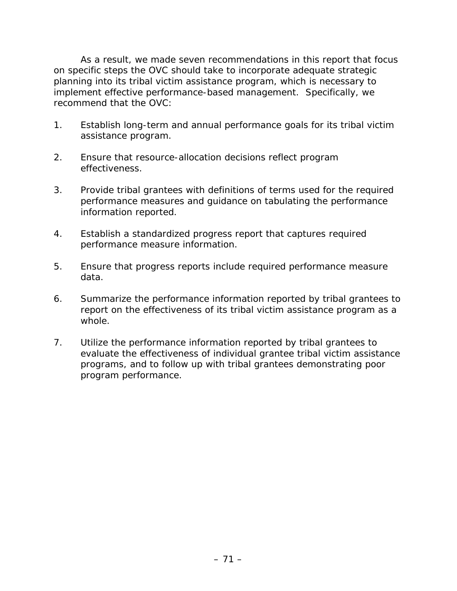As a result, we made seven recommendations in this report that focus on specific steps the OVC should take to incorporate adequate strategic planning into its tribal victim assistance program, which is necessary to implement effective performance-based management. Specifically, we recommend that the OVC:

- 1. Establish long-term and annual performance goals for its tribal victim assistance program.
- 2. Ensure that resource-allocation decisions reflect program effectiveness.
- 3. Provide tribal grantees with definitions of terms used for the required performance measures and guidance on tabulating the performance information reported.
- 4. Establish a standardized progress report that captures required performance measure information.
- 5. Ensure that progress reports include required performance measure data.
- 6. Summarize the performance information reported by tribal grantees to report on the effectiveness of its tribal victim assistance program as a whole.
- 7. Utilize the performance information reported by tribal grantees to evaluate the effectiveness of individual grantee tribal victim assistance programs, and to follow up with tribal grantees demonstrating poor program performance.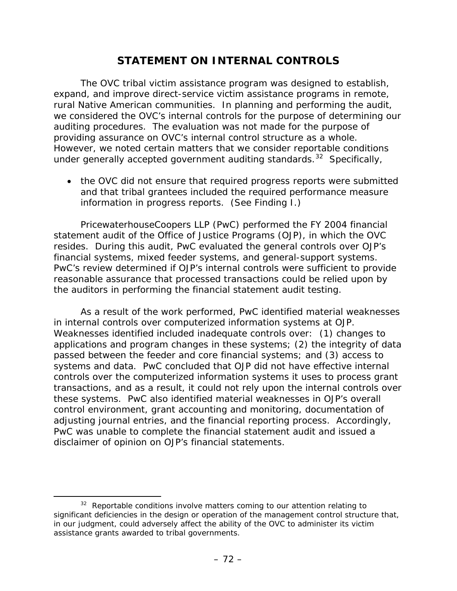## **STATEMENT ON INTERNAL CONTROLS**

The OVC tribal victim assistance program was designed to establish, expand, and improve direct-service victim assistance programs in remote, rural Native American communities. In planning and performing the audit, we considered the OVC's internal controls for the purpose of determining our auditing procedures. The evaluation was not made for the purpose of providing assurance on OVC's internal control structure as a whole. However, we noted certain matters that we consider reportable conditions under generally accepted government auditing standards.<sup>[32](#page-82-0)</sup> Specifically,

• the OVC did not ensure that required progress reports were submitted and that tribal grantees included the required performance measure information in progress reports. (See Finding I.)

PricewaterhouseCoopers LLP (PwC) performed the FY 2004 financial statement audit of the Office of Justice Programs (OJP), in which the OVC resides. During this audit, PwC evaluated the general controls over OJP's financial systems, mixed feeder systems, and general-support systems. PwC's review determined if OJP's internal controls were sufficient to provide reasonable assurance that processed transactions could be relied upon by the auditors in performing the financial statement audit testing.

As a result of the work performed, PwC identified material weaknesses in internal controls over computerized information systems at OJP. Weaknesses identified included inadequate controls over: (1) changes to applications and program changes in these systems; (2) the integrity of data passed between the feeder and core financial systems; and (3) access to systems and data. PwC concluded that OJP did not have effective internal controls over the computerized information systems it uses to process grant transactions, and as a result, it could not rely upon the internal controls over these systems. PwC also identified material weaknesses in OJP's overall control environment, grant accounting and monitoring, documentation of adjusting journal entries, and the financial reporting process. Accordingly, PwC was unable to complete the financial statement audit and issued a disclaimer of opinion on OJP's financial statements.

<span id="page-82-0"></span> $32$  Reportable conditions involve matters coming to our attention relating to significant deficiencies in the design or operation of the management control structure that, in our judgment, could adversely affect the ability of the OVC to administer its victim assistance grants awarded to tribal governments.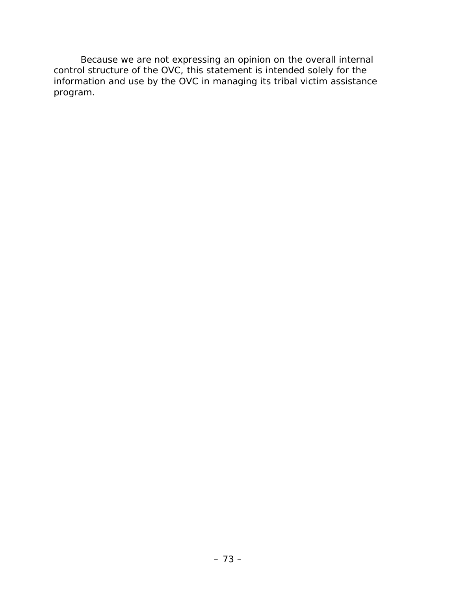Because we are not expressing an opinion on the overall internal control structure of the OVC, this statement is intended solely for the information and use by the OVC in managing its tribal victim assistance program.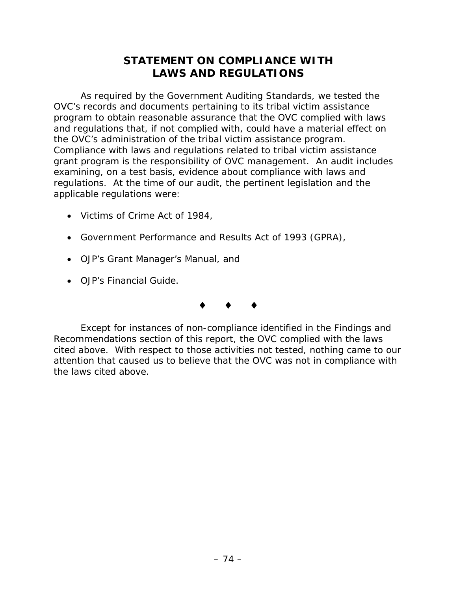# **STATEMENT ON COMPLIANCE WITH LAWS AND REGULATIONS**

As required by the *Government Auditing Standards,* we tested the OVC's records and documents pertaining to its tribal victim assistance program to obtain reasonable assurance that the OVC complied with laws and regulations that, if not complied with, could have a material effect on the OVC's administration of the tribal victim assistance program. Compliance with laws and regulations related to tribal victim assistance grant program is the responsibility of OVC management. An audit includes examining, on a test basis, evidence about compliance with laws and regulations. At the time of our audit, the pertinent legislation and the applicable regulations were:

- Victims of Crime Act of 1984,
- Government Performance and Results Act of 1993 (GPRA),
- OJP's *Grant Manager's Manual*, and
- OJP's *Financial Guide*.

## $\bullet$   $\bullet$   $\bullet$

Except for instances of non-compliance identified in the Findings and Recommendations section of this report, the OVC complied with the laws cited above. With respect to those activities not tested, nothing came to our attention that caused us to believe that the OVC was not in compliance with the laws cited above.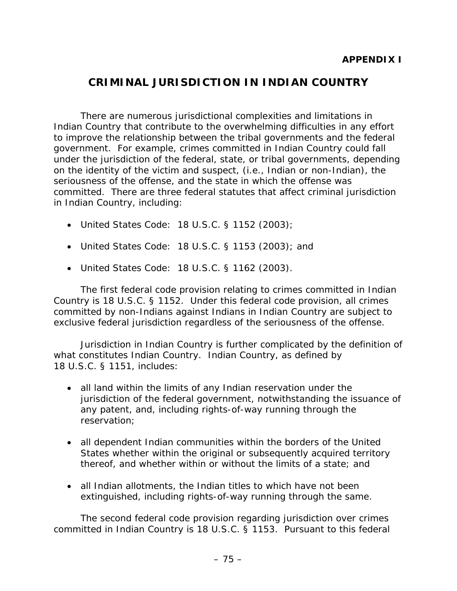## **CRIMINAL JURISDICTION IN INDIAN COUNTRY**

There are numerous jurisdictional complexities and limitations in Indian Country that contribute to the overwhelming difficulties in any effort to improve the relationship between the tribal governments and the federal government. For example, crimes committed in Indian Country could fall under the jurisdiction of the federal, state, or tribal governments, depending on the identity of the victim and suspect, (i.e., Indian or non-Indian), the seriousness of the offense, and the state in which the offense was committed. There are three federal statutes that affect criminal jurisdiction in Indian Country, including:

- United States Code: 18 U.S.C. § 1152 (2003);
- United States Code: 18 U.S.C. § 1153 (2003); and
- United States Code: 18 U.S.C. § 1162 (2003).

The first federal code provision relating to crimes committed in Indian Country is 18 U.S.C. § 1152. Under this federal code provision, all crimes committed by non-Indians against Indians in Indian Country are subject to exclusive federal jurisdiction regardless of the seriousness of the offense.

Jurisdiction in Indian Country is further complicated by the definition of what constitutes Indian Country. Indian Country, as defined by 18 U.S.C. § 1151, includes:

- all land within the limits of any Indian reservation under the jurisdiction of the federal government, notwithstanding the issuance of any patent, and, including rights-of-way running through the reservation;
- all dependent Indian communities within the borders of the United States whether within the original or subsequently acquired territory thereof, and whether within or without the limits of a state; and
- all Indian allotments, the Indian titles to which have not been extinguished, including rights-of-way running through the same.

The second federal code provision regarding jurisdiction over crimes committed in Indian Country is 18 U.S.C. § 1153. Pursuant to this federal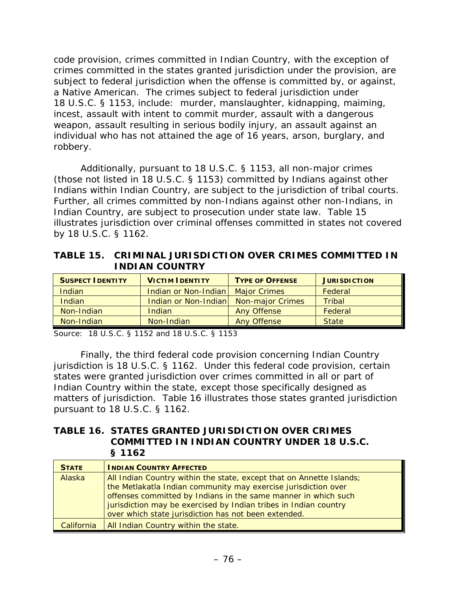code provision, crimes committed in Indian Country, with the exception of crimes committed in the states granted jurisdiction under the provision, are subject to federal jurisdiction when the offense is committed by, or against, a Native American. The crimes subject to federal jurisdiction under 18 U.S.C. § 1153, include: murder, manslaughter, kidnapping, maiming, incest, assault with intent to commit murder, assault with a dangerous weapon, assault resulting in serious bodily injury, an assault against an individual who has not attained the age of 16 years, arson, burglary, and robbery.

Additionally, pursuant to 18 U.S.C. § 1153, all non-major crimes (those not listed in 18 U.S.C. § 1153) committed by Indians against other Indians within Indian Country, are subject to the jurisdiction of tribal courts. Further, all crimes committed by non-Indians against other non-Indians, in Indian Country, are subject to prosecution under state law. Table 15 illustrates jurisdiction over criminal offenses committed in states not covered by 18 U.S.C. § 1162.

**TABLE 15. CRIMINAL JURISDICTION OVER CRIMES COMMITTED IN INDIAN COUNTRY**

| <b>SUSPECT IDENTITY</b> | <b>VICTIM IDENTITY</b> | <b>TYPE OF OFFENSE</b>  | <b>JURISDICTION</b> |
|-------------------------|------------------------|-------------------------|---------------------|
| Indian                  | Indian or Non-Indian   | <b>Major Crimes</b>     | Federal             |
| Indian                  | Indian or Non-Indian   | <b>Non-major Crimes</b> | <b>Tribal</b>       |
| Non-Indian              | Indian                 | <b>Any Offense</b>      | Federal             |
| Non-Indian              | Non-Indian             | <b>Any Offense</b>      | <b>State</b>        |

Source: 18 U.S.C. § 1152 and 18 U.S.C. § 1153

Finally, the third federal code provision concerning Indian Country jurisdiction is 18 U.S.C. § 1162. Under this federal code provision, certain states were granted jurisdiction over crimes committed in all or part of Indian Country within the state, except those specifically designed as matters of jurisdiction. Table 16 illustrates those states granted jurisdiction pursuant to 18 U.S.C. § 1162.

#### **TABLE 16. STATES GRANTED JURISDICTION OVER CRIMES COMMITTED IN INDIAN COUNTRY UNDER 18 U.S.C. § 1162**

| <b>STATE</b> | <b>INDIAN COUNTRY AFFECTED</b>                                                                                                                                                                                                                                               |
|--------------|------------------------------------------------------------------------------------------------------------------------------------------------------------------------------------------------------------------------------------------------------------------------------|
| Alaska       | All Indian Country within the state, except that on Annette Islands;<br>the Metlakatla Indian community may exercise jurisdiction over<br>offenses committed by Indians in the same manner in which such<br>jurisdiction may be exercised by Indian tribes in Indian country |
|              | over which state jurisdiction has not been extended.                                                                                                                                                                                                                         |
| California   | All Indian Country within the state.                                                                                                                                                                                                                                         |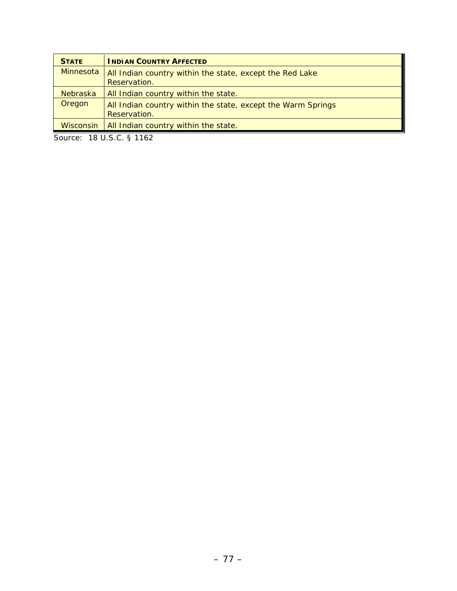| <b>STATE</b>    | <b>INDIAN COUNTRY AFFECTED</b>                                               |
|-----------------|------------------------------------------------------------------------------|
| Minnesota       | All Indian country within the state, except the Red Lake<br>Reservation.     |
| <b>Nebraska</b> | All Indian country within the state.                                         |
| Oregon          | All Indian country within the state, except the Warm Springs<br>Reservation. |
| Wisconsin       | All Indian country within the state.                                         |

Source: 18 U.S.C. § 1162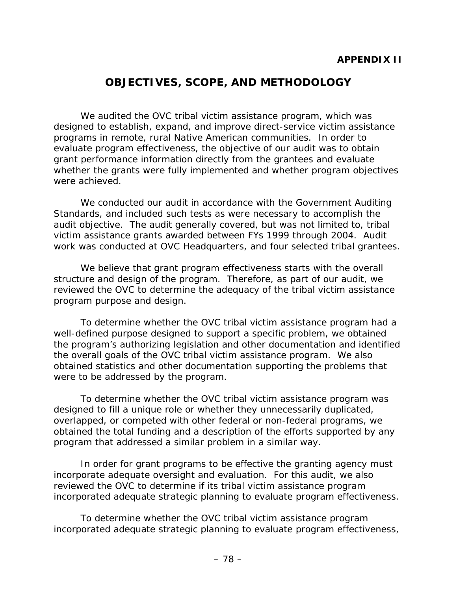# **OBJECTIVES, SCOPE, AND METHODOLOGY**

We audited the OVC tribal victim assistance program, which was designed to establish, expand, and improve direct-service victim assistance programs in remote, rural Native American communities. In order to evaluate program effectiveness, the objective of our audit was to obtain grant performance information directly from the grantees and evaluate whether the grants were fully implemented and whether program objectives were achieved.

We conducted our audit in accordance with the *Government Auditing Standards*, and included such tests as were necessary to accomplish the audit objective. The audit generally covered, but was not limited to, tribal victim assistance grants awarded between FYs 1999 through 2004. Audit work was conducted at OVC Headquarters, and four selected tribal grantees.

We believe that grant program effectiveness starts with the overall structure and design of the program. Therefore, as part of our audit, we reviewed the OVC to determine the adequacy of the tribal victim assistance program purpose and design.

To determine whether the OVC tribal victim assistance program had a well-defined purpose designed to support a specific problem, we obtained the program's authorizing legislation and other documentation and identified the overall goals of the OVC tribal victim assistance program. We also obtained statistics and other documentation supporting the problems that were to be addressed by the program.

To determine whether the OVC tribal victim assistance program was designed to fill a unique role or whether they unnecessarily duplicated, overlapped, or competed with other federal or non-federal programs, we obtained the total funding and a description of the efforts supported by any program that addressed a similar problem in a similar way.

In order for grant programs to be effective the granting agency must incorporate adequate oversight and evaluation. For this audit, we also reviewed the OVC to determine if its tribal victim assistance program incorporated adequate strategic planning to evaluate program effectiveness.

To determine whether the OVC tribal victim assistance program incorporated adequate strategic planning to evaluate program effectiveness,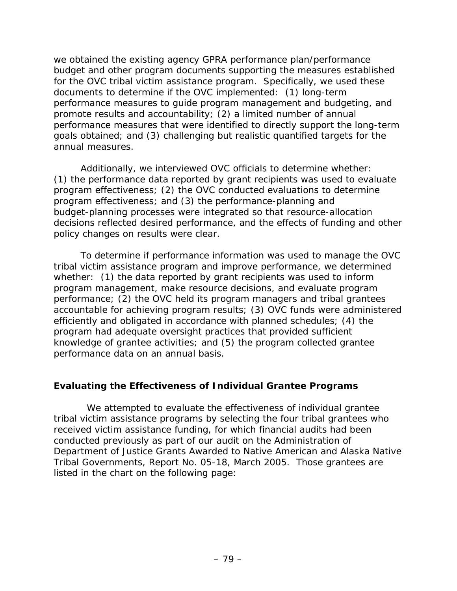we obtained the existing agency GPRA performance plan/performance budget and other program documents supporting the measures established for the OVC tribal victim assistance program. Specifically, we used these documents to determine if the OVC implemented: (1) long-term performance measures to guide program management and budgeting, and promote results and accountability; (2) a limited number of annual performance measures that were identified to directly support the long-term goals obtained; and (3) challenging but realistic quantified targets for the annual measures.

Additionally, we interviewed OVC officials to determine whether: (1) the performance data reported by grant recipients was used to evaluate program effectiveness; (2) the OVC conducted evaluations to determine program effectiveness; and (3) the performance-planning and budget-planning processes were integrated so that resource-allocation decisions reflected desired performance, and the effects of funding and other policy changes on results were clear.

To determine if performance information was used to manage the OVC tribal victim assistance program and improve performance, we determined whether: (1) the data reported by grant recipients was used to inform program management, make resource decisions, and evaluate program performance; (2) the OVC held its program managers and tribal grantees accountable for achieving program results; (3) OVC funds were administered efficiently and obligated in accordance with planned schedules; (4) the program had adequate oversight practices that provided sufficient knowledge of grantee activities; and (5) the program collected grantee performance data on an annual basis.

#### **Evaluating the Effectiveness of Individual Grantee Programs**

 We attempted to evaluate the effectiveness of individual grantee tribal victim assistance programs by selecting the four tribal grantees who received victim assistance funding, for which financial audits had been conducted previously as part of our audit on the *Administration of Department of Justice Grants Awarded to Native American and Alaska Native Tribal Governments,* Report No. 05-18, March 2005. Those grantees are listed in the chart on the following page: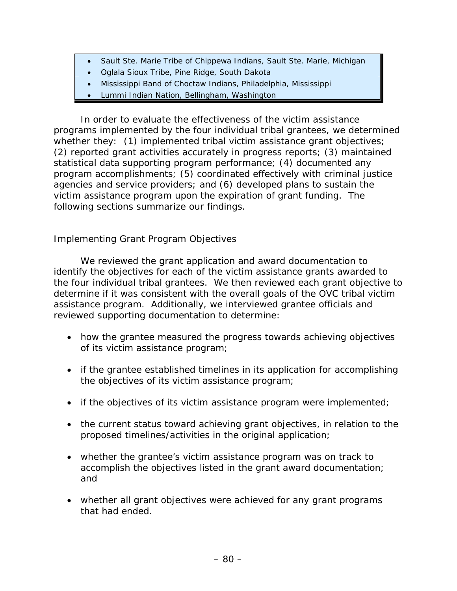- Sault Ste. Marie Tribe of Chippewa Indians, Sault Ste. Marie, Michigan
- Oglala Sioux Tribe, Pine Ridge, South Dakota
- Mississippi Band of Choctaw Indians, Philadelphia, Mississippi
- Lummi Indian Nation, Bellingham, Washington

In order to evaluate the effectiveness of the victim assistance programs implemented by the four individual tribal grantees, we determined whether they: (1) implemented tribal victim assistance grant objectives; (2) reported grant activities accurately in progress reports; (3) maintained statistical data supporting program performance; (4) documented any program accomplishments; (5) coordinated effectively with criminal justice agencies and service providers; and (6) developed plans to sustain the victim assistance program upon the expiration of grant funding. The following sections summarize our findings.

## *Implementing Grant Program Objectives*

We reviewed the grant application and award documentation to identify the objectives for each of the victim assistance grants awarded to the four individual tribal grantees. We then reviewed each grant objective to determine if it was consistent with the overall goals of the OVC tribal victim assistance program. Additionally, we interviewed grantee officials and reviewed supporting documentation to determine:

- how the grantee measured the progress towards achieving objectives of its victim assistance program;
- if the grantee established timelines in its application for accomplishing the objectives of its victim assistance program;
- if the objectives of its victim assistance program were implemented;
- the current status toward achieving grant objectives, in relation to the proposed timelines/activities in the original application;
- whether the grantee's victim assistance program was on track to accomplish the objectives listed in the grant award documentation; and
- whether all grant objectives were achieved for any grant programs that had ended.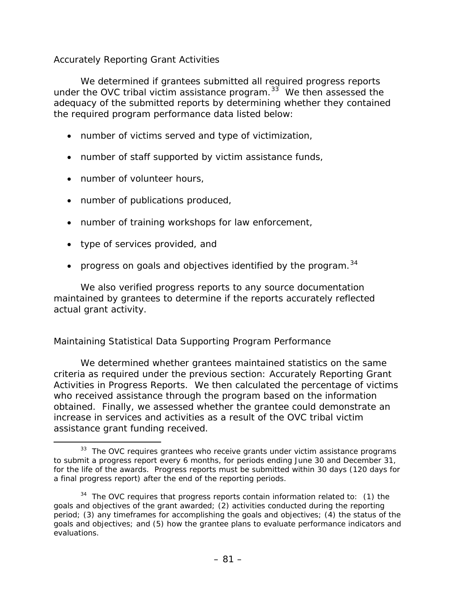### *Accurately Reporting Grant Activities*

We determined if grantees submitted all required progress reports under the OVC tribal victim assistance program. $33$  We then assessed the adequacy of the submitted reports by determining whether they contained the required program performance data listed below:

- number of victims served and type of victimization,
- number of staff supported by victim assistance funds,
- number of volunteer hours,
- number of publications produced,
- number of training workshops for law enforcement,
- type of services provided, and
- progress on goals and objectives identified by the program.  $34$  $34$

We also verified progress reports to any source documentation maintained by grantees to determine if the reports accurately reflected actual grant activity.

#### *Maintaining Statistical Data Supporting Program Performance*

We determined whether grantees maintained statistics on the same criteria as required under the previous section: *Accurately Reporting Grant Activities in Progress Reports*. We then calculated the percentage of victims who received assistance through the program based on the information obtained. Finally, we assessed whether the grantee could demonstrate an increase in services and activities as a result of the OVC tribal victim assistance grant funding received.

<span id="page-91-0"></span> $33$  The OVC requires grantees who receive grants under victim assistance programs to submit a progress report every 6 months, for periods ending June 30 and December 31, for the life of the awards. Progress reports must be submitted within 30 days (120 days for a final progress report) after the end of the reporting periods.

<span id="page-91-1"></span> $34$  The OVC requires that progress reports contain information related to: (1) the goals and objectives of the grant awarded; (2) activities conducted during the reporting period; (3) any timeframes for accomplishing the goals and objectives; (4) the status of the goals and objectives; and (5) how the grantee plans to evaluate performance indicators and evaluations.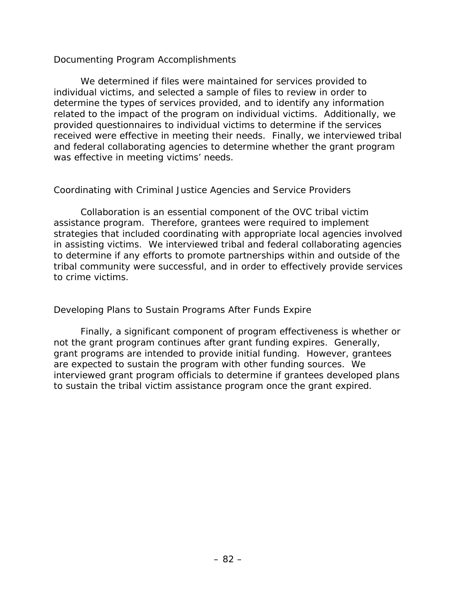#### *Documenting Program Accomplishments*

We determined if files were maintained for services provided to individual victims, and selected a sample of files to review in order to determine the types of services provided, and to identify any information related to the impact of the program on individual victims. Additionally, we provided questionnaires to individual victims to determine if the services received were effective in meeting their needs. Finally, we interviewed tribal and federal collaborating agencies to determine whether the grant program was effective in meeting victims' needs.

#### *Coordinating with Criminal Justice Agencies and Service Providers*

 Collaboration is an essential component of the OVC tribal victim assistance program. Therefore, grantees were required to implement strategies that included coordinating with appropriate local agencies involved in assisting victims. We interviewed tribal and federal collaborating agencies to determine if any efforts to promote partnerships within and outside of the tribal community were successful, and in order to effectively provide services to crime victims.

#### *Developing Plans to Sustain Programs After Funds Expire*

Finally, a significant component of program effectiveness is whether or not the grant program continues after grant funding expires. Generally, grant programs are intended to provide initial funding. However, grantees are expected to sustain the program with other funding sources. We interviewed grant program officials to determine if grantees developed plans to sustain the tribal victim assistance program once the grant expired.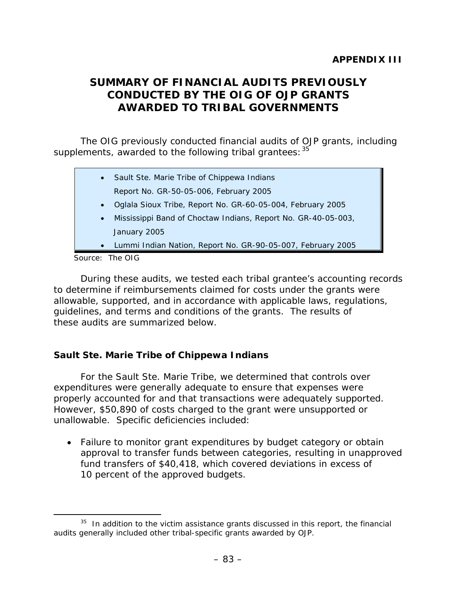# **SUMMARY OF FINANCIAL AUDITS PREVIOUSLY CONDUCTED BY THE OIG OF OJP GRANTS AWARDED TO TRIBAL GOVERNMENTS**

The OIG previously conducted financial audits of OJP grants, including supplements, awarded to the following tribal grantees: [35](#page-93-0)

| $\bullet$ | Sault Ste. Marie Tribe of Chippewa Indians                    |
|-----------|---------------------------------------------------------------|
|           | Report No. GR-50-05-006, February 2005                        |
| $\bullet$ | Oglala Sioux Tribe, Report No. GR-60-05-004, February 2005    |
| $\bullet$ | Mississippi Band of Choctaw Indians, Report No. GR-40-05-003, |
|           | January 2005                                                  |
| $\bullet$ | Lummi Indian Nation, Report No. GR-90-05-007, February 2005   |
|           | $T_{\rm L}$ $\sim$ 0.10                                       |

Source: The OIG

During these audits, we tested each tribal grantee's accounting records to determine if reimbursements claimed for costs under the grants were allowable, supported, and in accordance with applicable laws, regulations, guidelines, and terms and conditions of the grants. The results of these audits are summarized below.

## **Sault Ste. Marie Tribe of Chippewa Indians**

For the Sault Ste. Marie Tribe, we determined that controls over expenditures were generally adequate to ensure that expenses were properly accounted for and that transactions were adequately supported. However, \$50,890 of costs charged to the grant were unsupported or unallowable. Specific deficiencies included:

• Failure to monitor grant expenditures by budget category or obtain approval to transfer funds between categories, resulting in unapproved fund transfers of \$40,418, which covered deviations in excess of 10 percent of the approved budgets.

<span id="page-93-0"></span> $35$  In addition to the victim assistance grants discussed in this report, the financial audits generally included other tribal-specific grants awarded by OJP.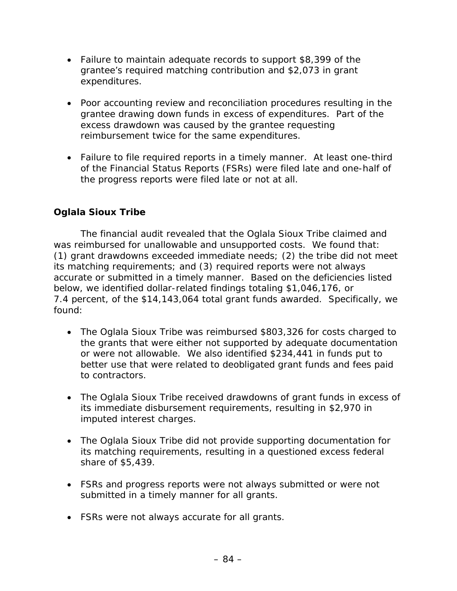- Failure to maintain adequate records to support \$8,399 of the grantee's required matching contribution and \$2,073 in grant expenditures.
- Poor accounting review and reconciliation procedures resulting in the grantee drawing down funds in excess of expenditures. Part of the excess drawdown was caused by the grantee requesting reimbursement twice for the same expenditures.
- Failure to file required reports in a timely manner. At least one-third of the Financial Status Reports (FSRs) were filed late and one-half of the progress reports were filed late or not at all.

### **Oglala Sioux Tribe**

The financial audit revealed that the Oglala Sioux Tribe claimed and was reimbursed for unallowable and unsupported costs. We found that: (1) grant drawdowns exceeded immediate needs; (2) the tribe did not meet its matching requirements; and (3) required reports were not always accurate or submitted in a timely manner. Based on the deficiencies listed below, we identified dollar-related findings totaling \$1,046,176, or 7.4 percent, of the \$14,143,064 total grant funds awarded. Specifically, we found:

- The Oglala Sioux Tribe was reimbursed \$803,326 for costs charged to the grants that were either not supported by adequate documentation or were not allowable. We also identified \$234,441 in funds put to better use that were related to deobligated grant funds and fees paid to contractors.
- The Oglala Sioux Tribe received drawdowns of grant funds in excess of its immediate disbursement requirements, resulting in \$2,970 in imputed interest charges.
- The Oglala Sioux Tribe did not provide supporting documentation for its matching requirements, resulting in a questioned excess federal share of \$5,439.
- FSRs and progress reports were not always submitted or were not submitted in a timely manner for all grants.
- FSRs were not always accurate for all grants.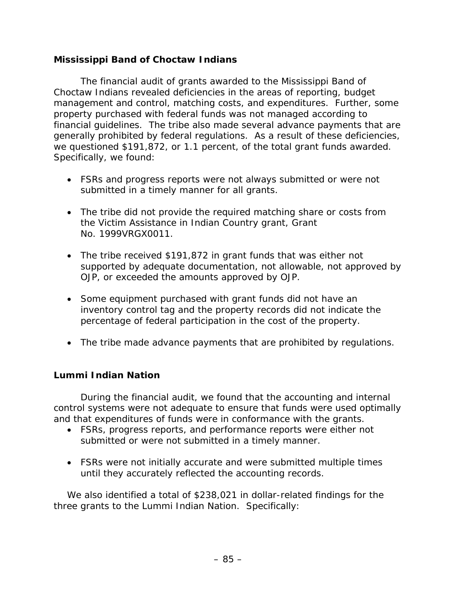### **Mississippi Band of Choctaw Indians**

The financial audit of grants awarded to the Mississippi Band of Choctaw Indians revealed deficiencies in the areas of reporting, budget management and control, matching costs, and expenditures. Further, some property purchased with federal funds was not managed according to financial guidelines. The tribe also made several advance payments that are generally prohibited by federal regulations. As a result of these deficiencies, we questioned \$191,872, or 1.1 percent, of the total grant funds awarded. Specifically, we found:

- FSRs and progress reports were not always submitted or were not submitted in a timely manner for all grants.
- The tribe did not provide the required matching share or costs from the Victim Assistance in Indian Country grant, Grant No. 1999VRGX0011.
- The tribe received \$191,872 in grant funds that was either not supported by adequate documentation, not allowable, not approved by OJP, or exceeded the amounts approved by OJP.
- Some equipment purchased with grant funds did not have an inventory control tag and the property records did not indicate the percentage of federal participation in the cost of the property.
- The tribe made advance payments that are prohibited by regulations.

#### **Lummi Indian Nation**

 During the financial audit, we found that the accounting and internal control systems were not adequate to ensure that funds were used optimally and that expenditures of funds were in conformance with the grants.

- FSRs, progress reports, and performance reports were either not submitted or were not submitted in a timely manner.
- FSRs were not initially accurate and were submitted multiple times until they accurately reflected the accounting records.

We also identified a total of \$238,021 in dollar-related findings for the three grants to the Lummi Indian Nation. Specifically: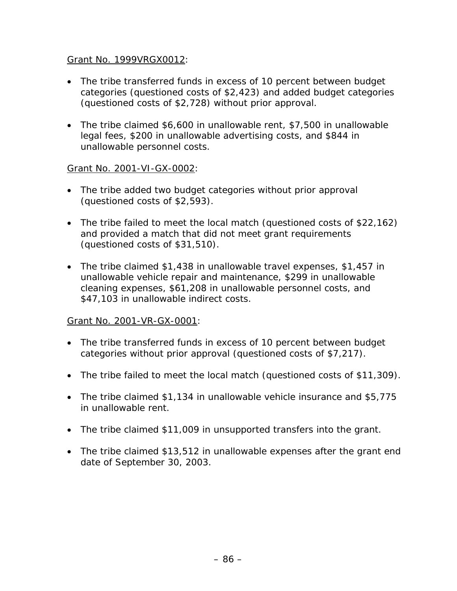#### Grant No. 1999VRGX0012:

- The tribe transferred funds in excess of 10 percent between budget categories (questioned costs of \$2,423) and added budget categories (questioned costs of \$2,728) without prior approval.
- The tribe claimed \$6,600 in unallowable rent, \$7,500 in unallowable legal fees, \$200 in unallowable advertising costs, and \$844 in unallowable personnel costs.

#### Grant No. 2001-VI-GX-0002:

- The tribe added two budget categories without prior approval (questioned costs of \$2,593).
- The tribe failed to meet the local match (questioned costs of \$22,162) and provided a match that did not meet grant requirements (questioned costs of \$31,510).
- The tribe claimed \$1,438 in unallowable travel expenses, \$1,457 in unallowable vehicle repair and maintenance, \$299 in unallowable cleaning expenses, \$61,208 in unallowable personnel costs, and \$47,103 in unallowable indirect costs.

#### Grant No. 2001-VR-GX-0001:

- The tribe transferred funds in excess of 10 percent between budget categories without prior approval (questioned costs of \$7,217).
- The tribe failed to meet the local match (questioned costs of \$11,309).
- The tribe claimed \$1,134 in unallowable vehicle insurance and \$5,775 in unallowable rent.
- The tribe claimed \$11,009 in unsupported transfers into the grant.
- The tribe claimed \$13,512 in unallowable expenses after the grant end date of September 30, 2003.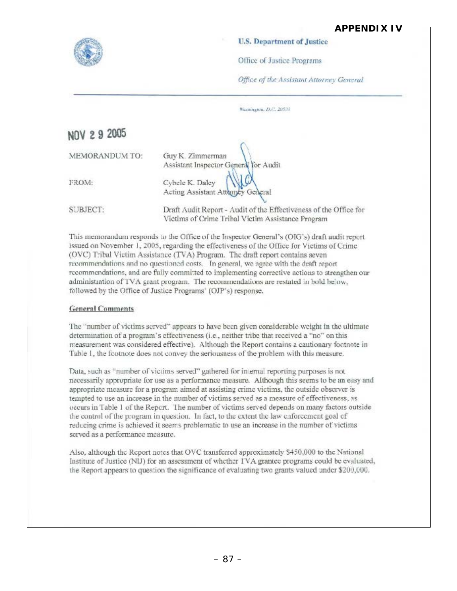### **APPENDIX IV**



#### U.S. Department of Justice

Office of Justice Programs

Office of the Assistant Attorney General

| Waxington, D.C. 20531 |  |  |  |
|-----------------------|--|--|--|

NOV 2 9 2005

| MEMORANDUM TO: | Guy K. Zimmerman<br>Assistant Inspector General for Audit |
|----------------|-----------------------------------------------------------|
| FROM:          | Cybele K. Daley<br>Acting Assistant Attorney General      |
|                | Draft Audit Report - Audit of the Effec                   |

Draft Audit Report - Audit of the Effectiveness of the Office for Victims of Crime Tribal Victim Assistance Program

This memorandum responds to the Office of the Inspector General's (OIG's) draft audit report issued on November 1, 2005, regarding the effectiveness of the Office for Victims of Crime (OVC) Tribal Victim Assistance (TVA) Program. The draft report contains seven recommendations and no questioned costs. In general, we agree with the draft report recommendations, and are fully committed to implementing corrective actions to strengthen our administration of TVA crant program. The recommendations are restated in bold below. followed by the Office of Justice Programs' (OJP's) response.

#### **General Comments**

The "number of victims served" appears to have been given considerable weight in the ultimate determination of a program's effectiveness (i.e., neither tribe that received a "no" on this measurement was considered effective). Although the Report contains a cautionary footnote in Table 1, the fcotnote does not convey the seriousness of the problem with this measure.

Data, such as "number of victims served" gathered for internal reporting purposes is not necessarily appropriate for use as a performance measure. Although this seems to be an easy and appropriate measure for a program aimed at assisting crime victims, the outside observer is tempted to use an increase in the number of victims served as a measure of effectiveness, as occurs in Table 1 of the Report. The number of victims served depends on many factors outside the control of the program in question. In fact, to the extent the law enforcement goal of reducing crime is achieved it seems problematic to use an increase in the number of victims served as a performance measure.

Also, although the Report notes that OVC transferred approximately \$450,000 to the National Institute of Justice (NLJ) for an assessment of whether TVA grantee programs could be evaluated, the Report appears to question the significance of evaluating two grants valued under \$200,000.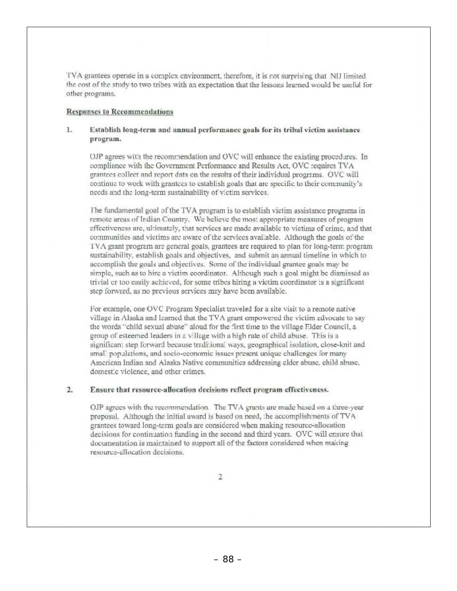TVA grantees operate in a complex environment, therefore, it is not surprising that NLI limited the cost of the study to two tribes with an expectation that the lessons learned would be useful for other programs.

#### **Responses to Recommendations**

#### $1.$ Establish long-term and annual performance goals for its tribal victim assistance program.

OJP agrees with the recommendation and OVC will enhance the existing procedures. In compliance with the Government Performance and Results Act, OVC requires TVA grantees collect and report data on the results of their individual programs. OVC will continue to work with grantees to establish goals that are specific to their community's needs and the long-term sustainability of victim services.

The fundamental goal of the TVA program is to establish victim assistance programs in remote areas of Indian Country. We believe the most appropriate measures of program effectiveness are, ultimately, that services are made available to victims of crime, and that communities and victims are aware of the services available. Although the goals of the IVA grant program are general goals, grantees are required to plan for long-term program sustainability, establish goals and objectives, and submit an annual timeline in which to accomplish the goals and objectives. Some of the individual grantee goals may be simple, such as to hire a victim coordinator. Although such a goal might be dismissed as trivial or too easily achieved, for some tribes hiring a victim coordinator is a significant step forward, as no previous services may have been available.

For example, one OVC Program Specialist traveled for a site visit to a remote native village in Alaska and learned that the TVA grant empowered the victim advocate to say the words "child sexual abuse" aloud for the first time to the village Elder Council, a group of esteemed leaders in a village with a high rate of child abuse. This is a significant step forward because traditional ways, geographical isolation, close-knit and small populations, and socio-economic issues present unique challenges for many American Indian and Alaska Native communities addressing elder abuse, child abuse. domestic violence, and other crimes.

#### $2.$ Ensure that resource-allocation decisions reflect program effectiveness.

OJP agrees with the recommendation. The TVA grants are made based on a three-year proposal. Although the initial award is based on need, the accomplishments of TVA grantees toward long-term goals are considered when making resource-allocation decisions for continuation funding in the second and third years. OVC will ensure that documentation is maintained to support all of the factors considered when making resource-allocation decisions.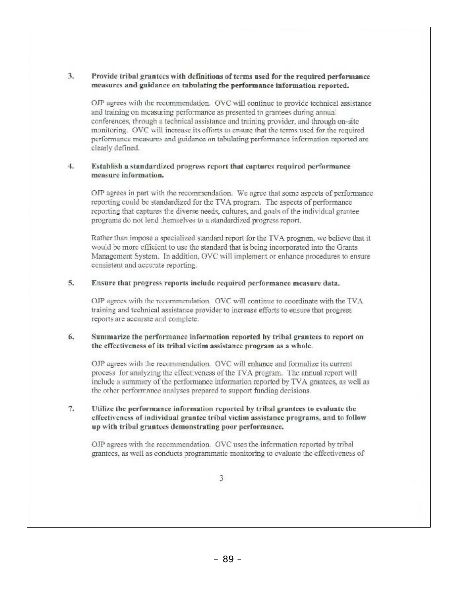#### 3. Provide tribal grantees with definitions of terms used for the required performance measures and guidance on tabulating the performance information reported.

OJP agrees with the recommendation. OVC will continue to provide technical assistance and training on measuring performance as presented to grantees during annual conferences, through a technical assistance and training provider, and through on-site monitoring. OVC will increase its efforts to ensure that the terms used for the required performance measures and guidance on tabulating performance information reported are clearly defined.

#### $4.$ Establish a standardized progress report that captures required performance measure information.

OJP agrees in part with the recommendation. We agree that some aspects of performance reporting could be standardized for the TVA program. The aspects of performance reporting that captures the diverse needs, cultures, and goals of the individual grantee programs do not lend themselves to a standardized progress report.

Rather than impose a specialized standard report for the TVA program, we believe that it would be more efficient to use the standard that is being incorporated into the Grants Management System. In addition, OVC will implement or enhance procedures to ensure consistent and accurate reporting.

#### 5. Ensure that progress reports include required performance measure data.

OJP agrees with the recommendation. OVC will continue to coordinate with the TVA training and technical assistance provider to increase efforts to ensure that progress reports are accurate and complete.

#### 6. Summarize the performance information reported by tribal grantees to report on the effectiveness of its tribal victim assistance program as a whole.

OJP agrees with the recommendation. OVC will enhance and formalize its current process for analyzing the effectiveness of the TVA program. The annual report will include a summary of the performance information reported by TVA grantees, as well as the other performance analyses prepared to support funding decisions.

#### $7.$ Utilize the performance information reported by tribal grantees to evaluate the effectiveness of individual grantee tribal victim assistance programs, and to follow up with tribal grantees demonstrating poor performance.

OJP agrees with the recommendation. OVC uses the information reported by tribal grantees, as well as conducts programmatic monitoring to evaluate the effectiveness of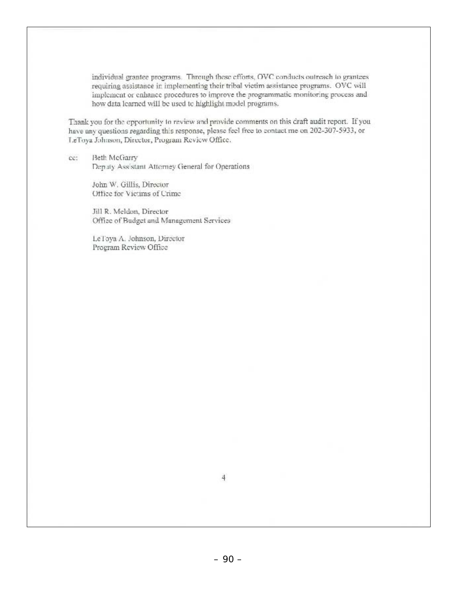individual grantee programs. Through these efforts, OVC conducts outreach to grantees requiring assistance in implementing their tribal victim assistance programs. OVC will implement or enhance procedures to improve the programmatic monitoring process and how data learned will be used to highlight model programs.

Thank you for the epportunity to review and provide comments on this draft audit report. If you have any questions regarding this response, please feel free to contact me on 202-307-5933, or LeToya Johnson, Director, Program Review Office.

**Beth McGarry** ce: Deputy Assistant Attorney General for Operations

> John W. Gillis, Director Office for Victims of Crime

Jill R. Meldon, Director Office of Budget and Management Services

Le l'oya A. Johnson, Director Program Review Office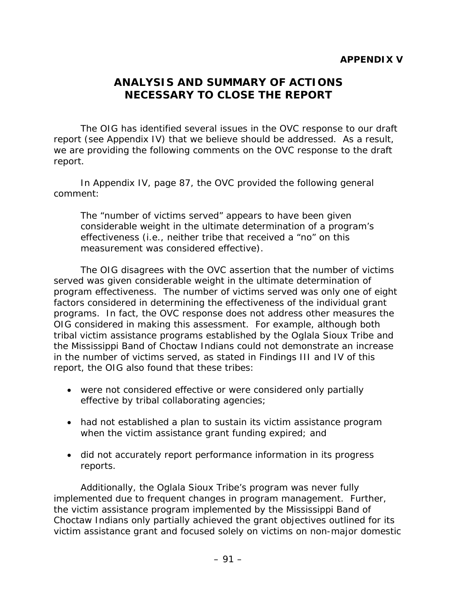## **ANALYSIS AND SUMMARY OF ACTIONS NECESSARY TO CLOSE THE REPORT**

The OIG has identified several issues in the OVC response to our draft report (see Appendix IV) that we believe should be addressed. As a result, we are providing the following comments on the OVC response to the draft report.

In Appendix IV, page 87, the OVC provided the following general comment:

*The "number of victims served" appears to have been given considerable weight in the ultimate determination of a program's effectiveness (i.e., neither tribe that received a "no" on this measurement was considered effective).* 

The OIG disagrees with the OVC assertion that the number of victims served was given considerable weight in the ultimate determination of program effectiveness. The number of victims served was only one of eight factors considered in determining the effectiveness of the individual grant programs. In fact, the OVC response does not address other measures the OIG considered in making this assessment. For example, although both tribal victim assistance programs established by the Oglala Sioux Tribe and the Mississippi Band of Choctaw Indians could not demonstrate an increase in the number of victims served, as stated in Findings III and IV of this report, the OIG also found that these tribes:

- were not considered effective or were considered only partially effective by tribal collaborating agencies;
- had not established a plan to sustain its victim assistance program when the victim assistance grant funding expired; and
- did not accurately report performance information in its progress reports.

Additionally, the Oglala Sioux Tribe's program was never fully implemented due to frequent changes in program management. Further, the victim assistance program implemented by the Mississippi Band of Choctaw Indians only partially achieved the grant objectives outlined for its victim assistance grant and focused solely on victims on non-major domestic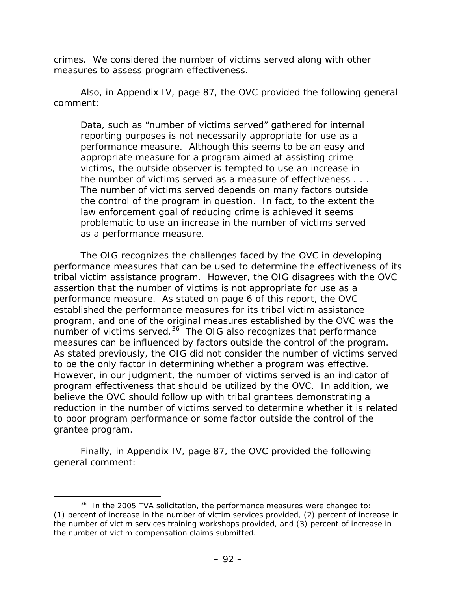crimes. We considered the number of victims served along with other measures to assess program effectiveness.

Also, in Appendix IV, page 87, the OVC provided the following general comment:

*Data, such as "number of victims served" gathered for internal reporting purposes is not necessarily appropriate for use as a performance measure. Although this seems to be an easy and appropriate measure for a program aimed at assisting crime victims, the outside observer is tempted to use an increase in the number of victims served as a measure of effectiveness . . . The number of victims served depends on many factors outside the control of the program in question. In fact, to the extent the law enforcement goal of reducing crime is achieved it seems problematic to use an increase in the number of victims served as a performance measure.* 

The OIG recognizes the challenges faced by the OVC in developing performance measures that can be used to determine the effectiveness of its tribal victim assistance program. However, the OIG disagrees with the OVC assertion that the number of victims is not appropriate for use as a performance measure. As stated on page 6 of this report, the OVC established the performance measures for its tribal victim assistance program, and one of the original measures established by the OVC was the number of victims served. $36$  The OIG also recognizes that performance measures can be influenced by factors outside the control of the program. As stated previously, the OIG did not consider the number of victims served to be the only factor in determining whether a program was effective. However, in our judgment, the number of victims served is an indicator of program effectiveness that should be utilized by the OVC. In addition, we believe the OVC should follow up with tribal grantees demonstrating a reduction in the number of victims served to determine whether it is related to poor program performance or some factor outside the control of the grantee program.

Finally, in Appendix IV, page 87, the OVC provided the following general comment:

<span id="page-102-0"></span> $36$  In the 2005 TVA solicitation, the performance measures were changed to: (1) percent of increase in the number of victim services provided, (2) percent of increase in the number of victim services training workshops provided, and (3) percent of increase in the number of victim compensation claims submitted.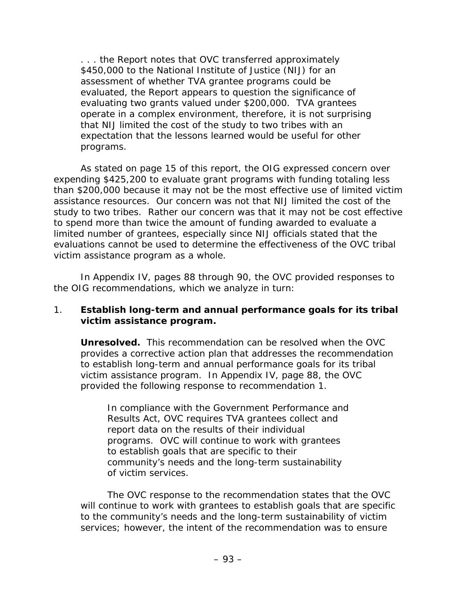*. . . the Report notes that OVC transferred approximately \$450,000 to the National Institute of Justice (NIJ) for an assessment of whether TVA grantee programs could be evaluated, the Report appears to question the significance of evaluating two grants valued under \$200,000. TVA grantees operate in a complex environment, therefore, it is not surprising that NIJ limited the cost of the study to two tribes with an expectation that the lessons learned would be useful for other programs.* 

As stated on page 15 of this report, the OIG expressed concern over expending \$425,200 to evaluate grant programs with funding totaling less than \$200,000 because it may not be the most effective use of limited victim assistance resources. Our concern was not that NIJ limited the cost of the study to two tribes. Rather our concern was that it may not be cost effective to spend more than twice the amount of funding awarded to evaluate a limited number of grantees, especially since NIJ officials stated that the evaluations cannot be used to determine the effectiveness of the OVC tribal victim assistance program as a whole.

In Appendix IV, pages 88 through 90, the OVC provided responses to the OIG recommendations, which we analyze in turn:

#### 1. **Establish long-term and annual performance goals for its tribal victim assistance program.**

**Unresolved.** This recommendation can be resolved when the OVC provides a corrective action plan that addresses the recommendation to establish long-term and annual performance goals for its tribal victim assistance program. In Appendix IV, page 88, the OVC provided the following response to recommendation 1.

*In compliance with the Government Performance and Results Act, OVC requires TVA grantees collect and report data on the results of their individual programs. OVC will continue to work with grantees to establish goals that are specific to their community's needs and the long-term sustainability of victim services.* 

The OVC response to the recommendation states that the OVC will continue to work with grantees to establish goals that are specific to the community's needs and the long-term sustainability of victim services; however, the intent of the recommendation was to ensure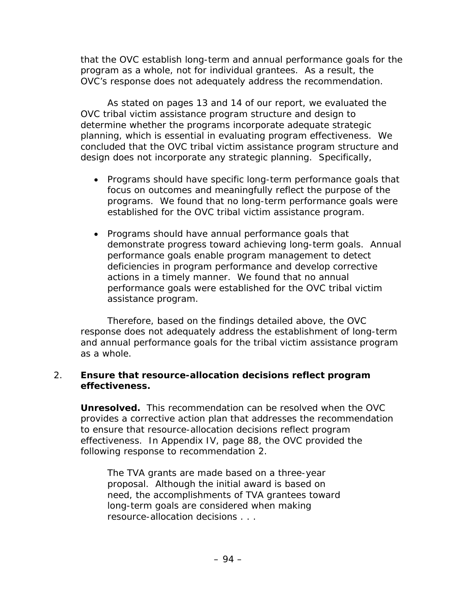that the OVC establish long-term and annual performance goals for the program as a whole, not for individual grantees. As a result, the OVC's response does not adequately address the recommendation.

As stated on pages 13 and 14 of our report, we evaluated the OVC tribal victim assistance program structure and design to determine whether the programs incorporate adequate strategic planning, which is essential in evaluating program effectiveness. We concluded that the OVC tribal victim assistance program structure and design does not incorporate any strategic planning. Specifically,

- Programs should have specific long-term performance goals that focus on outcomes and meaningfully reflect the purpose of the programs. We found that no long-term performance goals were established for the OVC tribal victim assistance program.
- Programs should have annual performance goals that demonstrate progress toward achieving long-term goals. Annual performance goals enable program management to detect deficiencies in program performance and develop corrective actions in a timely manner. We found that no annual performance goals were established for the OVC tribal victim assistance program.

Therefore, based on the findings detailed above, the OVC response does not adequately address the establishment of long-term and annual performance goals for the tribal victim assistance program as a whole.

#### 2. **Ensure that resource-allocation decisions reflect program effectiveness.**

**Unresolved.** This recommendation can be resolved when the OVC provides a corrective action plan that addresses the recommendation to ensure that resource-allocation decisions reflect program effectiveness. In Appendix IV, page 88, the OVC provided the following response to recommendation 2.

*The TVA grants are made based on a three-year proposal. Although the initial award is based on need, the accomplishments of TVA grantees toward long-term goals are considered when making resource-allocation decisions . . .*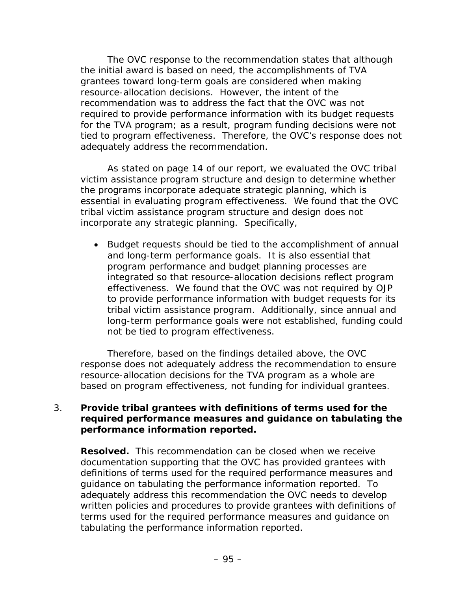The OVC response to the recommendation states that although the initial award is based on need, the accomplishments of TVA grantees toward long-term goals are considered when making resource-allocation decisions. However, the intent of the recommendation was to address the fact that the OVC was not required to provide performance information with its budget requests for the TVA program; as a result, program funding decisions were not tied to program effectiveness. Therefore, the OVC's response does not adequately address the recommendation.

As stated on page 14 of our report, we evaluated the OVC tribal victim assistance program structure and design to determine whether the programs incorporate adequate strategic planning, which is essential in evaluating program effectiveness. We found that the OVC tribal victim assistance program structure and design does not incorporate any strategic planning. Specifically,

• Budget requests should be tied to the accomplishment of annual and long-term performance goals. It is also essential that program performance and budget planning processes are integrated so that resource-allocation decisions reflect program effectiveness. We found that the OVC was not required by OJP to provide performance information with budget requests for its tribal victim assistance program. Additionally, since annual and long-term performance goals were not established, funding could not be tied to program effectiveness.

Therefore, based on the findings detailed above, the OVC response does not adequately address the recommendation to ensure resource-allocation decisions for the TVA program as a whole are based on program effectiveness, not funding for individual grantees.

#### 3. **Provide tribal grantees with definitions of terms used for the required performance measures and guidance on tabulating the performance information reported.**

**Resolved.** This recommendation can be closed when we receive documentation supporting that the OVC has provided grantees with definitions of terms used for the required performance measures and guidance on tabulating the performance information reported. To adequately address this recommendation the OVC needs to develop written policies and procedures to provide grantees with definitions of terms used for the required performance measures and guidance on tabulating the performance information reported.